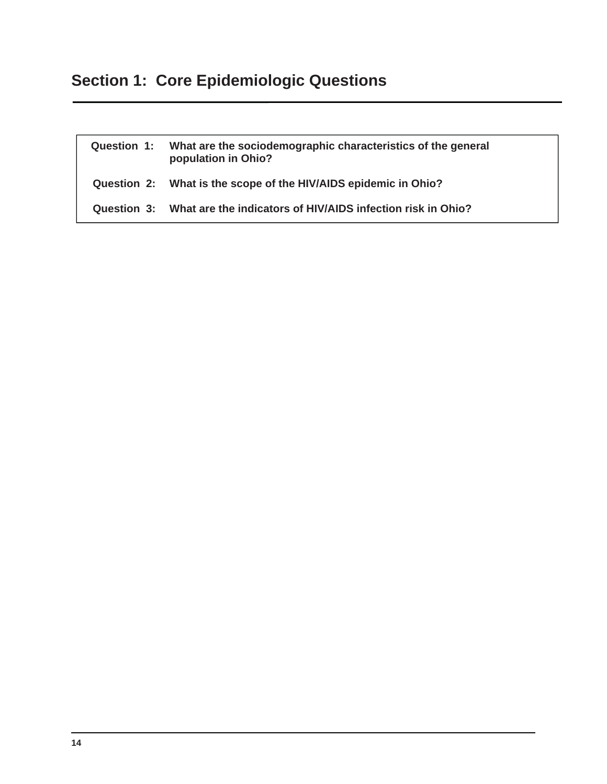| Question 1: | What are the sociodemographic characteristics of the general<br>population in Ohio? |
|-------------|-------------------------------------------------------------------------------------|
|             | Question 2: What is the scope of the HIV/AIDS epidemic in Ohio?                     |
|             | Question 3: What are the indicators of HIV/AIDS infection risk in Ohio?             |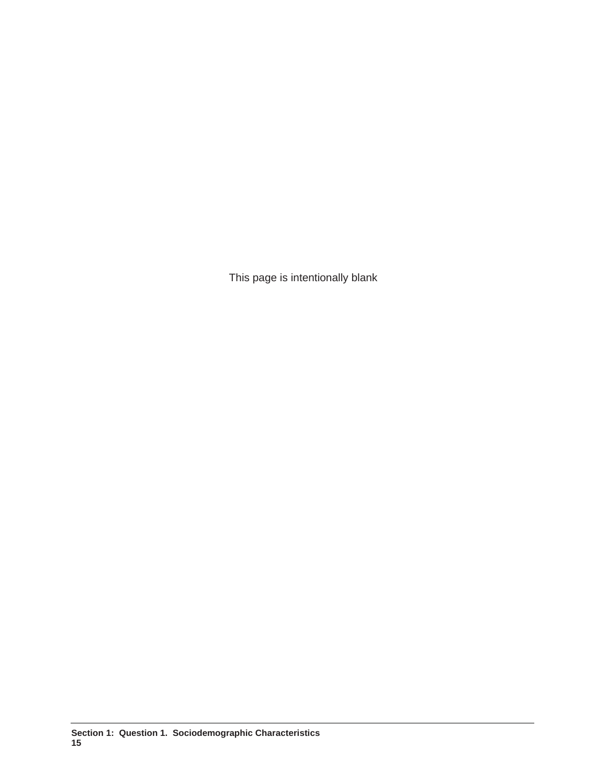This page is intentionally blank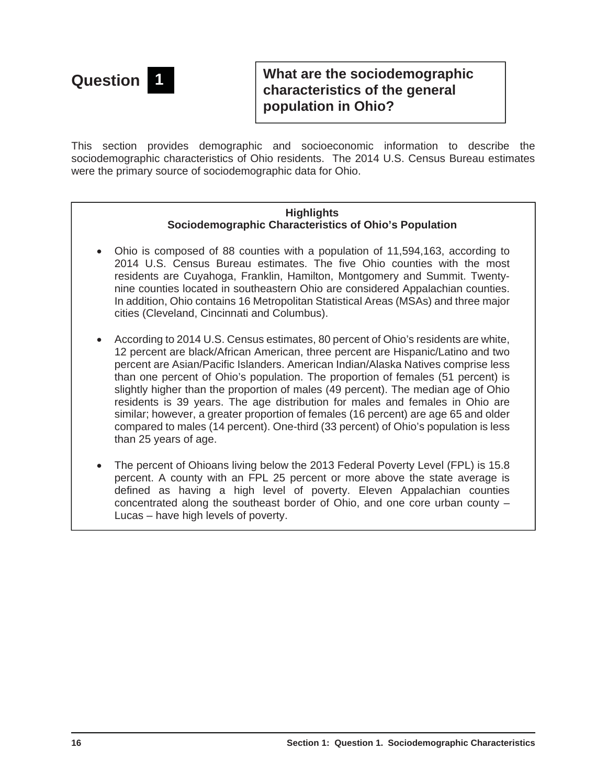

**What are the sociodemographic characteristics of the general population in Ohio?** 

This section provides demographic and socioeconomic information to describe the sociodemographic characteristics of Ohio residents. The 2014 U.S. Census Bureau estimates were the primary source of sociodemographic data for Ohio.

#### **Highlights Sociodemographic Characteristics of Ohio's Population**

- Ohio is composed of 88 counties with a population of 11,594,163, according to 2014 U.S. Census Bureau estimates. The five Ohio counties with the most residents are Cuyahoga, Franklin, Hamilton, Montgomery and Summit. Twentynine counties located in southeastern Ohio are considered Appalachian counties. In addition, Ohio contains 16 Metropolitan Statistical Areas (MSAs) and three major cities (Cleveland, Cincinnati and Columbus).
- According to 2014 U.S. Census estimates, 80 percent of Ohio's residents are white, 12 percent are black/African American, three percent are Hispanic/Latino and two percent are Asian/Pacific Islanders. American Indian/Alaska Natives comprise less than one percent of Ohio's population. The proportion of females (51 percent) is slightly higher than the proportion of males (49 percent). The median age of Ohio residents is 39 years. The age distribution for males and females in Ohio are similar; however, a greater proportion of females (16 percent) are age 65 and older compared to males (14 percent). One-third (33 percent) of Ohio's population is less than 25 years of age.
- The percent of Ohioans living below the 2013 Federal Poverty Level (FPL) is 15.8 percent. A county with an FPL 25 percent or more above the state average is defined as having a high level of poverty. Eleven Appalachian counties concentrated along the southeast border of Ohio, and one core urban county – Lucas – have high levels of poverty.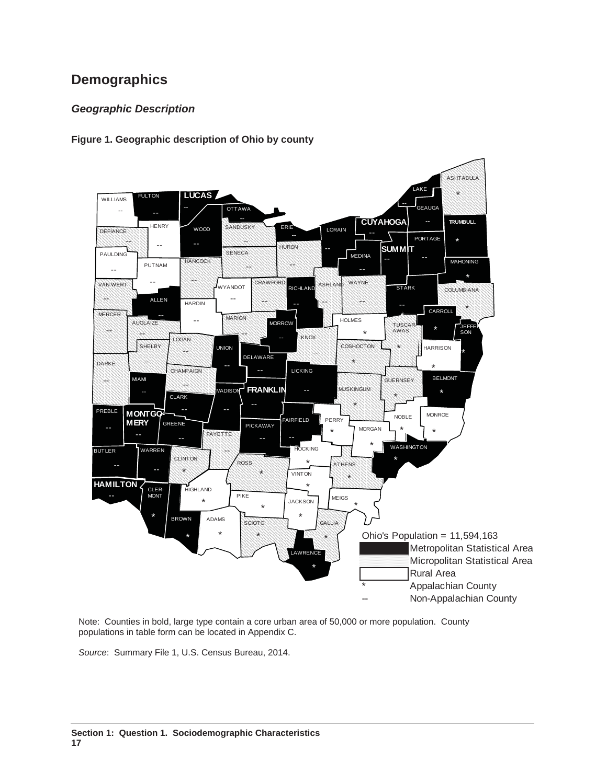# **Demographics**

## *Geographic Description*

### **Figure 1. Geographic description of Ohio by county**



Note: Counties in bold, large type contain a core urban area of 50,000 or more population. County populations in table form can be located in Appendix C.

*Source*: Summary File 1, U.S. Census Bureau, 2014.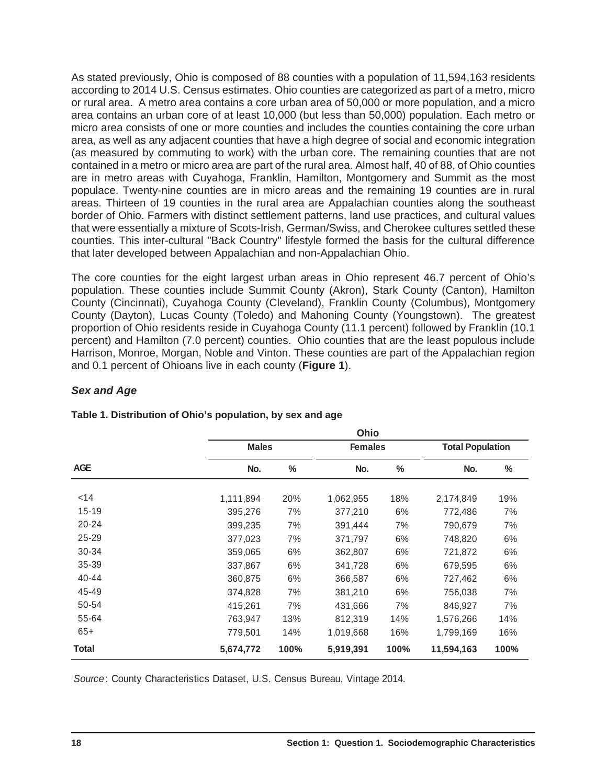As stated previously, Ohio is composed of 88 counties with a population of 11,594,163 residents according to 2014 U.S. Census estimates. Ohio counties are categorized as part of a metro, micro or rural area. A metro area contains a core urban area of 50,000 or more population, and a micro area contains an urban core of at least 10,000 (but less than 50,000) population. Each metro or micro area consists of one or more counties and includes the counties containing the core urban area, as well as any adjacent counties that have a high degree of social and economic integration (as measured by commuting to work) with the urban core. The remaining counties that are not contained in a metro or micro area are part of the rural area. Almost half, 40 of 88, of Ohio counties are in metro areas with Cuyahoga, Franklin, Hamilton, Montgomery and Summit as the most populace. Twenty-nine counties are in micro areas and the remaining 19 counties are in rural areas. Thirteen of 19 counties in the rural area are Appalachian counties along the southeast border of Ohio. Farmers with distinct settlement patterns, land use practices, and cultural values that were essentially a mixture of Scots-Irish, German/Swiss, and Cherokee cultures settled these counties. This inter-cultural "Back Country" lifestyle formed the basis for the cultural difference that later developed between Appalachian and non-Appalachian Ohio.

The core counties for the eight largest urban areas in Ohio represent 46.7 percent of Ohio's population. These counties include Summit County (Akron), Stark County (Canton), Hamilton County (Cincinnati), Cuyahoga County (Cleveland), Franklin County (Columbus), Montgomery County (Dayton), Lucas County (Toledo) and Mahoning County (Youngstown). The greatest proportion of Ohio residents reside in Cuyahoga County (11.1 percent) followed by Franklin (10.1 percent) and Hamilton (7.0 percent) counties. Ohio counties that are the least populous include Harrison, Monroe, Morgan, Noble and Vinton. These counties are part of the Appalachian region and 0.1 percent of Ohioans live in each county (**Figure 1**).

### *Sex and Age*

|            | Ohio         |      |                |      |                         |      |  |  |  |  |  |
|------------|--------------|------|----------------|------|-------------------------|------|--|--|--|--|--|
|            | <b>Males</b> |      | <b>Females</b> |      | <b>Total Population</b> |      |  |  |  |  |  |
| <b>AGE</b> | No.          | $\%$ | No.            | %    | No.                     | %    |  |  |  |  |  |
| $<$ 14     | 1,111,894    | 20%  | 1,062,955      | 18%  | 2,174,849               | 19%  |  |  |  |  |  |
| $15-19$    | 395,276      | 7%   | 377,210        | 6%   | 772,486                 | 7%   |  |  |  |  |  |
| $20 - 24$  | 399,235      | 7%   | 391,444        | 7%   | 790,679                 | 7%   |  |  |  |  |  |
| 25-29      | 377,023      | 7%   | 371,797        | 6%   | 748,820                 | 6%   |  |  |  |  |  |
| 30-34      | 359,065      | 6%   | 362,807        | 6%   | 721,872                 | 6%   |  |  |  |  |  |
| 35-39      | 337,867      | 6%   | 341,728        | 6%   | 679,595                 | 6%   |  |  |  |  |  |
| $40 - 44$  | 360,875      | 6%   | 366,587        | 6%   | 727,462                 | 6%   |  |  |  |  |  |
| 45-49      | 374,828      | 7%   | 381,210        | 6%   | 756,038                 | 7%   |  |  |  |  |  |
| 50-54      | 415,261      | 7%   | 431,666        | 7%   | 846,927                 | 7%   |  |  |  |  |  |
| 55-64      | 763,947      | 13%  | 812,319        | 14%  | 1,576,266               | 14%  |  |  |  |  |  |
| $65+$      | 779,501      | 14%  | 1,019,668      | 16%  | 1,799,169               | 16%  |  |  |  |  |  |
| Total      | 5,674,772    | 100% | 5,919,391      | 100% | 11,594,163              | 100% |  |  |  |  |  |

### **Table 1. Distribution of Ohio's population, by sex and age**

*Source*: County Characteristics Dataset, U.S. Census Bureau, Vintage 2014.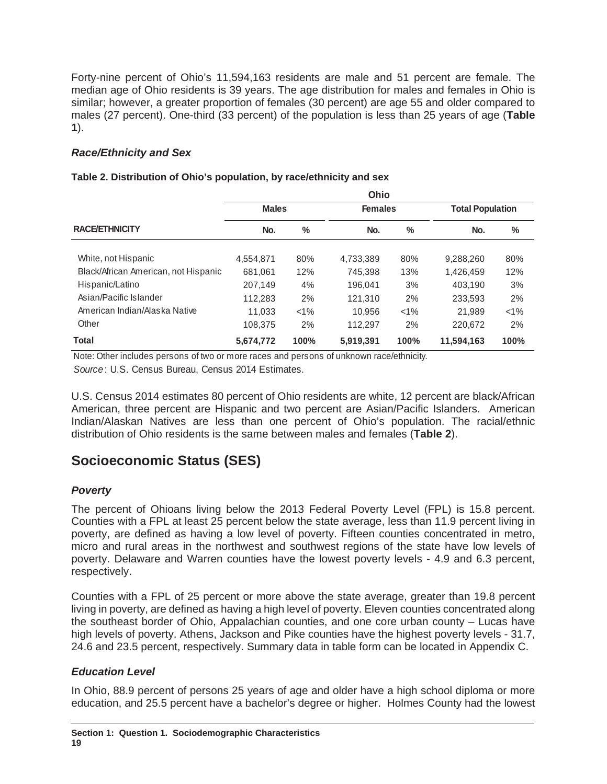Forty-nine percent of Ohio's 11,594,163 residents are male and 51 percent are female. The median age of Ohio residents is 39 years. The age distribution for males and females in Ohio is similar; however, a greater proportion of females (30 percent) are age 55 and older compared to males (27 percent). One-third (33 percent) of the population is less than 25 years of age (**Table 1**).

## *Race/Ethnicity and Sex*

### **Table 2. Distribution of Ohio's population, by race/ethnicity and sex**

|                                      | Ohio         |               |                |         |                         |         |  |  |  |  |  |
|--------------------------------------|--------------|---------------|----------------|---------|-------------------------|---------|--|--|--|--|--|
|                                      | <b>Males</b> |               | <b>Females</b> |         | <b>Total Population</b> |         |  |  |  |  |  |
| <b>RACE/ETHNICITY</b>                | No.          | $\frac{0}{0}$ | No.            | $\%$    | No.                     | $\%$    |  |  |  |  |  |
| White, not Hispanic                  | 4.554.871    | 80%           | 4,733,389      | 80%     | 9.288.260               | 80%     |  |  |  |  |  |
| Black/African American, not Hispanic | 681.061      | 12%           | 745,398        | 13%     | 1,426,459               | 12%     |  |  |  |  |  |
| Hispanic/Latino                      | 207.149      | 4%            | 196.041        | 3%      | 403.190                 | 3%      |  |  |  |  |  |
| Asian/Pacific Islander               | 112,283      | 2%            | 121.310        | 2%      | 233.593                 | 2%      |  |  |  |  |  |
| American Indian/Alaska Native        | 11.033       | $< 1\%$       | 10.956         | $< 1\%$ | 21.989                  | $< 1\%$ |  |  |  |  |  |
| Other                                | 108,375      | 2%            | 112.297        | 2%      | 220,672                 | 2%      |  |  |  |  |  |
| <b>Total</b>                         | 5,674,772    | 100%          | 5,919,391      | 100%    | 11,594,163              | 100%    |  |  |  |  |  |

Note: Other includes persons of two or more races and persons of unknown race/ethnicity.

*Source*: U.S. Census Bureau, Census 2014 Estimates.

U.S. Census 2014 estimates 80 percent of Ohio residents are white, 12 percent are black/African American, three percent are Hispanic and two percent are Asian/Pacific Islanders. American Indian/Alaskan Natives are less than one percent of Ohio's population. The racial/ethnic distribution of Ohio residents is the same between males and females (**Table 2**).

# **Socioeconomic Status (SES)**

## *Poverty*

The percent of Ohioans living below the 2013 Federal Poverty Level (FPL) is 15.8 percent. Counties with a FPL at least 25 percent below the state average, less than 11.9 percent living in poverty, are defined as having a low level of poverty. Fifteen counties concentrated in metro, micro and rural areas in the northwest and southwest regions of the state have low levels of poverty. Delaware and Warren counties have the lowest poverty levels - 4.9 and 6.3 percent, respectively.

Counties with a FPL of 25 percent or more above the state average, greater than 19.8 percent living in poverty, are defined as having a high level of poverty. Eleven counties concentrated along the southeast border of Ohio, Appalachian counties, and one core urban county – Lucas have high levels of poverty. Athens, Jackson and Pike counties have the highest poverty levels - 31.7, 24.6 and 23.5 percent, respectively. Summary data in table form can be located in Appendix C.

## *Education Level*

In Ohio, 88.9 percent of persons 25 years of age and older have a high school diploma or more education, and 25.5 percent have a bachelor's degree or higher. Holmes County had the lowest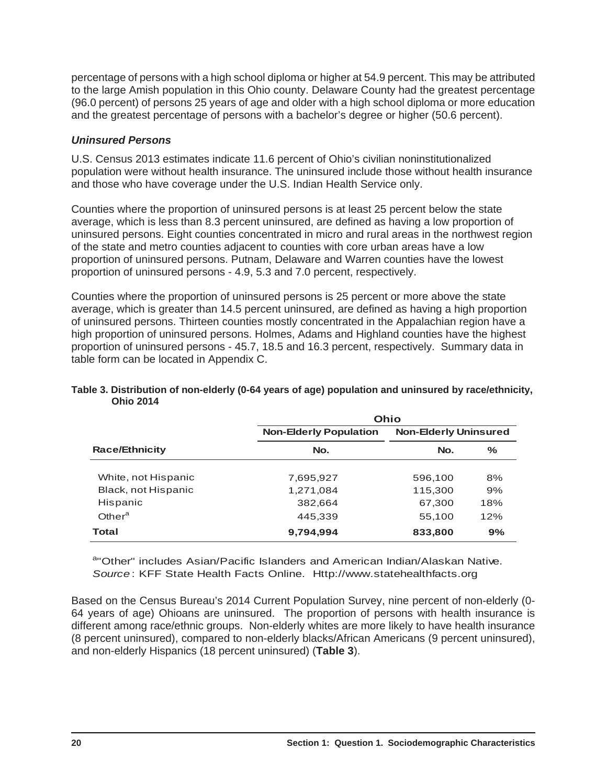percentage of persons with a high school diploma or higher at 54.9 percent. This may be attributed to the large Amish population in this Ohio county. Delaware County had the greatest percentage (96.0 percent) of persons 25 years of age and older with a high school diploma or more education and the greatest percentage of persons with a bachelor's degree or higher (50.6 percent).

### *Uninsured Persons*

U.S. Census 2013 estimates indicate 11.6 percent of Ohio's civilian noninstitutionalized population were without health insurance. The uninsured include those without health insurance and those who have coverage under the U.S. Indian Health Service only.

Counties where the proportion of uninsured persons is at least 25 percent below the state average, which is less than 8.3 percent uninsured, are defined as having a low proportion of uninsured persons. Eight counties concentrated in micro and rural areas in the northwest region of the state and metro counties adjacent to counties with core urban areas have a low proportion of uninsured persons. Putnam, Delaware and Warren counties have the lowest proportion of uninsured persons - 4.9, 5.3 and 7.0 percent, respectively.

Counties where the proportion of uninsured persons is 25 percent or more above the state average, which is greater than 14.5 percent uninsured, are defined as having a high proportion of uninsured persons. Thirteen counties mostly concentrated in the Appalachian region have a high proportion of uninsured persons. Holmes, Adams and Highland counties have the highest proportion of uninsured persons - 45.7, 18.5 and 16.3 percent, respectively. Summary data in table form can be located in Appendix C.

|                       | Ohio                          |                              |     |  |  |  |  |  |  |
|-----------------------|-------------------------------|------------------------------|-----|--|--|--|--|--|--|
|                       | <b>Non-Elderly Population</b> | <b>Non-Elderly Uninsured</b> |     |  |  |  |  |  |  |
| <b>Race/Ethnicity</b> | No.                           | No.                          | ℅   |  |  |  |  |  |  |
| White, not Hispanic   | 7,695,927                     | 596,100                      | 8%  |  |  |  |  |  |  |
| Black, not Hispanic   | 1,271,084                     | 115,300                      | 9%  |  |  |  |  |  |  |
| Hispanic              | 382,664                       | 67,300                       | 18% |  |  |  |  |  |  |
| Other <sup>a</sup>    | 445.339                       | 55,100                       | 12% |  |  |  |  |  |  |
| Total                 | 9,794,994                     | 833,800                      | 9%  |  |  |  |  |  |  |

#### **Table 3. Distribution of non-elderly (0-64 years of age) population and uninsured by race/ethnicity, Ohio 2014**

a "Other" includes Asian/Pacific Islanders and American Indian/Alaskan Native. *Source*: KFF State Health Facts Online. Http://www.statehealthfacts.org

Based on the Census Bureau's 2014 Current Population Survey, nine percent of non-elderly (0- 64 years of age) Ohioans are uninsured. The proportion of persons with health insurance is different among race/ethnic groups. Non-elderly whites are more likely to have health insurance (8 percent uninsured), compared to non-elderly blacks/African Americans (9 percent uninsured), and non-elderly Hispanics (18 percent uninsured) (**Table 3**).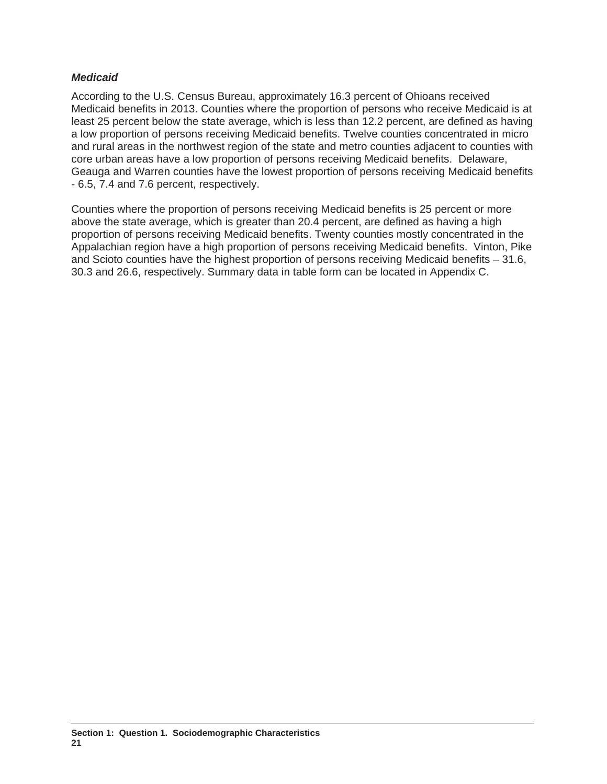## *Medicaid*

According to the U.S. Census Bureau, approximately 16.3 percent of Ohioans received Medicaid benefits in 2013. Counties where the proportion of persons who receive Medicaid is at least 25 percent below the state average, which is less than 12.2 percent, are defined as having a low proportion of persons receiving Medicaid benefits. Twelve counties concentrated in micro and rural areas in the northwest region of the state and metro counties adjacent to counties with core urban areas have a low proportion of persons receiving Medicaid benefits. Delaware, Geauga and Warren counties have the lowest proportion of persons receiving Medicaid benefits - 6.5, 7.4 and 7.6 percent, respectively.

Counties where the proportion of persons receiving Medicaid benefits is 25 percent or more above the state average, which is greater than 20.4 percent, are defined as having a high proportion of persons receiving Medicaid benefits. Twenty counties mostly concentrated in the Appalachian region have a high proportion of persons receiving Medicaid benefits. Vinton, Pike and Scioto counties have the highest proportion of persons receiving Medicaid benefits – 31.6, 30.3 and 26.6, respectively. Summary data in table form can be located in Appendix C.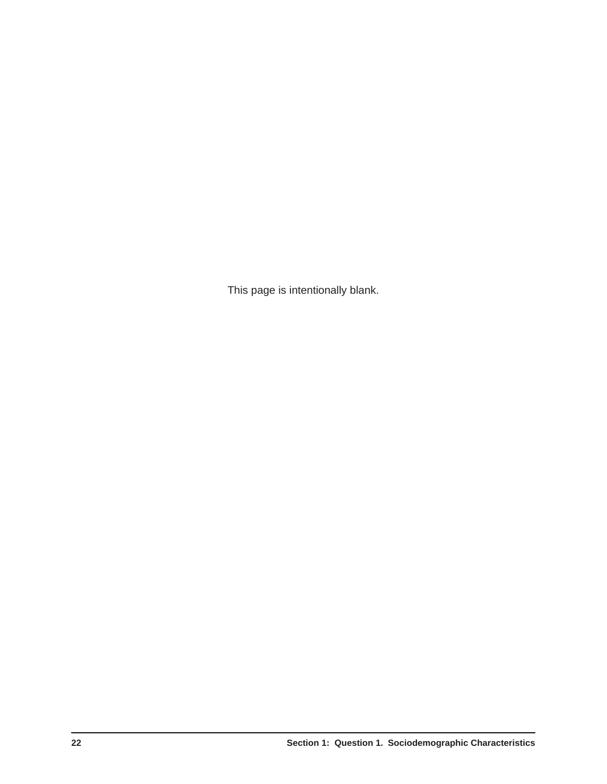This page is intentionally blank.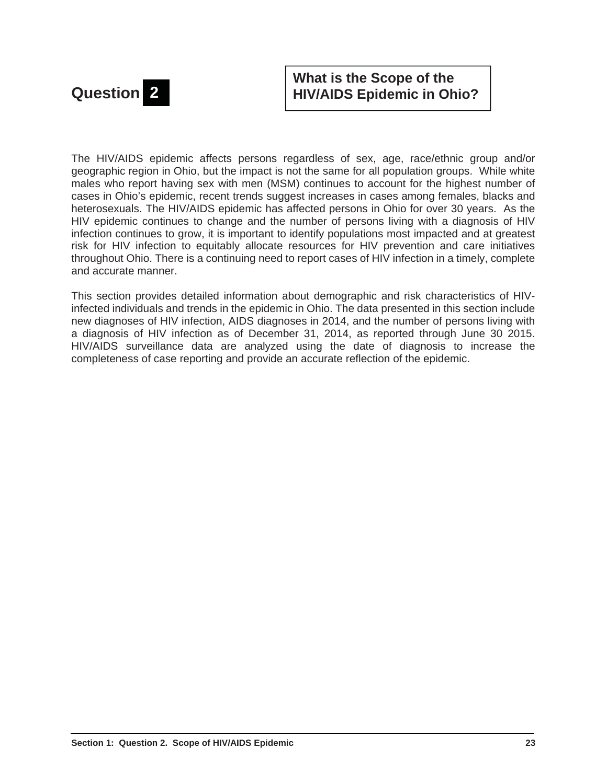

# **What is the Scope of the 2 HIV/AIDS Epidemic in Ohio?**

The HIV/AIDS epidemic affects persons regardless of sex, age, race/ethnic group and/or geographic region in Ohio, but the impact is not the same for all population groups. While white males who report having sex with men (MSM) continues to account for the highest number of cases in Ohio's epidemic, recent trends suggest increases in cases among females, blacks and heterosexuals. The HIV/AIDS epidemic has affected persons in Ohio for over 30 years. As the HIV epidemic continues to change and the number of persons living with a diagnosis of HIV infection continues to grow, it is important to identify populations most impacted and at greatest risk for HIV infection to equitably allocate resources for HIV prevention and care initiatives throughout Ohio. There is a continuing need to report cases of HIV infection in a timely, complete and accurate manner.

This section provides detailed information about demographic and risk characteristics of HIVinfected individuals and trends in the epidemic in Ohio. The data presented in this section include new diagnoses of HIV infection, AIDS diagnoses in 2014, and the number of persons living with a diagnosis of HIV infection as of December 31, 2014, as reported through June 30 2015. HIV/AIDS surveillance data are analyzed using the date of diagnosis to increase the completeness of case reporting and provide an accurate reflection of the epidemic.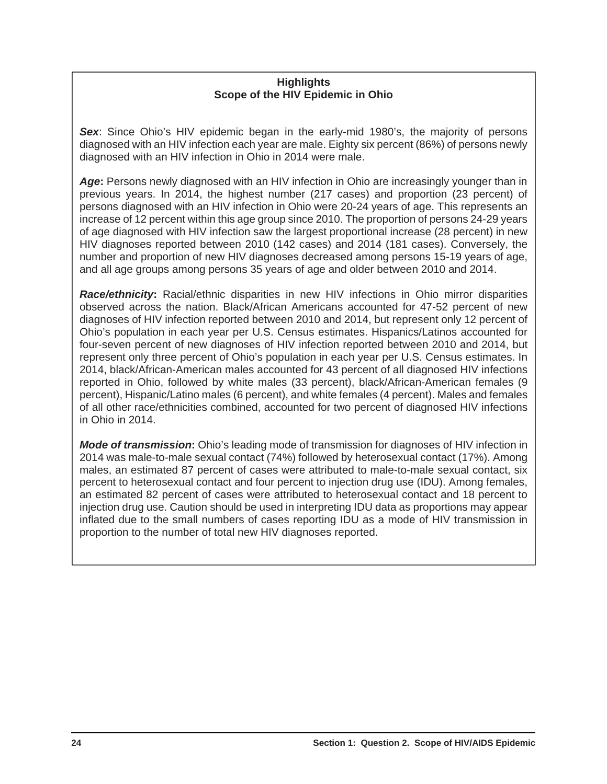### **Highlights Scope of the HIV Epidemic in Ohio**

**Sex:** Since Ohio's HIV epidemic began in the early-mid 1980's, the majority of persons diagnosed with an HIV infection each year are male. Eighty six percent (86%) of persons newly diagnosed with an HIV infection in Ohio in 2014 were male.

*Age***:** Persons newly diagnosed with an HIV infection in Ohio are increasingly younger than in previous years. In 2014, the highest number (217 cases) and proportion (23 percent) of persons diagnosed with an HIV infection in Ohio were 20-24 years of age. This represents an increase of 12 percent within this age group since 2010. The proportion of persons 24-29 years of age diagnosed with HIV infection saw the largest proportional increase (28 percent) in new HIV diagnoses reported between 2010 (142 cases) and 2014 (181 cases). Conversely, the number and proportion of new HIV diagnoses decreased among persons 15-19 years of age, and all age groups among persons 35 years of age and older between 2010 and 2014.

*Race/ethnicity***:** Racial/ethnic disparities in new HIV infections in Ohio mirror disparities observed across the nation. Black/African Americans accounted for 47-52 percent of new diagnoses of HIV infection reported between 2010 and 2014, but represent only 12 percent of Ohio's population in each year per U.S. Census estimates. Hispanics/Latinos accounted for four-seven percent of new diagnoses of HIV infection reported between 2010 and 2014, but represent only three percent of Ohio's population in each year per U.S. Census estimates. In 2014, black/African-American males accounted for 43 percent of all diagnosed HIV infections reported in Ohio, followed by white males (33 percent), black/African-American females (9 percent), Hispanic/Latino males (6 percent), and white females (4 percent). Males and females of all other race/ethnicities combined, accounted for two percent of diagnosed HIV infections in Ohio in 2014.

*Mode of transmission***:** Ohio's leading mode of transmission for diagnoses of HIV infection in 2014 was male-to-male sexual contact (74%) followed by heterosexual contact (17%). Among males, an estimated 87 percent of cases were attributed to male-to-male sexual contact, six percent to heterosexual contact and four percent to injection drug use (IDU). Among females, an estimated 82 percent of cases were attributed to heterosexual contact and 18 percent to injection drug use. Caution should be used in interpreting IDU data as proportions may appear inflated due to the small numbers of cases reporting IDU as a mode of HIV transmission in proportion to the number of total new HIV diagnoses reported.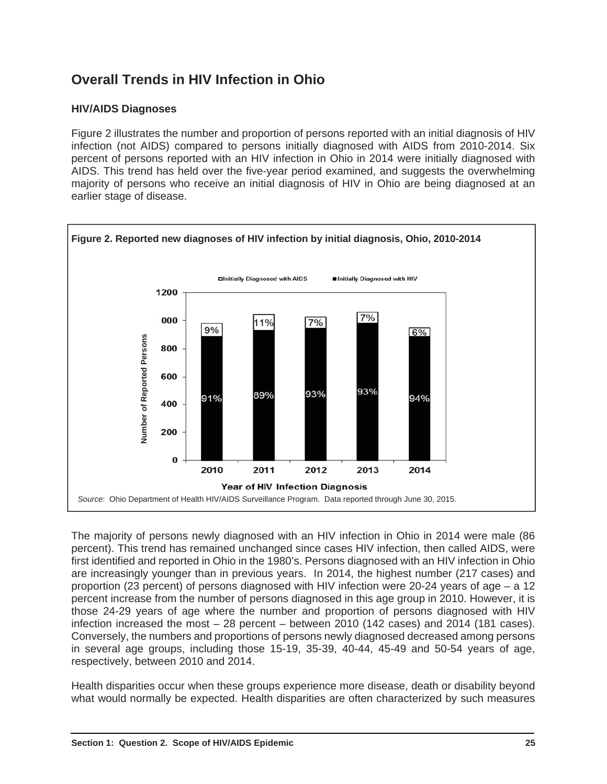# **Overall Trends in HIV Infection in Ohio**

## **HIV/AIDS Diagnoses**

Figure 2 illustrates the number and proportion of persons reported with an initial diagnosis of HIV infection (not AIDS) compared to persons initially diagnosed with AIDS from 2010-2014. Six percent of persons reported with an HIV infection in Ohio in 2014 were initially diagnosed with AIDS. This trend has held over the five-year period examined, and suggests the overwhelming majority of persons who receive an initial diagnosis of HIV in Ohio are being diagnosed at an earlier stage of disease.



The majority of persons newly diagnosed with an HIV infection in Ohio in 2014 were male (86 percent). This trend has remained unchanged since cases HIV infection, then called AIDS, were first identified and reported in Ohio in the 1980's. Persons diagnosed with an HIV infection in Ohio are increasingly younger than in previous years. In 2014, the highest number (217 cases) and proportion (23 percent) of persons diagnosed with HIV infection were 20-24 years of age – a 12 percent increase from the number of persons diagnosed in this age group in 2010. However, it is those 24-29 years of age where the number and proportion of persons diagnosed with HIV infection increased the most – 28 percent – between 2010 (142 cases) and 2014 (181 cases). Conversely, the numbers and proportions of persons newly diagnosed decreased among persons in several age groups, including those 15-19, 35-39, 40-44, 45-49 and 50-54 years of age, respectively, between 2010 and 2014.

Health disparities occur when these groups experience more disease, death or disability beyond what would normally be expected. Health disparities are often characterized by such measures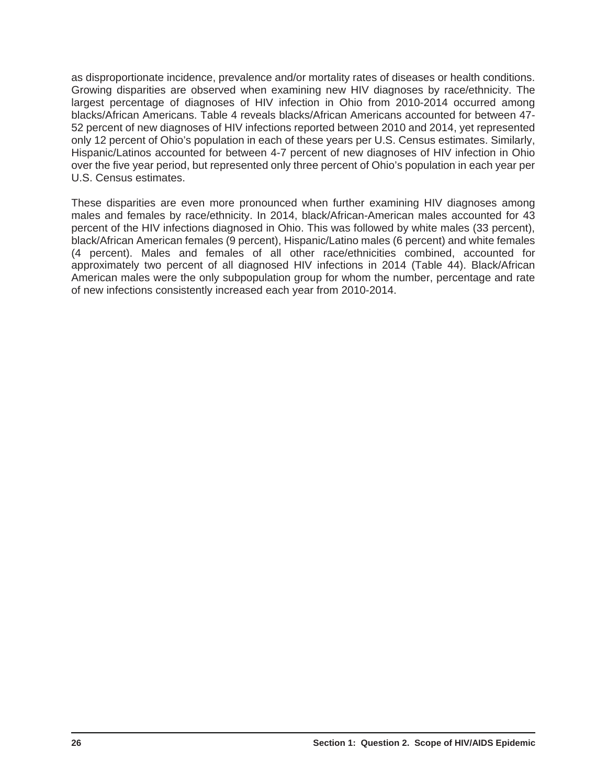as disproportionate incidence, prevalence and/or mortality rates of diseases or health conditions. Growing disparities are observed when examining new HIV diagnoses by race/ethnicity. The largest percentage of diagnoses of HIV infection in Ohio from 2010-2014 occurred among blacks/African Americans. Table 4 reveals blacks/African Americans accounted for between 47- 52 percent of new diagnoses of HIV infections reported between 2010 and 2014, yet represented only 12 percent of Ohio's population in each of these years per U.S. Census estimates. Similarly, Hispanic/Latinos accounted for between 4-7 percent of new diagnoses of HIV infection in Ohio over the five year period, but represented only three percent of Ohio's population in each year per U.S. Census estimates.

These disparities are even more pronounced when further examining HIV diagnoses among males and females by race/ethnicity. In 2014, black/African-American males accounted for 43 percent of the HIV infections diagnosed in Ohio. This was followed by white males (33 percent), black/African American females (9 percent), Hispanic/Latino males (6 percent) and white females (4 percent). Males and females of all other race/ethnicities combined, accounted for approximately two percent of all diagnosed HIV infections in 2014 (Table 44). Black/African American males were the only subpopulation group for whom the number, percentage and rate of new infections consistently increased each year from 2010-2014.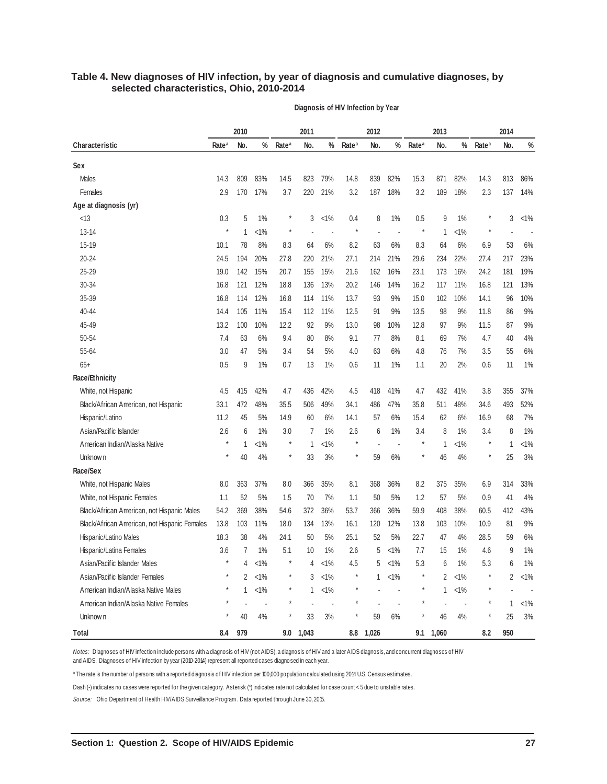#### **Table 4. New diagnoses of HIV infection, by year of diagnosis and cumulative diagnoses, by selected characteristics, Ohio, 2010-2014**

|                                              |                   | 2010           |               |                   | 2011  |         |                   | 2012           |               |                   | 2013           |               |                   | 2014           |         |
|----------------------------------------------|-------------------|----------------|---------------|-------------------|-------|---------|-------------------|----------------|---------------|-------------------|----------------|---------------|-------------------|----------------|---------|
| Characteristic                               | Rate <sup>a</sup> | No.            | $\frac{0}{0}$ | Rate <sup>a</sup> | No.   | $\%$    | Rate <sup>a</sup> | No.            | $\frac{0}{0}$ | Rate <sup>a</sup> | No.            | $\frac{0}{0}$ | Rate <sup>a</sup> | No.            | $\%$    |
| Sex                                          |                   |                |               |                   |       |         |                   |                |               |                   |                |               |                   |                |         |
| Males                                        | 14.3              | 809            | 83%           | 14.5              | 823   | 79%     | 14.8              | 839            | 82%           | 15.3              | 871            | 82%           | 14.3              | 813            | 86%     |
| Females                                      | 2.9               | 170            | 17%           | 3.7               | 220   | 21%     | 3.2               | 187            | 18%           | 3.2               | 189            | 18%           | 2.3               | 137            | 14%     |
| Age at diagnosis (yr)                        |                   |                |               |                   |       |         |                   |                |               |                   |                |               |                   |                |         |
| < 13                                         | 0.3               | 5              | 1%            | $\star$           | 3     | $< 1\%$ | 0.4               | 8              | 1%            | 0.5               | 9              | 1%            |                   | 3              | $< 1\%$ |
| $13 - 14$                                    | $\star$           | 1              | $< 1\%$       | $\star$           | J.    |         | $\star$           |                | ÷,            | $\star$           | 1              | $< 1\%$       |                   | Ĭ.             |         |
| 15-19                                        | 10.1              | 78             | 8%            | 8.3               | 64    | 6%      | 8.2               | 63             | 6%            | 8.3               | 64             | 6%            | 6.9               | 53             | 6%      |
| 20-24                                        | 24.5              | 194            | 20%           | 27.8              | 220   | 21%     | 27.1              | 214            | 21%           | 29.6              | 234            | 22%           | 27.4              | 217            | 23%     |
| $25 - 29$                                    | 19.0              | 142            | 15%           | 20.7              | 155   | 15%     | 21.6              | 162            | 16%           | 23.1              | 173            | 16%           | 24.2              | 181            | 19%     |
| 30-34                                        | 16.8              | 121            | 12%           | 18.8              | 136   | 13%     | 20.2              | 146            | 14%           | 16.2              | 117            | 11%           | 16.8              | 121            | 13%     |
| 35-39                                        | 16.8              | 114            | 12%           | 16.8              | 114   | 11%     | 13.7              | 93             | 9%            | 15.0              | 102            | 10%           | 14.1              | 96             | 10%     |
| 40-44                                        | 14.4              | 105            | 11%           | 15.4              | 112   | 11%     | 12.5              | 91             | 9%            | 13.5              | 98             | 9%            | 11.8              | 86             | 9%      |
| 45-49                                        | 13.2              | 100            | 10%           | 12.2              | 92    | 9%      | 13.0              | 98             | 10%           | 12.8              | 97             | 9%            | 11.5              | 87             | 9%      |
| 50-54                                        | 7.4               | 63             | 6%            | 9.4               | 80    | 8%      | 9.1               | 77             | 8%            | 8.1               | 69             | 7%            | 4.7               | 40             | 4%      |
| 55-64                                        | 3.0               | 47             | 5%            | 3.4               | 54    | 5%      | 4.0               | 63             | 6%            | 4.8               | 76             | 7%            | 3.5               | 55             | 6%      |
| $65+$                                        | 0.5               | 9              | 1%            | 0.7               | 13    | 1%      | 0.6               | 11             | 1%            | 1.1               | 20             | 2%            | 0.6               | 11             | 1%      |
| Race/Ethnicity                               |                   |                |               |                   |       |         |                   |                |               |                   |                |               |                   |                |         |
| White, not Hispanic                          | 4.5               | 415            | 42%           | 4.7               | 436   | 42%     | 4.5               | 418            | 41%           | 4.7               | 432            | 41%           | 3.8               | 355            | 37%     |
| Black/African American, not Hispanic         | 33.1              | 472            | 48%           | 35.5              | 506   | 49%     | 34.1              | 486            | 47%           | 35.8              | 511            | 48%           | 34.6              | 493            | 52%     |
| Hispanic/Latino                              | 11.2              | 45             | 5%            | 14.9              | 60    | 6%      | 14.1              | 57             | 6%            | 15.4              | 62             | 6%            | 16.9              | 68             | 7%      |
| Asian/Pacific Islander                       | 2.6               | 6              | 1%            | 3.0               | 7     | 1%      | 2.6               | 6              | 1%            | 3.4               | 8              | 1%            | 3.4               | 8              | 1%      |
| American Indian/Alaska Native                | Å                 | 1              | $< 1\%$       | ×                 | 1     | $< 1\%$ |                   | $\overline{a}$ | ÷,            | ź                 | $\mathbf{1}$   | $< 1\%$       | ź                 | $\mathbf{1}$   | $< 1\%$ |
| Unknow n                                     | ×                 | 40             | 4%            | $\star$           | 33    | 3%      | $\star$           | 59             | 6%            | $\star$           | 46             | 4%            |                   | 25             | 3%      |
| Race/Sex                                     |                   |                |               |                   |       |         |                   |                |               |                   |                |               |                   |                |         |
| White, not Hispanic Males                    | 8.0               | 363            | 37%           | 8.0               | 366   | 35%     | 8.1               | 368            | 36%           | 8.2               | 375            | 35%           | 6.9               | 314            | 33%     |
| White, not Hispanic Females                  | 1.1               | 52             | 5%            | 1.5               | 70    | 7%      | 1.1               | 50             | 5%            | 1.2               | 57             | 5%            | 0.9               | 41             | 4%      |
| Black/African American, not Hispanic Males   | 54.2              | 369            | 38%           | 54.6              | 372   | 36%     | 53.7              | 366            | 36%           | 59.9              | 408            | 38%           | 60.5              | 412            | 43%     |
| Black/African American, not Hispanic Females | 13.8              | 103            | 11%           | 18.0              | 134   | 13%     | 16.1              | 120            | 12%           | 13.8              | 103            | 10%           | 10.9              | 81             | 9%      |
| Hispanic/Latino Males                        | 18.3              | 38             | 4%            | 24.1              | 50    | 5%      | 25.1              | 52             | 5%            | 22.7              | 47             | 4%            | 28.5              | 59             | 6%      |
| Hispanic/Latina Females                      | 3.6               | 7              | 1%            | 5.1               | 10    | 1%      | 2.6               | 5              | $< 1\%$       | 7.7               | 15             | 1%            | 4.6               | 9              | 1%      |
| Asian/Pacific Islander Males                 | $\star$           | 4              | $< 1\%$       | $\star$           | 4     | $< 1\%$ | 4.5               | 5              | $< 1\%$       | 5.3               | 6              | 1%            | 5.3               | 6              | 1%      |
| Asian/Pacific Islander Females               | $\star$           | $\overline{2}$ | $< 1\%$       | $\star$           | 3     | $< 1\%$ |                   | 1              | $< 1\%$       | $\star$           | $\overline{2}$ | $< 1\%$       | $\star$           | $\overline{2}$ | $< 1\%$ |
| American Indian/Alaska Native Males          | $\star$           | 1              | $< 1\%$       | $\star$           | 1     | $< 1\%$ | $\star$           |                |               | $\star$           | 1              | $< 1\%$       | $\star$           | l,             |         |
| American Indian/Alaska Native Females        | $\star$           |                |               | $\star$           | J.    |         |                   |                | L.            | $\star$           |                |               | $\star$           | 1              | $< 1\%$ |
| Unknow n                                     |                   | 40             | 4%            |                   | 33    | 3%      |                   | 59             | 6%            | ź                 | 46             | 4%            |                   | 25             | 3%      |
| <b>Total</b>                                 | 8.4               | 979            |               | 9.0               | 1,043 |         | 8.8               | 1.026          |               | 9.1               | 1.060          |               | 8.2               | 950            |         |

**Diagnosis of HIV Infection by Year**

*Notes:* Diagnoses of HIV infection include persons with a diagnosis of HIV (not AIDS), a diagnosis of HIV and a later AIDS diagnosis, and concurrent diagnoses of HIV and AIDS. Diagnoses of HIV infection by year (2010-2014) represent all reported cases diagnosed in each year.

a The rate is the number of persons with a reported diagnosis of HIV infection per 100,000 population calculated using 2014 U.S. Census estimates.

Dash (-) indicates no cases were reported for the given category. Asterisk (\*) indicates rate not calculated for case count < 5 due to unstable rates.

*Source:* Ohio Department of Health HIV/AIDS Surveillance Program. Data reported through June 30, 2015.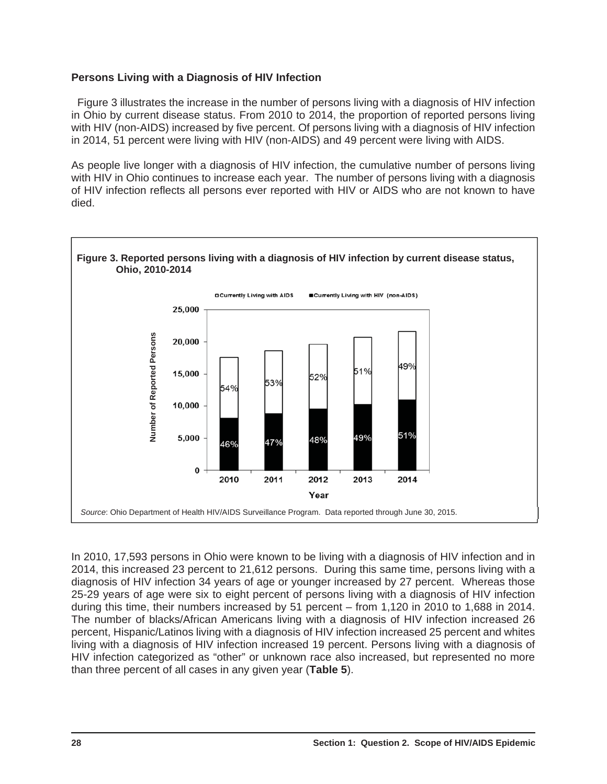### **Persons Living with a Diagnosis of HIV Infection**

 Figure 3 illustrates the increase in the number of persons living with a diagnosis of HIV infection in Ohio by current disease status. From 2010 to 2014, the proportion of reported persons living with HIV (non-AIDS) increased by five percent. Of persons living with a diagnosis of HIV infection in 2014, 51 percent were living with HIV (non-AIDS) and 49 percent were living with AIDS.

As people live longer with a diagnosis of HIV infection, the cumulative number of persons living with HIV in Ohio continues to increase each year. The number of persons living with a diagnosis of HIV infection reflects all persons ever reported with HIV or AIDS who are not known to have died.



In 2010, 17,593 persons in Ohio were known to be living with a diagnosis of HIV infection and in 2014, this increased 23 percent to 21,612 persons. During this same time, persons living with a diagnosis of HIV infection 34 years of age or younger increased by 27 percent. Whereas those 25-29 years of age were six to eight percent of persons living with a diagnosis of HIV infection during this time, their numbers increased by 51 percent – from 1,120 in 2010 to 1,688 in 2014. The number of blacks/African Americans living with a diagnosis of HIV infection increased 26 percent, Hispanic/Latinos living with a diagnosis of HIV infection increased 25 percent and whites living with a diagnosis of HIV infection increased 19 percent. Persons living with a diagnosis of HIV infection categorized as "other" or unknown race also increased, but represented no more than three percent of all cases in any given year (**Table 5**).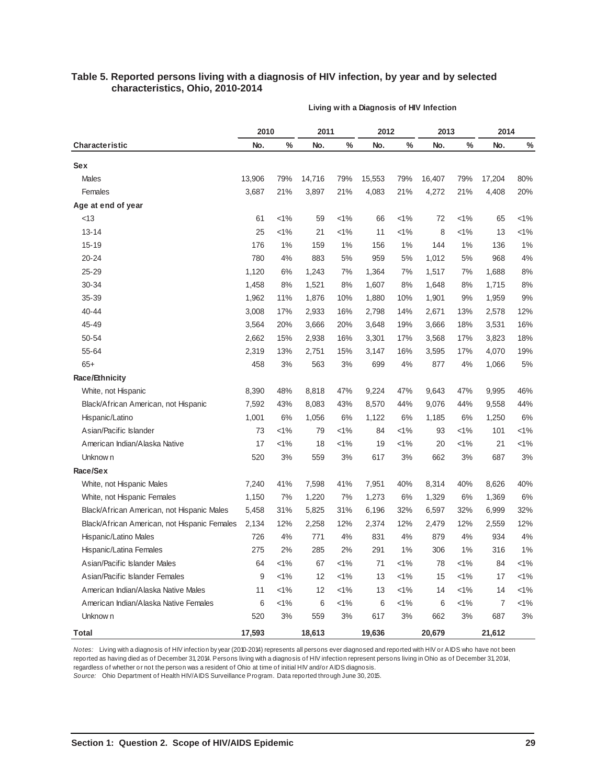#### **Table 5. Reported persons living with a diagnosis of HIV infection, by year and by selected characteristics, Ohio, 2010-2014**

|                                              | 2010   |               | 2011   |               | 2012   |               | 2013   |               | 2014           |         |
|----------------------------------------------|--------|---------------|--------|---------------|--------|---------------|--------|---------------|----------------|---------|
| Characteristic                               | No.    | $\frac{0}{0}$ | No.    | $\frac{0}{0}$ | No.    | $\frac{0}{2}$ | No.    | $\frac{0}{0}$ | No.            | $\%$    |
|                                              |        |               |        |               |        |               |        |               |                |         |
| <b>Sex</b>                                   |        |               |        |               |        |               |        |               |                |         |
| <b>Males</b>                                 | 13,906 | 79%           | 14,716 | 79%           | 15,553 | 79%           | 16,407 | 79%           | 17,204         | 80%     |
| Females                                      | 3,687  | 21%           | 3,897  | 21%           | 4,083  | 21%           | 4,272  | 21%           | 4,408          | 20%     |
| Age at end of year                           |        |               |        |               |        |               |        |               |                |         |
| $<$ 13                                       | 61     | $< 1\%$       | 59     | $< 1\%$       | 66     | $< 1\%$       | 72     | $< 1\%$       | 65             | $< 1\%$ |
| $13 - 14$                                    | 25     | $< 1\%$       | 21     | $< 1\%$       | 11     | $< 1\%$       | 8      | $< 1\%$       | 13             | $< 1\%$ |
| $15 - 19$                                    | 176    | 1%            | 159    | 1%            | 156    | 1%            | 144    | 1%            | 136            | 1%      |
| $20 - 24$                                    | 780    | 4%            | 883    | 5%            | 959    | 5%            | 1,012  | 5%            | 968            | 4%      |
| $25 - 29$                                    | 1,120  | 6%            | 1,243  | 7%            | 1,364  | 7%            | 1,517  | 7%            | 1,688          | 8%      |
| 30-34                                        | 1,458  | 8%            | 1,521  | 8%            | 1,607  | 8%            | 1,648  | 8%            | 1,715          | 8%      |
| 35-39                                        | 1,962  | 11%           | 1,876  | 10%           | 1,880  | 10%           | 1,901  | 9%            | 1,959          | 9%      |
| $40 - 44$                                    | 3,008  | 17%           | 2,933  | 16%           | 2,798  | 14%           | 2,671  | 13%           | 2,578          | 12%     |
| 45-49                                        | 3,564  | 20%           | 3,666  | 20%           | 3,648  | 19%           | 3,666  | 18%           | 3,531          | 16%     |
| 50-54                                        | 2,662  | 15%           | 2,938  | 16%           | 3,301  | 17%           | 3,568  | 17%           | 3,823          | 18%     |
| 55-64                                        | 2,319  | 13%           | 2,751  | 15%           | 3,147  | 16%           | 3,595  | 17%           | 4,070          | 19%     |
| $65+$                                        | 458    | 3%            | 563    | 3%            | 699    | 4%            | 877    | 4%            | 1,066          | 5%      |
| Race/Ethnicity                               |        |               |        |               |        |               |        |               |                |         |
| White, not Hispanic                          | 8,390  | 48%           | 8,818  | 47%           | 9,224  | 47%           | 9,643  | 47%           | 9,995          | 46%     |
| Black/African American, not Hispanic         | 7,592  | 43%           | 8,083  | 43%           | 8,570  | 44%           | 9,076  | 44%           | 9,558          | 44%     |
| Hispanic/Latino                              | 1,001  | 6%            | 1,056  | 6%            | 1,122  | 6%            | 1,185  | 6%            | 1,250          | 6%      |
| Asian/Pacific Islander                       | 73     | $< 1\%$       | 79     | $< 1\%$       | 84     | $< 1\%$       | 93     | $< 1\%$       | 101            | $< 1\%$ |
| American Indian/Alaska Native                | 17     | $< 1\%$       | 18     | $< 1\%$       | 19     | $< 1\%$       | 20     | $< 1\%$       | 21             | $< 1\%$ |
| Unknow n                                     | 520    | 3%            | 559    | 3%            | 617    | 3%            | 662    | 3%            | 687            | 3%      |
| Race/Sex                                     |        |               |        |               |        |               |        |               |                |         |
| White, not Hispanic Males                    | 7,240  | 41%           | 7,598  | 41%           | 7,951  | 40%           | 8,314  | 40%           | 8,626          | 40%     |
| White, not Hispanic Females                  | 1,150  | 7%            | 1,220  | 7%            | 1,273  | 6%            | 1,329  | 6%            | 1,369          | 6%      |
| Black/African American, not Hispanic Males   | 5,458  | 31%           | 5,825  | 31%           | 6,196  | 32%           | 6,597  | 32%           | 6,999          | 32%     |
| Black/African American, not Hispanic Females | 2,134  | 12%           | 2,258  | 12%           | 2,374  | 12%           | 2,479  | 12%           | 2,559          | 12%     |
| Hispanic/Latino Males                        | 726    | 4%            | 771    | 4%            | 831    | 4%            | 879    | 4%            | 934            | 4%      |
| Hispanic/Latina Females                      | 275    | 2%            | 285    | 2%            | 291    | 1%            | 306    | 1%            | 316            | 1%      |
| Asian/Pacific Islander Males                 | 64     | $< 1\%$       | 67     | $< 1\%$       | 71     | $< 1\%$       | 78     | $< 1\%$       | 84             | $< 1\%$ |
| Asian/Pacific Islander Females               | 9      | $< 1\%$       | 12     | $< 1\%$       | 13     | $< 1\%$       | 15     | $< 1\%$       | 17             | $< 1\%$ |
| American Indian/Alaska Native Males          | 11     | $< 1\%$       | 12     | $< 1\%$       | 13     | $< 1\%$       | 14     | $< 1\%$       | 14             | $< 1\%$ |
| American Indian/Alaska Native Females        | 6      | $< 1\%$       | 6      | $< 1\%$       | 6      | $< 1\%$       | 6      | $< 1\%$       | $\overline{7}$ | $< 1\%$ |
| Unknow n                                     | 520    | 3%            | 559    | 3%            | 617    | 3%            | 662    | 3%            | 687            | 3%      |
| Total                                        | 17,593 |               | 18,613 |               | 19,636 |               | 20,679 |               | 21,612         |         |

**Living with a Diagnosis of HIV Infection**

*Notes:* Living with a diagnosis of HIV infection by year (2010-2014) represents all persons ever diagnosed and reported with HIV or AIDS who have not been reported as having died as of December 31, 2014. Persons living with a diagnosis of HIV infection represent persons living in Ohio as of December 31, 2014, regardless of whether or not the person was a resident of Ohio at time of initial HIV and/or AIDS diagnosis.

*Source:* Ohio Department of Health HIV/AIDS Surveillance Program. Data reported through June 30, 2015.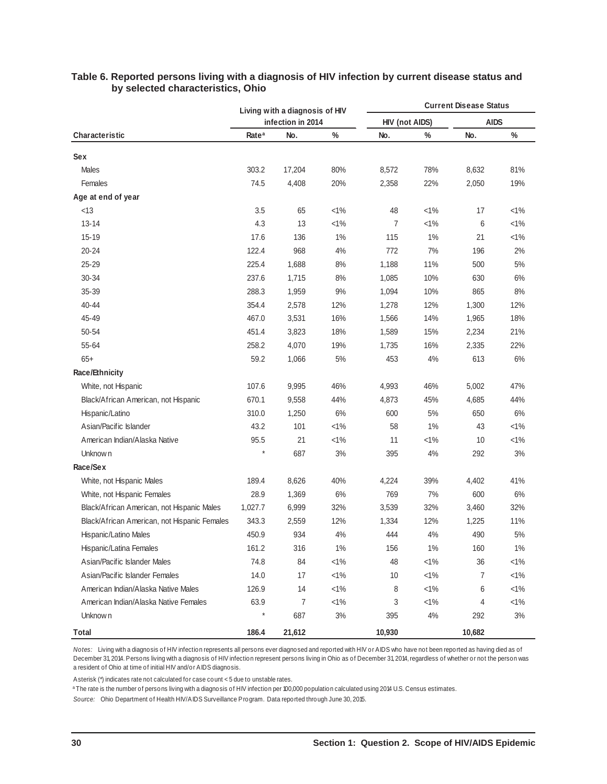|                                              |                   | Living with a diagnosis of HIV |         |                | <b>Current Disease Status</b> |             |         |  |  |  |  |
|----------------------------------------------|-------------------|--------------------------------|---------|----------------|-------------------------------|-------------|---------|--|--|--|--|
|                                              |                   | infection in 2014              |         | HIV (not AIDS) |                               | <b>AIDS</b> |         |  |  |  |  |
| Characteristic                               | Rate <sup>a</sup> | No.                            | $\%$    | No.            | %                             | No.         | $\%$    |  |  |  |  |
| <b>Sex</b>                                   |                   |                                |         |                |                               |             |         |  |  |  |  |
| Males                                        | 303.2             | 17,204                         | 80%     | 8,572          | 78%                           | 8,632       | 81%     |  |  |  |  |
| Females                                      | 74.5              | 4,408                          | 20%     | 2,358          | 22%                           | 2,050       | 19%     |  |  |  |  |
| Age at end of year                           |                   |                                |         |                |                               |             |         |  |  |  |  |
| < 13                                         | 3.5               | 65                             | $< 1\%$ | 48             | $< 1\%$                       | 17          | $< 1\%$ |  |  |  |  |
| $13 - 14$                                    | 4.3               | 13                             | $< 1\%$ | $\overline{7}$ | $< 1\%$                       | 6           | $< 1\%$ |  |  |  |  |
| $15 - 19$                                    | 17.6              | 136                            | $1\%$   | 115            | $1\%$                         | 21          | $< 1\%$ |  |  |  |  |
| $20 - 24$                                    | 122.4             | 968                            | 4%      | 772            | 7%                            | 196         | 2%      |  |  |  |  |
| 25-29                                        | 225.4             | 1,688                          | 8%      | 1,188          | 11%                           | 500         | 5%      |  |  |  |  |
| 30-34                                        | 237.6             | 1,715                          | 8%      | 1,085          | 10%                           | 630         | 6%      |  |  |  |  |
| 35-39                                        | 288.3             | 1,959                          | 9%      | 1,094          | 10%                           | 865         | 8%      |  |  |  |  |
| $40 - 44$                                    | 354.4             | 2,578                          | 12%     | 1,278          | 12%                           | 1,300       | 12%     |  |  |  |  |
| 45-49                                        | 467.0             | 3,531                          | 16%     | 1,566          | 14%                           | 1,965       | 18%     |  |  |  |  |
| 50-54                                        | 451.4             | 3,823                          | 18%     | 1,589          | 15%                           | 2,234       | 21%     |  |  |  |  |
| 55-64                                        | 258.2             | 4,070                          | 19%     | 1,735          | 16%                           | 2,335       | 22%     |  |  |  |  |
| $65+$                                        | 59.2              | 1,066                          | 5%      | 453            | 4%                            | 613         | 6%      |  |  |  |  |
| Race/Ethnicity                               |                   |                                |         |                |                               |             |         |  |  |  |  |
| White, not Hispanic                          | 107.6             | 9,995                          | 46%     | 4,993          | 46%                           | 5,002       | 47%     |  |  |  |  |
| Black/African American, not Hispanic         | 670.1             | 9,558                          | 44%     | 4,873          | 45%                           | 4,685       | 44%     |  |  |  |  |
| Hispanic/Latino                              | 310.0             | 1,250                          | 6%      | 600            | $5%$                          | 650         | 6%      |  |  |  |  |
| Asian/Pacific Islander                       | 43.2              | 101                            | $< 1\%$ | 58             | $1\%$                         | 43          | $< 1\%$ |  |  |  |  |
| American Indian/Alaska Native                | 95.5              | 21                             | $< 1\%$ | 11             | $< 1\%$                       | 10          | $< 1\%$ |  |  |  |  |
| Unknow n                                     | $\star$           | 687                            | 3%      | 395            | 4%                            | 292         | 3%      |  |  |  |  |
| Race/Sex                                     |                   |                                |         |                |                               |             |         |  |  |  |  |
| White, not Hispanic Males                    | 189.4             | 8,626                          | 40%     | 4,224          | 39%                           | 4,402       | 41%     |  |  |  |  |
| White, not Hispanic Females                  | 28.9              | 1,369                          | 6%      | 769            | 7%                            | 600         | 6%      |  |  |  |  |
| Black/African American, not Hispanic Males   | 1,027.7           | 6,999                          | 32%     | 3,539          | 32%                           | 3,460       | 32%     |  |  |  |  |
| Black/African American, not Hispanic Females | 343.3             | 2,559                          | 12%     | 1,334          | 12%                           | 1,225       | 11%     |  |  |  |  |
| Hispanic/Latino Males                        | 450.9             | 934                            | 4%      | 444            | 4%                            | 490         | $5%$    |  |  |  |  |
| Hispanic/Latina Females                      | 161.2             | 316                            | 1%      | 156            | 1%                            | 160         | 1%      |  |  |  |  |
| Asian/Pacific Islander Males                 | 74.8              | 84                             | $< 1\%$ | 48             | $< 1\%$                       | 36          | $< 1\%$ |  |  |  |  |
| Asian/Pacific Islander Females               | 14.0              | 17                             | $< 1\%$ | 10             | $< 1\%$                       | 7           | $< 1\%$ |  |  |  |  |
| American Indian/Alaska Native Males          | 126.9             | 14                             | $< 1\%$ | 8              | $< 1\%$                       | 6           | $< 1\%$ |  |  |  |  |
| American Indian/Alaska Native Females        | 63.9              | $\overline{7}$                 | $< 1\%$ | 3              | $< 1\%$                       | 4           | $< 1\%$ |  |  |  |  |
| Unknow n                                     | $\star$           | 687                            | 3%      | 395            | 4%                            | 292         | 3%      |  |  |  |  |
| <b>Total</b>                                 | 186.4             | 21,612                         |         | 10,930         |                               | 10,682      |         |  |  |  |  |

#### **Table 6. Reported persons living with a diagnosis of HIV infection by current disease status and by selected characteristics, Ohio**

*Notes:* Living with a diagnosis of HIV infection represents all persons ever diagnosed and reported with HIV or AIDS who have not been reported as having died as of December 31, 2014. Persons living with a diagnosis of HIV infection represent persons living in Ohio as of December 31, 2014, regardless of whether or not the person was a resident of Ohio at time of initial HIV and/or AIDS diagnosis.

Asterisk (\*) indicates rate not calculated for case count < 5 due to unstable rates.

a The rate is the number of persons living with a diagnosis of HIV infection per 100,000 population calculated using 2014 U.S. Census estimates.

*Source:* Ohio Department of Health HIV/AIDS Surveillance Program. Data reported through June 30, 2015.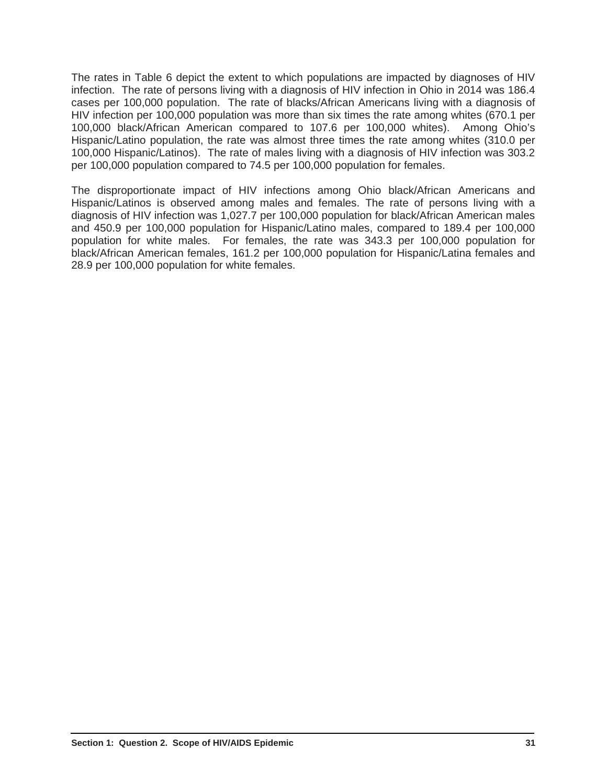The rates in Table 6 depict the extent to which populations are impacted by diagnoses of HIV infection. The rate of persons living with a diagnosis of HIV infection in Ohio in 2014 was 186.4 cases per 100,000 population. The rate of blacks/African Americans living with a diagnosis of HIV infection per 100,000 population was more than six times the rate among whites (670.1 per 100,000 black/African American compared to 107.6 per 100,000 whites). Among Ohio's Hispanic/Latino population, the rate was almost three times the rate among whites (310.0 per 100,000 Hispanic/Latinos). The rate of males living with a diagnosis of HIV infection was 303.2 per 100,000 population compared to 74.5 per 100,000 population for females.

The disproportionate impact of HIV infections among Ohio black/African Americans and Hispanic/Latinos is observed among males and females. The rate of persons living with a diagnosis of HIV infection was 1,027.7 per 100,000 population for black/African American males and 450.9 per 100,000 population for Hispanic/Latino males, compared to 189.4 per 100,000 population for white males. For females, the rate was 343.3 per 100,000 population for black/African American females, 161.2 per 100,000 population for Hispanic/Latina females and 28.9 per 100,000 population for white females.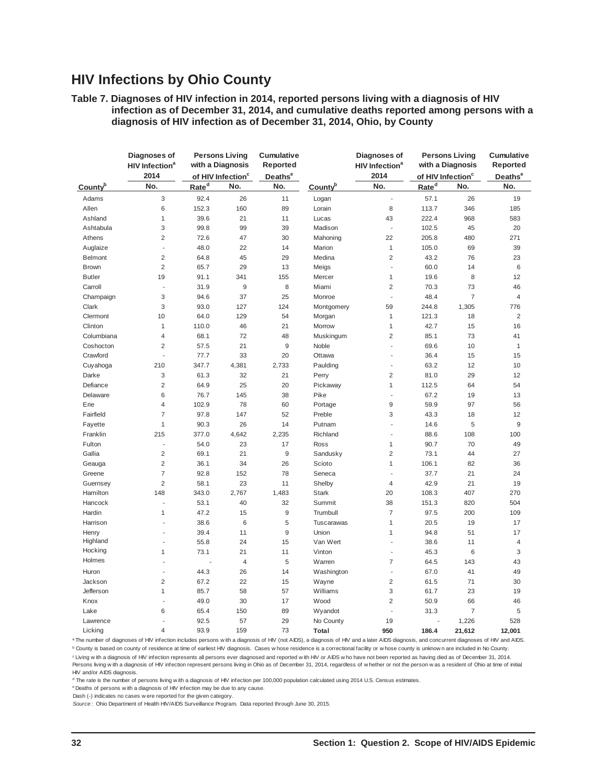## **HIV Infections by Ohio County**

**Table 7. Diagnoses of HIV infection in 2014, reported persons living with a diagnosis of HIV infection as of December 31, 2014, and cumulative deaths reported among persons with a diagnosis of HIV infection as of December 31, 2014, Ohio, by County** 

|                     | <b>Persons Living</b><br>Diagnoses of<br>with a Diagnosis<br><b>HIV</b> Infection <sup>a</sup> |                   | Cumulative<br>Reported        |                     | Diagnoses of<br><b>HIV</b> Infection <sup>a</sup> | <b>Persons Living</b><br>with a Diagnosis | Cumulative<br>Reported |                               |                     |  |
|---------------------|------------------------------------------------------------------------------------------------|-------------------|-------------------------------|---------------------|---------------------------------------------------|-------------------------------------------|------------------------|-------------------------------|---------------------|--|
|                     | 2014                                                                                           |                   | of HIV Infection <sup>c</sup> | Deaths <sup>e</sup> |                                                   | 2014                                      |                        | of HIV Infection <sup>c</sup> | Deaths <sup>e</sup> |  |
| County <sup>b</sup> | No.                                                                                            | Rate <sup>d</sup> | No.                           | No.                 | County <sup>b</sup>                               | No.                                       | Rate <sup>d</sup>      | No.                           | No.                 |  |
| Adams               | 3                                                                                              | 92.4              | 26                            | 11                  | Logan                                             | ä,                                        | 57.1                   | 26                            | 19                  |  |
| Allen               | 6                                                                                              | 152.3             | 160                           | 89                  | Lorain                                            | 8                                         | 113.7                  | 346                           | 185                 |  |
| Ashland             | $\mathbf{1}$                                                                                   | 39.6              | 21                            | 11                  | Lucas                                             | 43                                        | 222.4                  | 968                           | 583                 |  |
| Ashtabula           | 3                                                                                              | 99.8              | 99                            | 39                  | Madison                                           |                                           | 102.5                  | 45                            | 20                  |  |
| Athens              | $\overline{2}$                                                                                 | 72.6              | 47                            | 30                  | Mahoning                                          | 22                                        | 205.8                  | 480                           | 271                 |  |
| Auglaize            | ÷,                                                                                             | 48.0              | 22                            | 14                  | Marion                                            | $\mathbf{1}$                              | 105.0                  | 69                            | 39                  |  |
| Belmont             | $\overline{2}$                                                                                 | 64.8              | 45                            | 29                  | Medina                                            | $\overline{2}$                            | 43.2                   | 76                            | 23                  |  |
| <b>Brown</b>        | $\overline{2}$                                                                                 | 65.7              | 29                            | 13                  | Meigs                                             | L,                                        | 60.0                   | 14                            | 6                   |  |
| <b>Butler</b>       | 19                                                                                             | 91.1              | 341                           | 155                 | Mercer                                            | $\mathbf{1}$                              | 19.6                   | 8                             | 12                  |  |
| Carroll             | ÷,                                                                                             | 31.9              | 9                             | 8                   | Miami                                             | $\overline{2}$                            | 70.3                   | 73                            | 46                  |  |
| Champaign           | 3                                                                                              | 94.6              | 37                            | 25                  | Monroe                                            | ÷,                                        | 48.4                   | 7                             | $\overline{4}$      |  |
| Clark               | 3                                                                                              | 93.0              | 127                           | 124                 | Montgomery                                        | 59                                        | 244.8                  | 1,305                         | 776                 |  |
| Clermont            | 10                                                                                             | 64.0              | 129                           | 54                  | Morgan                                            | $\mathbf{1}$                              | 121.3                  | 18                            | $\overline{2}$      |  |
| Clinton             | $\mathbf{1}$                                                                                   | 110.0             | 46                            | 21                  | Morrow                                            | $\mathbf{1}$                              | 42.7                   | 15                            | 16                  |  |
| Columbiana          | $\overline{4}$                                                                                 | 68.1              | 72                            | 48                  | Muskingum                                         | $\overline{2}$                            | 85.1                   | 73                            | 41                  |  |
| Coshocton           | $\overline{2}$                                                                                 | 57.5              | 21                            | 9                   | Noble                                             | ä,                                        | 69.6                   | 10                            | $\mathbf{1}$        |  |
| Crawford            | Ĭ.                                                                                             | 77.7              | 33                            | 20                  | Ottawa                                            |                                           | 36.4                   | 15                            | 15                  |  |
| Cuyahoga            | 210                                                                                            | 347.7             | 4,381                         | 2,733               | Paulding                                          | L,                                        | 63.2                   | 12                            | 10                  |  |
| Darke               | 3                                                                                              | 61.3              | 32                            | 21                  | Perry                                             | $\overline{2}$                            | 81.0                   | 29                            | 12                  |  |
| Defiance            | $\overline{c}$                                                                                 | 64.9              | 25                            | 20                  | Pickaway                                          | $\mathbf{1}$                              | 112.5                  | 64                            | 54                  |  |
| Delaware            | 6                                                                                              | 76.7              | 145                           | 38                  | Pike                                              | $\overline{a}$                            | 67.2                   | 19                            | 13                  |  |
| Erie                | $\overline{4}$                                                                                 | 102.9             | 78                            | 60                  | Portage                                           | 9                                         | 59.9                   | 97                            | 56                  |  |
| Fairfield           | $\overline{7}$                                                                                 | 97.8              | 147                           | 52                  | Preble                                            | 3                                         | 43.3                   | 18                            | 12                  |  |
| Fayette             | 1                                                                                              | 90.3              | 26                            | 14                  | Putnam                                            | L,                                        | 14.6                   | 5                             | 9                   |  |
| Franklin            | 215                                                                                            | 377.0             | 4,642                         | 2,235               | Richland                                          | ä,                                        | 88.6                   | 108                           | 100                 |  |
| Fulton              | ÷,                                                                                             | 54.0              | 23                            | 17                  | Ross                                              | $\mathbf{1}$                              | 90.7                   | 70                            | 49                  |  |
| Gallia              | $\overline{2}$                                                                                 | 69.1              | 21                            | 9                   | Sandusky                                          | $\overline{2}$                            | 73.1                   | 44                            | 27                  |  |
| Geauga              | $\overline{2}$                                                                                 | 36.1              | 34                            | 26                  | Scioto                                            | $\mathbf{1}$                              | 106.1                  | 82                            | 36                  |  |
| Greene              | $\overline{7}$                                                                                 | 92.8              | 152                           | 78                  | Seneca                                            | ä,                                        | 37.7                   | 21                            | 24                  |  |
| Guernsey            | $\overline{2}$                                                                                 | 58.1              | 23                            | 11                  | Shelby                                            | $\overline{4}$                            | 42.9                   | 21                            | 19                  |  |
| Hamilton            | 148                                                                                            | 343.0             | 2,767                         | 1,483               | <b>Stark</b>                                      | 20                                        | 108.3                  | 407                           | 270                 |  |
| Hancock             | ÷,                                                                                             | 53.1              | 40                            | 32                  | Summit                                            | 38                                        | 151.3                  | 820                           | 504                 |  |
| Hardin              | $\mathbf{1}$                                                                                   | 47.2              | 15                            | 9                   | Trumbull                                          | $\overline{7}$                            | 97.5                   | 200                           | 109                 |  |
| Harrison            |                                                                                                | 38.6              | 6                             | 5                   | Tuscarawas                                        | $\mathbf{1}$                              | 20.5                   | 19                            | 17                  |  |
| Henry               | ٠                                                                                              | 39.4              | 11                            | 9                   | Union                                             | $\mathbf{1}$                              | 94.8                   | 51                            | 17                  |  |
| Highland            | ÷,                                                                                             | 55.8              | 24                            | 15                  | Van Wert                                          | ä,                                        | 38.6                   | 11                            | 4                   |  |
| Hocking             | 1                                                                                              | 73.1              | 21                            | 11                  | Vinton                                            | ä,                                        | 45.3                   | 6                             | 3                   |  |
| Holmes              |                                                                                                |                   | $\overline{4}$                | 5                   | Warren                                            | $\overline{7}$                            | 64.5                   | 143                           | 43                  |  |
| Huron               | ÷,                                                                                             | 44.3              | 26                            | 14                  | Washington                                        | ÷,                                        | 67.0                   | 41                            | 49                  |  |
|                     |                                                                                                |                   |                               |                     |                                                   |                                           |                        |                               |                     |  |
| Jackson             | $\overline{2}$                                                                                 | 67.2              | 22                            | 15                  | Wayne                                             | 2<br>3                                    | 61.5                   | 71                            | 30                  |  |
| Jefferson           | $\mathbf{1}$                                                                                   | 85.7              | 58                            | 57                  | Williams                                          |                                           | 61.7                   | 23                            | 19                  |  |
| Knox                | ÷,                                                                                             | 49.0              | 30                            | 17                  | Wood                                              | $\overline{2}$                            | 50.9                   | 66                            | 46                  |  |
| Lake                | 6                                                                                              | 65.4              | 150                           | 89                  | Wyandot                                           |                                           | 31.3                   | $\overline{7}$                | 5                   |  |
| Lawrence            |                                                                                                | 92.5              | 57                            | 29                  | No County                                         | 19                                        |                        | 1,226                         | 528                 |  |
| Licking             | 4                                                                                              | 93.9              | 159                           | 73                  | <b>Total</b>                                      | 950                                       | 186.4                  | 21,612                        | 12,001              |  |

a The number of diagnoses of HIV infection includes persons w ith a diagnosis of HIV (not AIDS), a diagnosis of HIV and a later AIDS diagnosis, and concurrent diagnoses of HIV and AIDS. **b** County is based on county of residence at time of earliest HIV diagnosis. Cases w hose residence is a correctional facility or w hose county is unknow n are included in No County.

c Living w ith a diagnosis of HIV infection represents all persons ever diagnosed and reported w ith HIV or AIDS w ho have not been reported as having died as of December 31, 2014. Persons living with a diagnosis of HIV infection represent persons living in Ohio as of December 31, 2014, regardless of w hether or not the person w as a resident of Ohio at time of initial HIV and/or AIDS diagnosis.

d The rate is the number of persons living w ith a diagnosis of HIV infection per 100,000 population calculated using 2014 U.S. Census estimates.

e Deaths of persons w ith a diagnosis of HIV infection may be due to any cause.

Dash (-) indicates no cases w ere reported for the given category.

*Source* : Ohio Department of Health HIV/AIDS Surveillance Program. Data reported through June 30, 2015.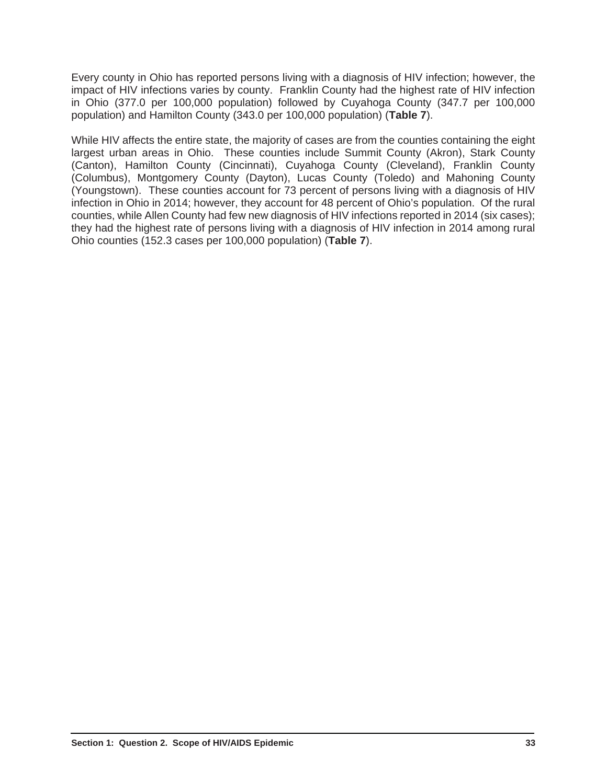Every county in Ohio has reported persons living with a diagnosis of HIV infection; however, the impact of HIV infections varies by county. Franklin County had the highest rate of HIV infection in Ohio (377.0 per 100,000 population) followed by Cuyahoga County (347.7 per 100,000 population) and Hamilton County (343.0 per 100,000 population) (**Table 7**).

While HIV affects the entire state, the majority of cases are from the counties containing the eight largest urban areas in Ohio. These counties include Summit County (Akron), Stark County (Canton), Hamilton County (Cincinnati), Cuyahoga County (Cleveland), Franklin County (Columbus), Montgomery County (Dayton), Lucas County (Toledo) and Mahoning County (Youngstown). These counties account for 73 percent of persons living with a diagnosis of HIV infection in Ohio in 2014; however, they account for 48 percent of Ohio's population. Of the rural counties, while Allen County had few new diagnosis of HIV infections reported in 2014 (six cases); they had the highest rate of persons living with a diagnosis of HIV infection in 2014 among rural Ohio counties (152.3 cases per 100,000 population) (**Table 7**).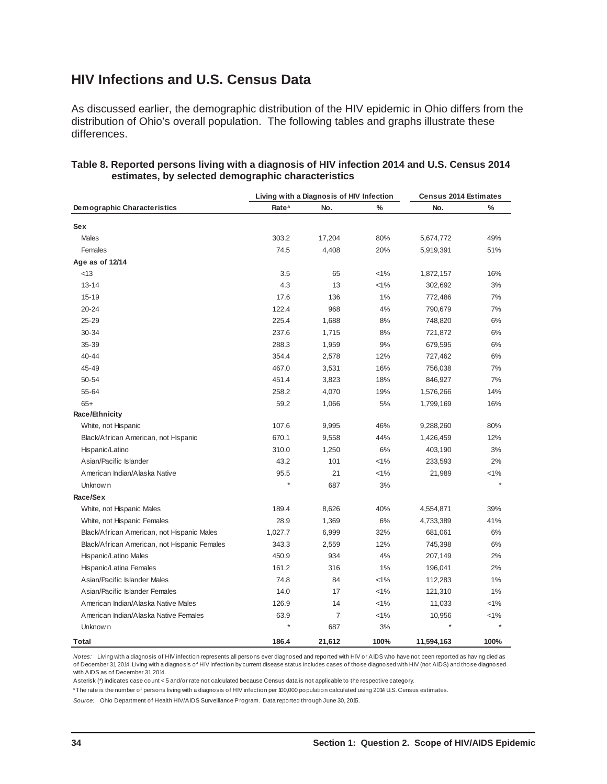# **HIV Infections and U.S. Census Data**

As discussed earlier, the demographic distribution of the HIV epidemic in Ohio differs from the distribution of Ohio's overall population. The following tables and graphs illustrate these differences.

|                                              |                   | Living with a Diagnosis of HIV Infection | <b>Census 2014 Estimates</b> |            |         |
|----------------------------------------------|-------------------|------------------------------------------|------------------------------|------------|---------|
| Demographic Characteristics                  | Rate <sup>a</sup> | No.                                      | $\frac{0}{0}$                | No.        | $\%$    |
| <b>Sex</b>                                   |                   |                                          |                              |            |         |
| <b>Males</b>                                 | 303.2             | 17,204                                   | 80%                          | 5,674,772  | 49%     |
| Females                                      | 74.5              | 4,408                                    | 20%                          | 5,919,391  | 51%     |
| Age as of 12/14                              |                   |                                          |                              |            |         |
| < 13                                         | 3.5               | 65                                       | $< 1\%$                      | 1,872,157  | 16%     |
| $13 - 14$                                    | 4.3               | 13                                       | $1\%$                        | 302,692    | 3%      |
| $15 - 19$                                    | 17.6              | 136                                      | 1%                           | 772,486    | 7%      |
| $20 - 24$                                    | 122.4             | 968                                      | 4%                           | 790,679    | 7%      |
| 25-29                                        | 225.4             | 1,688                                    | 8%                           | 748,820    | 6%      |
| 30-34                                        | 237.6             | 1,715                                    | 8%                           | 721,872    | 6%      |
| 35-39                                        | 288.3             | 1,959                                    | 9%                           | 679,595    | 6%      |
| 40-44                                        | 354.4             | 2,578                                    | 12%                          | 727,462    | 6%      |
| 45-49                                        | 467.0             | 3,531                                    | 16%                          | 756,038    | 7%      |
| 50-54                                        | 451.4             | 3,823                                    | 18%                          | 846,927    | 7%      |
| 55-64                                        | 258.2             | 4,070                                    | 19%                          | 1,576,266  | 14%     |
| $65+$                                        | 59.2              | 1,066                                    | 5%                           | 1,799,169  | 16%     |
| Race/Ethnicity                               |                   |                                          |                              |            |         |
| White, not Hispanic                          | 107.6             | 9,995                                    | 46%                          | 9,288,260  | 80%     |
| Black/African American, not Hispanic         | 670.1             | 9,558                                    | 44%                          | 1,426,459  | 12%     |
| Hispanic/Latino                              | 310.0             | 1,250                                    | 6%                           | 403,190    | 3%      |
| Asian/Pacific Islander                       | 43.2              | 101                                      | $1\%$                        | 233,593    | 2%      |
| American Indian/Alaska Native                | 95.5              | 21                                       | $1\%$                        | 21,989     | $< 1\%$ |
| Unknow <sub>n</sub>                          |                   | 687                                      | 3%                           |            |         |
| Race/Sex                                     |                   |                                          |                              |            |         |
| White, not Hispanic Males                    | 189.4             | 8,626                                    | 40%                          | 4,554,871  | 39%     |
| White, not Hispanic Females                  | 28.9              | 1,369                                    | 6%                           | 4,733,389  | 41%     |
| Black/African American, not Hispanic Males   | 1,027.7           | 6,999                                    | 32%                          | 681,061    | 6%      |
| Black/African American, not Hispanic Females | 343.3             | 2,559                                    | 12%                          | 745,398    | 6%      |
| Hispanic/Latino Males                        | 450.9             | 934                                      | 4%                           | 207,149    | 2%      |
| Hispanic/Latina Females                      | 161.2             | 316                                      | 1%                           | 196,041    | 2%      |
| Asian/Pacific Islander Males                 | 74.8              | 84                                       | $1\%$                        | 112,283    | 1%      |
| Asian/Pacific Islander Females               | 14.0              | 17                                       | $1\%$                        | 121,310    | 1%      |
| American Indian/Alaska Native Males          | 126.9             | 14                                       | 1%                           | 11,033     | $< 1\%$ |
| American Indian/Alaska Native Females        | 63.9              | $\overline{7}$                           | $< 1\%$                      | 10,956     | $< 1\%$ |
| Unknow n                                     |                   | 687                                      | 3%                           |            |         |
| Total                                        | 186.4             | 21.612                                   | 100%                         | 11,594,163 | 100%    |

#### **Table 8. Reported persons living with a diagnosis of HIV infection 2014 and U.S. Census 2014 estimates, by selected demographic characteristics**

*Notes:* Living with a diagnosis of HIV infection represents all persons ever diagnosed and reported with HIV or AIDS who have not been reported as having died as of December 31, 2014. Living with a diagnosis of HIV infection by current disease status includes cases of those diagnosed with HIV (not AIDS) and those diagnosed with AIDS as of December 31, 2014.

Asterisk (\*) indicates case count < 5 and/or rate not calculated because Census data is not applicable to the respective category.

a The rate is the number of persons living with a diagnosis of HIV infection per 100,000 population calculated using 2014 U.S. Census estimates.

*Source:* Ohio Department of Health HIV/AIDS Surveillance Program. Data reported through June 30, 2015.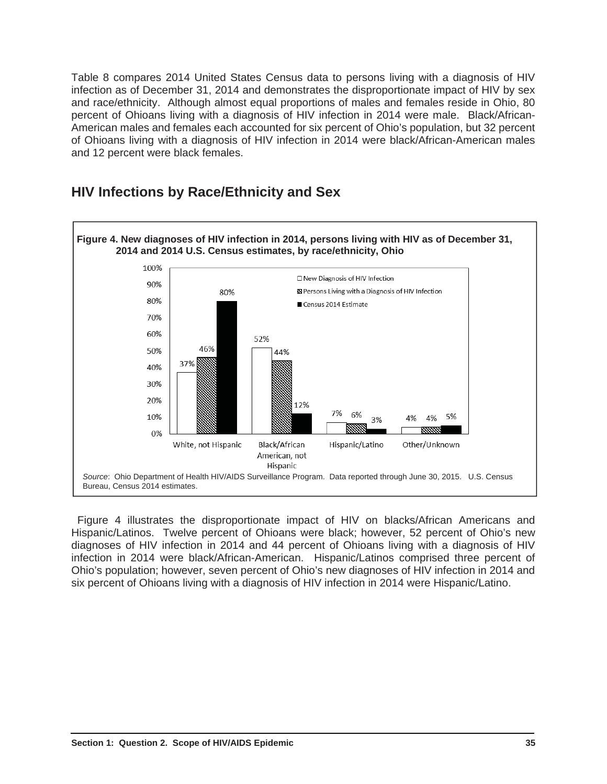Table 8 compares 2014 United States Census data to persons living with a diagnosis of HIV infection as of December 31, 2014 and demonstrates the disproportionate impact of HIV by sex and race/ethnicity. Although almost equal proportions of males and females reside in Ohio, 80 percent of Ohioans living with a diagnosis of HIV infection in 2014 were male. Black/African-American males and females each accounted for six percent of Ohio's population, but 32 percent of Ohioans living with a diagnosis of HIV infection in 2014 were black/African-American males and 12 percent were black females.



# **HIV Infections by Race/Ethnicity and Sex**

 Figure 4 illustrates the disproportionate impact of HIV on blacks/African Americans and Hispanic/Latinos. Twelve percent of Ohioans were black; however, 52 percent of Ohio's new diagnoses of HIV infection in 2014 and 44 percent of Ohioans living with a diagnosis of HIV infection in 2014 were black/African-American. Hispanic/Latinos comprised three percent of Ohio's population; however, seven percent of Ohio's new diagnoses of HIV infection in 2014 and six percent of Ohioans living with a diagnosis of HIV infection in 2014 were Hispanic/Latino.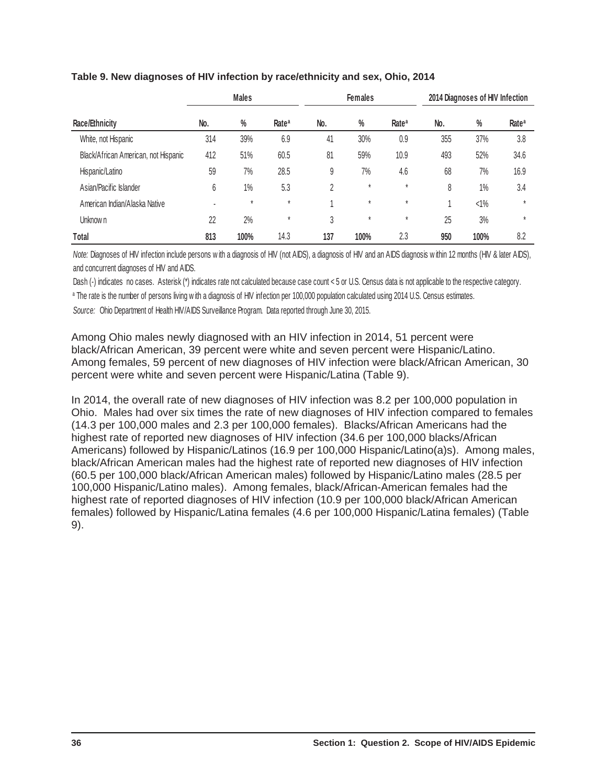|                                      | <b>Males</b> |         |                   |     | <b>Females</b> |                   | 2014 Diagnoses of HIV Infection |               |                   |  |
|--------------------------------------|--------------|---------|-------------------|-----|----------------|-------------------|---------------------------------|---------------|-------------------|--|
| Race/Ethnicity                       | No.          | $\%$    | Rate <sup>a</sup> | No. | $\frac{0}{0}$  | Rate <sup>a</sup> | No.                             | $\frac{0}{0}$ | Rate <sup>a</sup> |  |
| White, not Hispanic                  | 314          | 39%     | 6.9               | 41  | 30%            | 0.9               | 355                             | 37%           | 3.8               |  |
| Black/African American, not Hispanic | 412          | 51%     | 60.5              | 81  | 59%            | 10.9              | 493                             | 52%           | 34.6              |  |
| Hispanic/Latino                      | 59           | 7%      | 28.5              | 9   | 7%             | 4.6               | 68                              | 7%            | 16.9              |  |
| Asian/Pacific Islander               | 6            | $1\%$   | 5.3               | 2   | $\star$        | $\star$           | 8                               | $1\%$         | 3.4               |  |
| American Indian/Alaska Native        | ۰            | $\star$ | $^\star$          |     | $^\star$       | $\star$           |                                 | $< 1\%$       | $\star$           |  |
| Unknown                              | 22           | 2%      | $^\star$          | 3   | $\star$        | $^\star$          | 25                              | 3%            | $\star$           |  |
| <b>Total</b>                         | 813          | 100%    | 14.3              | 137 | 100%           | 2.3               | 950                             | 100%          | 8.2               |  |

### **Table 9. New diagnoses of HIV infection by race/ethnicity and sex, Ohio, 2014**

*Note:* Diagnoses of HIV infection include persons w ith a diagnosis of HIV (not AIDS), a diagnosis of HIV and an AIDS diagnosis w ithin 12 months (HIV & later AIDS), and concurrent diagnoses of HIV and AIDS.

Dash (-) indicates no cases. Asterisk (\*) indicates rate not calculated because case count < 5 or U.S. Census data is not applicable to the respective category.

<sup>a</sup> The rate is the number of persons living w ith a diagnosis of HIV infection per 100,000 population calculated using 2014 U.S. Census estimates.

*Source:* Ohio Department of Health HIV/AIDS Surveillance Program. Data reported through June 30, 2015.

Among Ohio males newly diagnosed with an HIV infection in 2014, 51 percent were black/African American, 39 percent were white and seven percent were Hispanic/Latino. Among females, 59 percent of new diagnoses of HIV infection were black/African American, 30 percent were white and seven percent were Hispanic/Latina (Table 9).

In 2014, the overall rate of new diagnoses of HIV infection was 8.2 per 100,000 population in Ohio. Males had over six times the rate of new diagnoses of HIV infection compared to females (14.3 per 100,000 males and 2.3 per 100,000 females). Blacks/African Americans had the highest rate of reported new diagnoses of HIV infection (34.6 per 100,000 blacks/African Americans) followed by Hispanic/Latinos (16.9 per 100,000 Hispanic/Latino(a)s). Among males, black/African American males had the highest rate of reported new diagnoses of HIV infection (60.5 per 100,000 black/African American males) followed by Hispanic/Latino males (28.5 per 100,000 Hispanic/Latino males). Among females, black/African-American females had the highest rate of reported diagnoses of HIV infection (10.9 per 100,000 black/African American females) followed by Hispanic/Latina females (4.6 per 100,000 Hispanic/Latina females) (Table 9).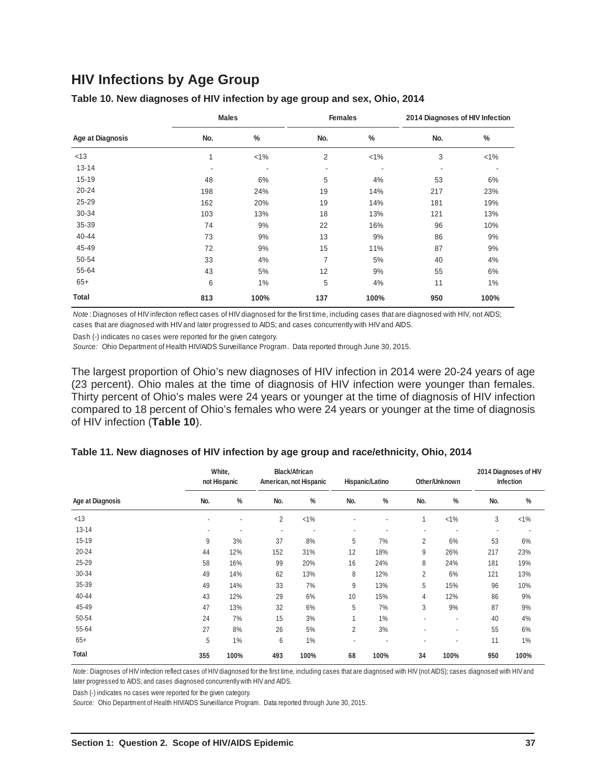## **HIV Infections by Age Group**

|                  | <b>Males</b>             |               | <b>Females</b>           |               | 2014 Diagnoses of HIV Infection |         |  |
|------------------|--------------------------|---------------|--------------------------|---------------|---------------------------------|---------|--|
| Age at Diagnosis | No.                      | $\frac{0}{0}$ | No.                      | $\frac{0}{0}$ | No.                             | %       |  |
| < 13             | 1                        | $< 1\%$       | $\overline{2}$           | $< 1\%$       | 3                               | $< 1\%$ |  |
| $13 - 14$        | $\overline{\phantom{a}}$ |               | $\overline{\phantom{a}}$ | ٠             | ٠                               |         |  |
| $15 - 19$        | 48                       | 6%            | 5                        | 4%            | 53                              | 6%      |  |
| $20 - 24$        | 198                      | 24%           | 19                       | 14%           | 217                             | 23%     |  |
| 25-29            | 162                      | 20%           | 19                       | 14%           | 181                             | 19%     |  |
| 30-34            | 103                      | 13%           | 18                       | 13%           | 121                             | 13%     |  |
| 35-39            | 74                       | 9%            | 22                       | 16%           | 96                              | 10%     |  |
| 40-44            | 73                       | 9%            | 13                       | 9%            | 86                              | 9%      |  |
| 45-49            | 72                       | 9%            | 15                       | 11%           | 87                              | 9%      |  |
| 50-54            | 33                       | 4%            | 7                        | 5%            | 40                              | 4%      |  |
| 55-64            | 43                       | 5%            | 12                       | 9%            | 55                              | 6%      |  |
| $65+$            | 6                        | $1\%$         | 5                        | 4%            | 11                              | $1\%$   |  |
| Total            | 813                      | 100%          | 137                      | 100%          | 950                             | 100%    |  |

**Table 10. New diagnoses of HIV infection by age group and sex, Ohio, 2014** 

*Note* : Diagnoses of HIV infection reflect cases of HIV diagnosed for the first time, including cases that are diagnosed with HIV, not AIDS; cases that are diagnosed with HIV and later progressed to AIDS; and cases concurrently with HIV and AIDS.

Dash (-) indicates no cases were reported for the given category.

*Source:* Ohio Department of Health HIV/AIDS Surveillance Program. Data reported through June 30, 2015.

The largest proportion of Ohio's new diagnoses of HIV infection in 2014 were 20-24 years of age (23 percent). Ohio males at the time of diagnosis of HIV infection were younger than females. Thirty percent of Ohio's males were 24 years or younger at the time of diagnosis of HIV infection compared to 18 percent of Ohio's females who were 24 years or younger at the time of diagnosis of HIV infection (**Table 10**).

|                  |     | White,<br>not Hispanic |                | <b>Black/African</b><br>American, not Hispanic |                          | Hispanic/Latino |     | Other/Unknown            |     | 2014 Diagnoses of HIV<br>Infection |  |
|------------------|-----|------------------------|----------------|------------------------------------------------|--------------------------|-----------------|-----|--------------------------|-----|------------------------------------|--|
| Age at Diagnosis | No. | $\frac{0}{0}$          | No.            | $\%$                                           | No.                      | $\%$            | No. | $\%$                     | No. | $\%$                               |  |
| < 13             | ٠   | ۰                      | $\overline{2}$ | $< 1\%$                                        |                          |                 | 1   | $< 1\%$                  | 3   | $< 1\%$                            |  |
| $13 - 14$        | ٠   |                        | ٠              | $\overline{\phantom{a}}$                       | $\overline{\phantom{a}}$ | ٠               | ٠   |                          | ٠   | $\overline{\phantom{a}}$           |  |
| 15-19            | 9   | 3%                     | 37             | 8%                                             | 5                        | 7%              | 2   | 6%                       | 53  | 6%                                 |  |
| $20 - 24$        | 44  | 12%                    | 152            | 31%                                            | 12                       | 18%             | 9   | 26%                      | 217 | 23%                                |  |
| 25-29            | 58  | 16%                    | 99             | 20%                                            | 16                       | 24%             | 8   | 24%                      | 181 | 19%                                |  |
| 30-34            | 49  | 14%                    | 62             | 13%                                            | 8                        | 12%             | 2   | 6%                       | 121 | 13%                                |  |
| 35-39            | 49  | 14%                    | 33             | 7%                                             | 9                        | 13%             | 5   | 15%                      | 96  | 10%                                |  |
| 40-44            | 43  | 12%                    | 29             | 6%                                             | 10                       | 15%             | 4   | 12%                      | 86  | 9%                                 |  |
| 45-49            | 47  | 13%                    | 32             | 6%                                             | 5                        | 7%              | 3   | 9%                       | 87  | 9%                                 |  |
| 50-54            | 24  | 7%                     | 15             | 3%                                             |                          | 1%              | ٠   | $\overline{\phantom{a}}$ | 40  | 4%                                 |  |
| 55-64            | 27  | 8%                     | 26             | 5%                                             | $\overline{2}$           | 3%              |     | $\overline{\phantom{a}}$ | 55  | 6%                                 |  |
| $65+$            | 5   | 1%                     | 6              | 1%                                             |                          |                 |     |                          | 11  | $1\%$                              |  |
| Total            | 355 | 100%                   | 493            | 100%                                           | 68                       | 100%            | 34  | 100%                     | 950 | 100%                               |  |

#### **Table 11. New diagnoses of HIV infection by age group and race/ethnicity, Ohio, 2014**

*Note* : Diagnoses of HIV infection reflect cases of HIV diagnosed for the first time, including cases that are diagnosed with HIV (not AIDS); cases diagnosed with HIV and later progressed to AIDS; and cases diagnosed concurrently with HIV and AIDS.

Dash (-) indicates no cases were reported for the given category.

*Source:* Ohio Department of Health HIV/AIDS Surveillance Program. Data reported through June 30, 2015.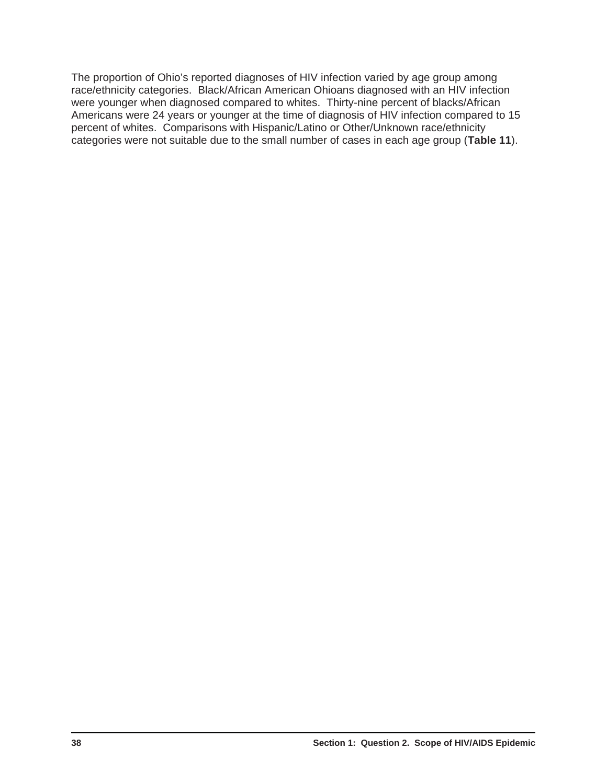The proportion of Ohio's reported diagnoses of HIV infection varied by age group among race/ethnicity categories. Black/African American Ohioans diagnosed with an HIV infection were younger when diagnosed compared to whites. Thirty-nine percent of blacks/African Americans were 24 years or younger at the time of diagnosis of HIV infection compared to 15 percent of whites. Comparisons with Hispanic/Latino or Other/Unknown race/ethnicity categories were not suitable due to the small number of cases in each age group (**Table 11**).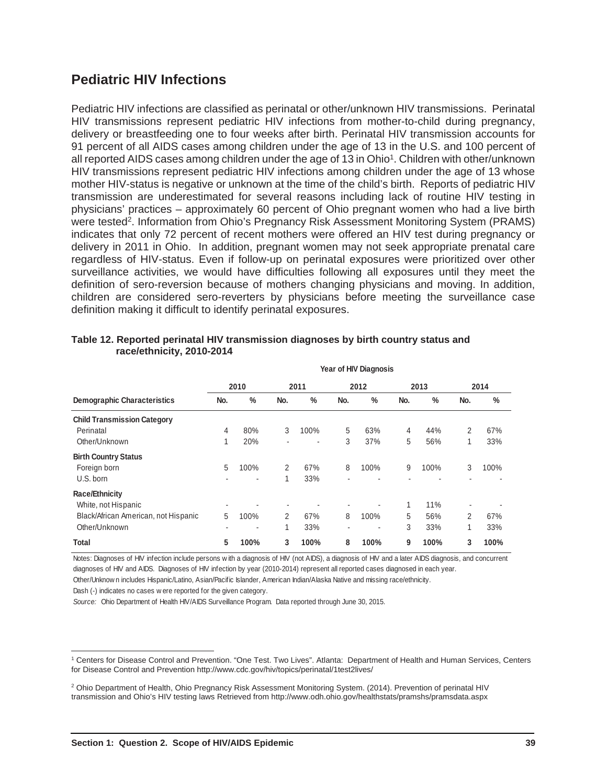## **Pediatric HIV Infections**

Pediatric HIV infections are classified as perinatal or other/unknown HIV transmissions. Perinatal HIV transmissions represent pediatric HIV infections from mother-to-child during pregnancy, delivery or breastfeeding one to four weeks after birth. Perinatal HIV transmission accounts for 91 percent of all AIDS cases among children under the age of 13 in the U.S. and 100 percent of all reported AIDS cases among children under the age of 13 in Ohio1. Children with other/unknown HIV transmissions represent pediatric HIV infections among children under the age of 13 whose mother HIV-status is negative or unknown at the time of the child's birth. Reports of pediatric HIV transmission are underestimated for several reasons including lack of routine HIV testing in physicians' practices – approximately 60 percent of Ohio pregnant women who had a live birth were tested2. Information from Ohio's Pregnancy Risk Assessment Monitoring System (PRAMS) indicates that only 72 percent of recent mothers were offered an HIV test during pregnancy or delivery in 2011 in Ohio. In addition, pregnant women may not seek appropriate prenatal care regardless of HIV-status. Even if follow-up on perinatal exposures were prioritized over other surveillance activities, we would have difficulties following all exposures until they meet the definition of sero-reversion because of mothers changing physicians and moving. In addition, children are considered sero-reverters by physicians before meeting the surveillance case definition making it difficult to identify perinatal exposures.

**Year of HIV Diagnosis**

|                                      |                          |                          |     |               |     | <b>IGAI UI IIIV DIAYIIUSIS</b> |     |               |                |               |  |  |  |  |
|--------------------------------------|--------------------------|--------------------------|-----|---------------|-----|--------------------------------|-----|---------------|----------------|---------------|--|--|--|--|
|                                      |                          | 2010                     |     | 2011          |     | 2012                           |     | 2013          |                | 2014          |  |  |  |  |
| <b>Demographic Characteristics</b>   | No.                      | $\frac{0}{0}$            | No. | $\frac{0}{0}$ | No. | $\frac{0}{0}$                  | No. | $\frac{0}{0}$ | No.            | $\frac{0}{0}$ |  |  |  |  |
| <b>Child Transmission Category</b>   |                          |                          |     |               |     |                                |     |               |                |               |  |  |  |  |
| Perinatal                            | 4                        | 80%                      | 3   | 100%          | 5   | 63%                            | 4   | 44%           | $\overline{2}$ | 67%           |  |  |  |  |
| Other/Unknown                        | 1                        | 20%                      |     |               | 3   | 37%                            | 5   | 56%           | 1              | 33%           |  |  |  |  |
| <b>Birth Country Status</b>          |                          |                          |     |               |     |                                |     |               |                |               |  |  |  |  |
| Foreign born                         | 5                        | 100%                     | 2   | 67%           | 8   | 100%                           | 9   | 100%          | 3              | 100%          |  |  |  |  |
| U.S. born                            | ۰                        | $\overline{\phantom{a}}$ | 1   | 33%           |     |                                |     |               |                |               |  |  |  |  |
| <b>Race/Ethnicity</b>                |                          |                          |     |               |     |                                |     |               |                |               |  |  |  |  |
| White, not Hispanic                  | $\overline{\phantom{a}}$ |                          |     |               |     |                                | 1   | 11%           | $\blacksquare$ |               |  |  |  |  |
| Black/African American, not Hispanic | 5                        | 100%                     | 2   | 67%           | 8   | 100%                           | 5   | 56%           | $\overline{2}$ | 67%           |  |  |  |  |
| Other/Unknown                        | ۰                        | ٠                        | 1   | 33%           |     | ۰                              | 3   | 33%           | 1              | 33%           |  |  |  |  |
| Total                                | 5                        | 100%                     | 3   | 100%          | 8   | 100%                           | 9   | 100%          | 3              | 100%          |  |  |  |  |

#### **Table 12. Reported perinatal HIV transmission diagnoses by birth country status and race/ethnicity, 2010-2014**

Other/Unknow n includes Hispanic/Latino, Asian/Pacific Islander, American Indian/Alaska Native and missing race/ethnicity. Notes: Diagnoses of HIV infection include persons with a diagnosis of HIV (not AIDS), a diagnosis of HIV and a later AIDS diagnosis, and concurrent diagnoses of HIV and AIDS. Diagnoses of HIV infection by year (2010-2014) represent all reported cases diagnosed in each year.

Dash (-) indicates no cases w ere reported for the given category.

l

*Source:* Ohio Department of Health HIV/AIDS Surveillance Program. Data reported through June 30, 2015.

<sup>1</sup> Centers for Disease Control and Prevention. "One Test. Two Lives". Atlanta: Department of Health and Human Services, Centers for Disease Control and Prevention http://www.cdc.gov/hiv/topics/perinatal/1test2lives/

<sup>2</sup> Ohio Department of Health, Ohio Pregnancy Risk Assessment Monitoring System. (2014). Prevention of perinatal HIV transmission and Ohio's HIV testing laws Retrieved from http://www.odh.ohio.gov/healthstats/pramshs/pramsdata.aspx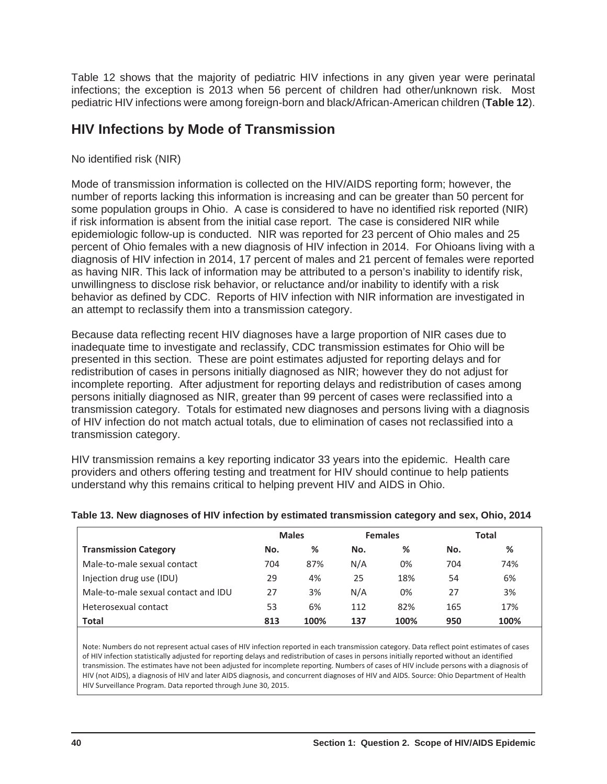Table 12 shows that the majority of pediatric HIV infections in any given year were perinatal infections; the exception is 2013 when 56 percent of children had other/unknown risk. Most pediatric HIV infections were among foreign-born and black/African-American children (**Table 12**).

# **HIV Infections by Mode of Transmission**

No identified risk (NIR)

Mode of transmission information is collected on the HIV/AIDS reporting form; however, the number of reports lacking this information is increasing and can be greater than 50 percent for some population groups in Ohio. A case is considered to have no identified risk reported (NIR) if risk information is absent from the initial case report. The case is considered NIR while epidemiologic follow-up is conducted. NIR was reported for 23 percent of Ohio males and 25 percent of Ohio females with a new diagnosis of HIV infection in 2014. For Ohioans living with a diagnosis of HIV infection in 2014, 17 percent of males and 21 percent of females were reported as having NIR. This lack of information may be attributed to a person's inability to identify risk, unwillingness to disclose risk behavior, or reluctance and/or inability to identify with a risk behavior as defined by CDC. Reports of HIV infection with NIR information are investigated in an attempt to reclassify them into a transmission category.

Because data reflecting recent HIV diagnoses have a large proportion of NIR cases due to inadequate time to investigate and reclassify, CDC transmission estimates for Ohio will be presented in this section. These are point estimates adjusted for reporting delays and for redistribution of cases in persons initially diagnosed as NIR; however they do not adjust for incomplete reporting. After adjustment for reporting delays and redistribution of cases among persons initially diagnosed as NIR, greater than 99 percent of cases were reclassified into a transmission category. Totals for estimated new diagnoses and persons living with a diagnosis of HIV infection do not match actual totals, due to elimination of cases not reclassified into a transmission category.

HIV transmission remains a key reporting indicator 33 years into the epidemic. Health care providers and others offering testing and treatment for HIV should continue to help patients understand why this remains critical to helping prevent HIV and AIDS in Ohio.

|                                     | <b>Males</b> |      | <b>Females</b> |      | Total |      |
|-------------------------------------|--------------|------|----------------|------|-------|------|
| <b>Transmission Category</b>        | No.          | %    | No.            | %    | No.   | %    |
| Male-to-male sexual contact         | 704          | 87%  | N/A            | 0%   | 704   | 74%  |
| Injection drug use (IDU)            | 29           | 4%   | 25             | 18%  | 54    | 6%   |
| Male-to-male sexual contact and IDU | 27           | 3%   | N/A            | 0%   | 27    | 3%   |
| Heterosexual contact                | 53           | 6%   | 112            | 82%  | 165   | 17%  |
| <b>Total</b>                        | 813          | 100% | 137            | 100% | 950   | 100% |

#### **Table 13. New diagnoses of HIV infection by estimated transmission category and sex, Ohio, 2014**

Note: Numbers do not represent actual cases of HIV infection reported in each transmission category. Data reflect point estimates of cases of HIV infection statistically adjusted for reporting delays and redistribution of cases in persons initially reported without an identified transmission. The estimates have not been adjusted for incomplete reporting. Numbers of cases of HIV include persons with a diagnosis of HIV (not AIDS), a diagnosis of HIV and later AIDS diagnosis, and concurrent diagnoses of HIV and AIDS. Source: Ohio Department of Health HIV Surveillance Program. Data reported through June 30, 2015.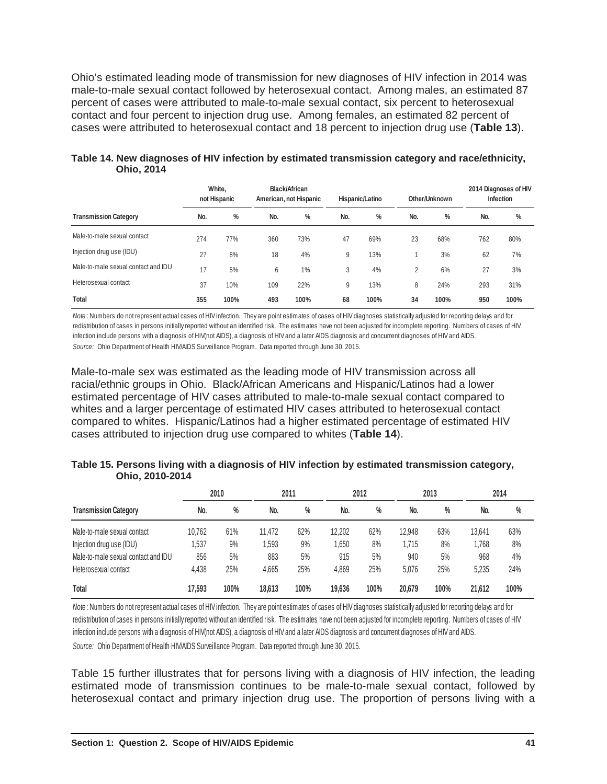Ohio's estimated leading mode of transmission for new diagnoses of HIV infection in 2014 was male-to-male sexual contact followed by heterosexual contact. Among males, an estimated 87 percent of cases were attributed to male-to-male sexual contact, six percent to heterosexual contact and four percent to injection drug use. Among females, an estimated 82 percent of cases were attributed to heterosexual contact and 18 percent to injection drug use (**Table 13**).

|                                     |     | White.<br>not Hispanic |     | Black/African<br>American, not Hispanic |     | Hispanic/Latino |     | Other/Unknown |     | 2014 Diagnoses of HIV<br>Infection |
|-------------------------------------|-----|------------------------|-----|-----------------------------------------|-----|-----------------|-----|---------------|-----|------------------------------------|
| <b>Transmission Category</b>        | No. | $\%$                   | No. | %                                       | No. | $\%$            | No. | $\%$          | No. | %                                  |
| Male-to-male sexual contact         | 274 | 77%                    | 360 | 73%                                     | 47  | 69%             | 23  | 68%           | 762 | 80%                                |
| Injection drug use (IDU)            | 27  | 8%                     | 18  | 4%                                      | 9   | 13%             |     | 3%            | 62  | 7%                                 |
| Male-to-male sexual contact and IDU | 17  | 5%                     | 6   | $1\%$                                   | 3   | 4%              | 2   | 6%            | 27  | 3%                                 |
| Heterosexual contact                | 37  | 10%                    | 109 | 22%                                     | 9   | 13%             | 8   | 24%           | 293 | 31%                                |
| Total                               | 355 | 100%                   | 493 | 100%                                    | 68  | 100%            | 34  | 100%          | 950 | 100%                               |

#### **Table 14. New diagnoses of HIV infection by estimated transmission category and race/ethnicity, Ohio, 2014**

*Source:* Ohio Department of Health HIV/AIDS Surveillance Program. Data reported through June 30, 2015. *Note* : Numbers do not represent actual cases of HIV infection. They are point estimates of cases of HIV diagnoses statistically adjusted for reporting delays and for redistribution of cases in persons initially reported without an identified risk. The estimates have not been adjusted for incomplete reporting. Numbers of cases of HIV infection include persons with a diagnosis of HIV(not AIDS), a diagnosis of HIV and a later AIDS diagnosis and concurrent diagnoses of HIV and AIDS.

Male-to-male sex was estimated as the leading mode of HIV transmission across all racial/ethnic groups in Ohio. Black/African Americans and Hispanic/Latinos had a lower estimated percentage of HIV cases attributed to male-to-male sexual contact compared to whites and a larger percentage of estimated HIV cases attributed to heterosexual contact compared to whites. Hispanic/Latinos had a higher estimated percentage of estimated HIV cases attributed to injection drug use compared to whites (**Table 14**).

|                                     |        | 2010 |        | 2011 |        | 2012 |        | 2013          |        | 2014 |
|-------------------------------------|--------|------|--------|------|--------|------|--------|---------------|--------|------|
| <b>Transmission Category</b>        | No.    | $\%$ | No.    | $\%$ | No.    | $\%$ | No.    | $\frac{0}{0}$ | No.    | $\%$ |
| Male-to-male sexual contact         | 10.762 | 61%  | 11.472 | 62%  | 12.202 | 62%  | 12.948 | 63%           | 13.641 | 63%  |
| Injection drug use (IDU)            | 1,537  | 9%   | .593   | 9%   | .650   | 8%   | 1.715  | 8%            | 1.768  | 8%   |
| Male-to-male sexual contact and IDU | 856    | 5%   | 883    | 5%   | 915    | 5%   | 940    | 5%            | 968    | 4%   |
| Heterosexual contact                | 4.438  | 25%  | 4.665  | 25%  | 4.869  | 25%  | 5.076  | 25%           | 5,235  | 24%  |
| Total                               | 17.593 | 100% | 18,613 | 100% | 19.636 | 100% | 20.679 | 100%          | 21.612 | 100% |

#### **Table 15. Persons living with a diagnosis of HIV infection by estimated transmission category, Ohio, 2010-2014**

*Source:* Ohio Department of Health HIV/AIDS Surveillance Program. Data reported through June 30, 2015. *Note* : Numbers do not represent actual cases of HIV infection. They are point estimates of cases of HIV diagnoses statistically adjusted for reporting delays and for redistribution of cases in persons initially reported without an identified risk. The estimates have not been adjusted for incomplete reporting. Numbers of cases of HIV infection include persons with a diagnosis of HIV(not AIDS), a diagnosis of HIV and a later AIDS diagnosis and concurrent diagnoses of HIV and AIDS.

Table 15 further illustrates that for persons living with a diagnosis of HIV infection, the leading estimated mode of transmission continues to be male-to-male sexual contact, followed by heterosexual contact and primary injection drug use. The proportion of persons living with a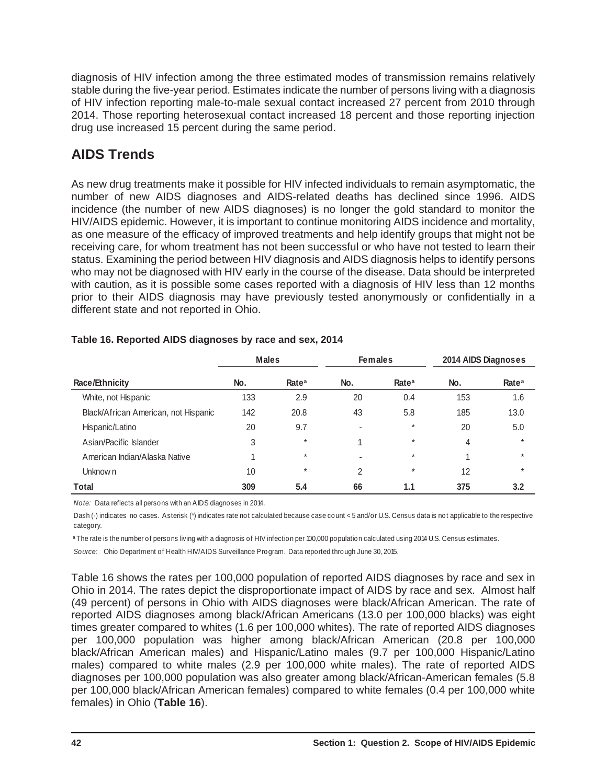diagnosis of HIV infection among the three estimated modes of transmission remains relatively stable during the five-year period. Estimates indicate the number of persons living with a diagnosis of HIV infection reporting male-to-male sexual contact increased 27 percent from 2010 through 2014. Those reporting heterosexual contact increased 18 percent and those reporting injection drug use increased 15 percent during the same period.

# **AIDS Trends**

As new drug treatments make it possible for HIV infected individuals to remain asymptomatic, the number of new AIDS diagnoses and AIDS-related deaths has declined since 1996. AIDS incidence (the number of new AIDS diagnoses) is no longer the gold standard to monitor the HIV/AIDS epidemic. However, it is important to continue monitoring AIDS incidence and mortality, as one measure of the efficacy of improved treatments and help identify groups that might not be receiving care, for whom treatment has not been successful or who have not tested to learn their status. Examining the period between HIV diagnosis and AIDS diagnosis helps to identify persons who may not be diagnosed with HIV early in the course of the disease. Data should be interpreted with caution, as it is possible some cases reported with a diagnosis of HIV less than 12 months prior to their AIDS diagnosis may have previously tested anonymously or confidentially in a different state and not reported in Ohio.

|                                      | <b>Males</b> |                   | <b>Females</b>           |                   | 2014 AIDS Diagnoses |                   |
|--------------------------------------|--------------|-------------------|--------------------------|-------------------|---------------------|-------------------|
| Race/Ethnicity                       | No.          | Rate <sup>a</sup> | No.                      | Rate <sup>a</sup> | No.                 | Rate <sup>a</sup> |
| White, not Hispanic                  | 133          | 2.9               | 20                       | 0.4               | 153                 | 1.6               |
| Black/African American, not Hispanic | 142          | 20.8              | 43                       | 5.8               | 185                 | 13.0              |
| Hispanic/Latino                      | 20           | 9.7               | $\overline{\phantom{a}}$ | $^\star$          | 20                  | 5.0               |
| Asian/Pacific Islander               | 3            | $\star$           |                          | $^\star$          | 4                   | $\star$           |
| American Indian/Alaska Native        |              | $\star$           | $\overline{\phantom{a}}$ | $^\star$          |                     | $\star$           |
| Unknow n                             | 10           | $\star$           | $\overline{2}$           | $\star$           | 12                  | $\star$           |
| <b>Total</b>                         | 309          | 5.4               | 66                       | 1.1               | 375                 | 3.2               |

## **Table 16. Reported AIDS diagnoses by race and sex, 2014**

*Note:* Data reflects all persons with an AIDS diagnoses in 2014.

Dash (-) indicates no cases. Asterisk (\*) indicates rate not calculated because case count < 5 and/or U.S. Census data is not applicable to the respective category.

a The rate is the number of persons living with a diagnosis of HIV infection per 100,000 population calculated using 2014 U.S. Census estimates.

*Source:* Ohio Department of Health HIV/AIDS Surveillance Program. Data reported through June 30, 2015.

Table 16 shows the rates per 100,000 population of reported AIDS diagnoses by race and sex in Ohio in 2014. The rates depict the disproportionate impact of AIDS by race and sex. Almost half (49 percent) of persons in Ohio with AIDS diagnoses were black/African American. The rate of reported AIDS diagnoses among black/African Americans (13.0 per 100,000 blacks) was eight times greater compared to whites (1.6 per 100,000 whites). The rate of reported AIDS diagnoses per 100,000 population was higher among black/African American (20.8 per 100,000 black/African American males) and Hispanic/Latino males (9.7 per 100,000 Hispanic/Latino males) compared to white males (2.9 per 100,000 white males). The rate of reported AIDS diagnoses per 100,000 population was also greater among black/African-American females (5.8 per 100,000 black/African American females) compared to white females (0.4 per 100,000 white females) in Ohio (**Table 16**).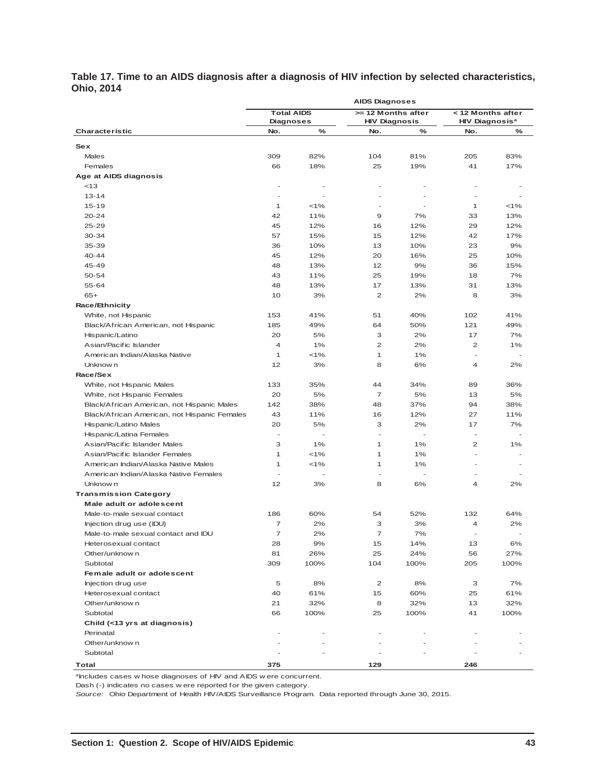#### **Table 17. Time to an AIDS diagnosis after a diagnosis of HIV infection by selected characteristics, Ohio, 2014**

| <b>Total AIDS</b><br><12 Months after<br>>= 12 Months after<br><b>Diagnoses</b><br><b>HIV Diagnosis</b><br><b>HIV Diagnosis<sup>a</sup></b><br>%<br>$\%$<br>Characteristic<br>No.<br>No.<br>No.<br>℅<br><b>Sex</b><br>Males<br>309<br>82%<br>104<br>81%<br>205<br>83%<br>18%<br>25<br>19%<br>41<br>17%<br>Females<br>66<br>Age at AIDS diagnosis<br>< 13<br>$\overline{a}$<br>$13 - 14$<br>$\overline{a}$<br>$\overline{a}$<br>$\overline{a}$<br>$15 - 19$<br>$\mathbf{1}$<br>$< 1\%$<br>1<br>$< 1\%$<br>$\overline{a}$<br>$\overline{\phantom{a}}$<br>20-24<br>42<br>11%<br>9<br>7%<br>33<br>13%<br>$25 - 29$<br>45<br>12%<br>12%<br>29<br>12%<br>16<br>30-34<br>57<br>15%<br>15<br>12%<br>42<br>17%<br>35-39<br>36<br>10%<br>13<br>10%<br>23<br>9%<br>$40 - 44$<br>45<br>12%<br>20<br>16%<br>25<br>10%<br>45-49<br>48<br>13%<br>12<br>9%<br>36<br>15%<br>50-54<br>43<br>11%<br>25<br>19%<br>18<br>7%<br>55-64<br>13%<br>17<br>13%<br>31<br>13%<br>48<br>$\mathbf{Z}$<br>$65+$<br>3%<br>2%<br>8<br>3%<br>10<br><b>Race/Ethnicity</b><br>51<br>40%<br>White, not Hispanic<br>153<br>41%<br>102<br>41%<br>185<br>49%<br>64<br>50%<br>121<br>49%<br>Black/African American, not Hispanic<br>7%<br>20<br>5%<br>3<br>2%<br>17<br>Hispanic/Latino<br>2<br>2<br>$\overline{4}$<br>1%<br>2%<br>1%<br>Asian/Pacific Islander<br>$\mathbf{1}$<br>$< 1\%$<br>$\mathbf{1}$<br>American Indian/Alaska Native<br>1%<br>$\overline{a}$<br>3%<br>Unknow n<br>12<br>8<br>6%<br>4<br>2%<br>Race/Sex<br>133<br>35%<br>44<br>34%<br>89<br>36%<br>White, not Hispanic Males<br>20<br>5%<br>$\overline{7}$<br>5%<br>13<br>5%<br>White, not Hispanic Females<br>142<br>38%<br>48<br>37%<br>94<br>38%<br>Black/African American, not Hispanic Males<br>11%<br>12%<br>11%<br>Black/African American, not Hispanic Females<br>43<br>16<br>27<br>20<br>5%<br>3<br>2%<br>17<br>7%<br>Hispanic/Latino Males<br>Hispanic/Latina Females<br>$\overline{a}$<br>$\overline{a}$<br>$\overline{a}$<br>$\overline{a}$<br>3<br>2<br>Asian/Pacific Islander Males<br>1%<br>$\mathbf{1}$<br>1%<br>1%<br>$< 1\%$<br>Asian/Pacific Islander Females<br>$\mathbf{1}$<br>$\mathbf{1}$<br>1%<br>$\overline{a}$<br>American Indian/Alaska Native Males<br>$\mathbf{1}$<br>$< 1\%$<br>$\mathbf{1}$<br>1%<br>$\overline{a}$<br>American Indian/Alaska Native Females<br>3%<br>12<br>8<br>6%<br>$\overline{4}$<br>2%<br>Unknow n<br><b>Transmission Category</b><br>Male adult or adolescent<br>186<br>60%<br>52%<br>132<br>64%<br>Male-to-male sexual contact<br>54<br>7<br>2%<br>3<br>3%<br>4<br>2%<br>Injection drug use (IDU)<br>$\overline{7}$<br>2%<br>7<br>7%<br>Male-to-male sexual contact and IDU<br>$\overline{a}$<br>Heterosexual contact<br>28<br>9%<br>15<br>14%<br>13<br>6%<br>Other/unknow n<br>81<br>26%<br>25<br>24%<br>27%<br>56<br>104<br>Subtotal<br>309<br>100%<br>100%<br>205<br>100%<br>Female adult or adolescent<br>Injection drug use<br>5<br>8%<br>$\overline{2}$<br>8%<br>3<br>7%<br>Heterosexual contact<br>40<br>61%<br>15<br>60%<br>25<br>61%<br>21<br>32%<br>8<br>32%<br>13<br>32%<br>Other/unknow n<br>25<br>66<br>100%<br>100%<br>41<br>100%<br>Subtotal<br>Child (<13 yrs at diagnosis)<br>Perinatal<br>Other/unknow n<br>Subtotal |       | <b>AIDS Diagnoses</b> |  |     |  |     |  |  |
|-------------------------------------------------------------------------------------------------------------------------------------------------------------------------------------------------------------------------------------------------------------------------------------------------------------------------------------------------------------------------------------------------------------------------------------------------------------------------------------------------------------------------------------------------------------------------------------------------------------------------------------------------------------------------------------------------------------------------------------------------------------------------------------------------------------------------------------------------------------------------------------------------------------------------------------------------------------------------------------------------------------------------------------------------------------------------------------------------------------------------------------------------------------------------------------------------------------------------------------------------------------------------------------------------------------------------------------------------------------------------------------------------------------------------------------------------------------------------------------------------------------------------------------------------------------------------------------------------------------------------------------------------------------------------------------------------------------------------------------------------------------------------------------------------------------------------------------------------------------------------------------------------------------------------------------------------------------------------------------------------------------------------------------------------------------------------------------------------------------------------------------------------------------------------------------------------------------------------------------------------------------------------------------------------------------------------------------------------------------------------------------------------------------------------------------------------------------------------------------------------------------------------------------------------------------------------------------------------------------------------------------------------------------------------------------------------------------------------------------------------------------------------------------------------------------------------------------------------------------------------------------------------------------------------------------------------------------------------------------------------------------------------------------------------------------------------------------------------------------------------------------------------------------------------------------------------------------------------|-------|-----------------------|--|-----|--|-----|--|--|
|                                                                                                                                                                                                                                                                                                                                                                                                                                                                                                                                                                                                                                                                                                                                                                                                                                                                                                                                                                                                                                                                                                                                                                                                                                                                                                                                                                                                                                                                                                                                                                                                                                                                                                                                                                                                                                                                                                                                                                                                                                                                                                                                                                                                                                                                                                                                                                                                                                                                                                                                                                                                                                                                                                                                                                                                                                                                                                                                                                                                                                                                                                                                                                                                                         |       |                       |  |     |  |     |  |  |
|                                                                                                                                                                                                                                                                                                                                                                                                                                                                                                                                                                                                                                                                                                                                                                                                                                                                                                                                                                                                                                                                                                                                                                                                                                                                                                                                                                                                                                                                                                                                                                                                                                                                                                                                                                                                                                                                                                                                                                                                                                                                                                                                                                                                                                                                                                                                                                                                                                                                                                                                                                                                                                                                                                                                                                                                                                                                                                                                                                                                                                                                                                                                                                                                                         |       |                       |  |     |  |     |  |  |
|                                                                                                                                                                                                                                                                                                                                                                                                                                                                                                                                                                                                                                                                                                                                                                                                                                                                                                                                                                                                                                                                                                                                                                                                                                                                                                                                                                                                                                                                                                                                                                                                                                                                                                                                                                                                                                                                                                                                                                                                                                                                                                                                                                                                                                                                                                                                                                                                                                                                                                                                                                                                                                                                                                                                                                                                                                                                                                                                                                                                                                                                                                                                                                                                                         |       |                       |  |     |  |     |  |  |
|                                                                                                                                                                                                                                                                                                                                                                                                                                                                                                                                                                                                                                                                                                                                                                                                                                                                                                                                                                                                                                                                                                                                                                                                                                                                                                                                                                                                                                                                                                                                                                                                                                                                                                                                                                                                                                                                                                                                                                                                                                                                                                                                                                                                                                                                                                                                                                                                                                                                                                                                                                                                                                                                                                                                                                                                                                                                                                                                                                                                                                                                                                                                                                                                                         |       |                       |  |     |  |     |  |  |
|                                                                                                                                                                                                                                                                                                                                                                                                                                                                                                                                                                                                                                                                                                                                                                                                                                                                                                                                                                                                                                                                                                                                                                                                                                                                                                                                                                                                                                                                                                                                                                                                                                                                                                                                                                                                                                                                                                                                                                                                                                                                                                                                                                                                                                                                                                                                                                                                                                                                                                                                                                                                                                                                                                                                                                                                                                                                                                                                                                                                                                                                                                                                                                                                                         |       |                       |  |     |  |     |  |  |
|                                                                                                                                                                                                                                                                                                                                                                                                                                                                                                                                                                                                                                                                                                                                                                                                                                                                                                                                                                                                                                                                                                                                                                                                                                                                                                                                                                                                                                                                                                                                                                                                                                                                                                                                                                                                                                                                                                                                                                                                                                                                                                                                                                                                                                                                                                                                                                                                                                                                                                                                                                                                                                                                                                                                                                                                                                                                                                                                                                                                                                                                                                                                                                                                                         |       |                       |  |     |  |     |  |  |
|                                                                                                                                                                                                                                                                                                                                                                                                                                                                                                                                                                                                                                                                                                                                                                                                                                                                                                                                                                                                                                                                                                                                                                                                                                                                                                                                                                                                                                                                                                                                                                                                                                                                                                                                                                                                                                                                                                                                                                                                                                                                                                                                                                                                                                                                                                                                                                                                                                                                                                                                                                                                                                                                                                                                                                                                                                                                                                                                                                                                                                                                                                                                                                                                                         |       |                       |  |     |  |     |  |  |
|                                                                                                                                                                                                                                                                                                                                                                                                                                                                                                                                                                                                                                                                                                                                                                                                                                                                                                                                                                                                                                                                                                                                                                                                                                                                                                                                                                                                                                                                                                                                                                                                                                                                                                                                                                                                                                                                                                                                                                                                                                                                                                                                                                                                                                                                                                                                                                                                                                                                                                                                                                                                                                                                                                                                                                                                                                                                                                                                                                                                                                                                                                                                                                                                                         |       |                       |  |     |  |     |  |  |
|                                                                                                                                                                                                                                                                                                                                                                                                                                                                                                                                                                                                                                                                                                                                                                                                                                                                                                                                                                                                                                                                                                                                                                                                                                                                                                                                                                                                                                                                                                                                                                                                                                                                                                                                                                                                                                                                                                                                                                                                                                                                                                                                                                                                                                                                                                                                                                                                                                                                                                                                                                                                                                                                                                                                                                                                                                                                                                                                                                                                                                                                                                                                                                                                                         |       |                       |  |     |  |     |  |  |
|                                                                                                                                                                                                                                                                                                                                                                                                                                                                                                                                                                                                                                                                                                                                                                                                                                                                                                                                                                                                                                                                                                                                                                                                                                                                                                                                                                                                                                                                                                                                                                                                                                                                                                                                                                                                                                                                                                                                                                                                                                                                                                                                                                                                                                                                                                                                                                                                                                                                                                                                                                                                                                                                                                                                                                                                                                                                                                                                                                                                                                                                                                                                                                                                                         |       |                       |  |     |  |     |  |  |
|                                                                                                                                                                                                                                                                                                                                                                                                                                                                                                                                                                                                                                                                                                                                                                                                                                                                                                                                                                                                                                                                                                                                                                                                                                                                                                                                                                                                                                                                                                                                                                                                                                                                                                                                                                                                                                                                                                                                                                                                                                                                                                                                                                                                                                                                                                                                                                                                                                                                                                                                                                                                                                                                                                                                                                                                                                                                                                                                                                                                                                                                                                                                                                                                                         |       |                       |  |     |  |     |  |  |
|                                                                                                                                                                                                                                                                                                                                                                                                                                                                                                                                                                                                                                                                                                                                                                                                                                                                                                                                                                                                                                                                                                                                                                                                                                                                                                                                                                                                                                                                                                                                                                                                                                                                                                                                                                                                                                                                                                                                                                                                                                                                                                                                                                                                                                                                                                                                                                                                                                                                                                                                                                                                                                                                                                                                                                                                                                                                                                                                                                                                                                                                                                                                                                                                                         |       |                       |  |     |  |     |  |  |
|                                                                                                                                                                                                                                                                                                                                                                                                                                                                                                                                                                                                                                                                                                                                                                                                                                                                                                                                                                                                                                                                                                                                                                                                                                                                                                                                                                                                                                                                                                                                                                                                                                                                                                                                                                                                                                                                                                                                                                                                                                                                                                                                                                                                                                                                                                                                                                                                                                                                                                                                                                                                                                                                                                                                                                                                                                                                                                                                                                                                                                                                                                                                                                                                                         |       |                       |  |     |  |     |  |  |
|                                                                                                                                                                                                                                                                                                                                                                                                                                                                                                                                                                                                                                                                                                                                                                                                                                                                                                                                                                                                                                                                                                                                                                                                                                                                                                                                                                                                                                                                                                                                                                                                                                                                                                                                                                                                                                                                                                                                                                                                                                                                                                                                                                                                                                                                                                                                                                                                                                                                                                                                                                                                                                                                                                                                                                                                                                                                                                                                                                                                                                                                                                                                                                                                                         |       |                       |  |     |  |     |  |  |
|                                                                                                                                                                                                                                                                                                                                                                                                                                                                                                                                                                                                                                                                                                                                                                                                                                                                                                                                                                                                                                                                                                                                                                                                                                                                                                                                                                                                                                                                                                                                                                                                                                                                                                                                                                                                                                                                                                                                                                                                                                                                                                                                                                                                                                                                                                                                                                                                                                                                                                                                                                                                                                                                                                                                                                                                                                                                                                                                                                                                                                                                                                                                                                                                                         |       |                       |  |     |  |     |  |  |
|                                                                                                                                                                                                                                                                                                                                                                                                                                                                                                                                                                                                                                                                                                                                                                                                                                                                                                                                                                                                                                                                                                                                                                                                                                                                                                                                                                                                                                                                                                                                                                                                                                                                                                                                                                                                                                                                                                                                                                                                                                                                                                                                                                                                                                                                                                                                                                                                                                                                                                                                                                                                                                                                                                                                                                                                                                                                                                                                                                                                                                                                                                                                                                                                                         |       |                       |  |     |  |     |  |  |
|                                                                                                                                                                                                                                                                                                                                                                                                                                                                                                                                                                                                                                                                                                                                                                                                                                                                                                                                                                                                                                                                                                                                                                                                                                                                                                                                                                                                                                                                                                                                                                                                                                                                                                                                                                                                                                                                                                                                                                                                                                                                                                                                                                                                                                                                                                                                                                                                                                                                                                                                                                                                                                                                                                                                                                                                                                                                                                                                                                                                                                                                                                                                                                                                                         |       |                       |  |     |  |     |  |  |
|                                                                                                                                                                                                                                                                                                                                                                                                                                                                                                                                                                                                                                                                                                                                                                                                                                                                                                                                                                                                                                                                                                                                                                                                                                                                                                                                                                                                                                                                                                                                                                                                                                                                                                                                                                                                                                                                                                                                                                                                                                                                                                                                                                                                                                                                                                                                                                                                                                                                                                                                                                                                                                                                                                                                                                                                                                                                                                                                                                                                                                                                                                                                                                                                                         |       |                       |  |     |  |     |  |  |
|                                                                                                                                                                                                                                                                                                                                                                                                                                                                                                                                                                                                                                                                                                                                                                                                                                                                                                                                                                                                                                                                                                                                                                                                                                                                                                                                                                                                                                                                                                                                                                                                                                                                                                                                                                                                                                                                                                                                                                                                                                                                                                                                                                                                                                                                                                                                                                                                                                                                                                                                                                                                                                                                                                                                                                                                                                                                                                                                                                                                                                                                                                                                                                                                                         |       |                       |  |     |  |     |  |  |
|                                                                                                                                                                                                                                                                                                                                                                                                                                                                                                                                                                                                                                                                                                                                                                                                                                                                                                                                                                                                                                                                                                                                                                                                                                                                                                                                                                                                                                                                                                                                                                                                                                                                                                                                                                                                                                                                                                                                                                                                                                                                                                                                                                                                                                                                                                                                                                                                                                                                                                                                                                                                                                                                                                                                                                                                                                                                                                                                                                                                                                                                                                                                                                                                                         |       |                       |  |     |  |     |  |  |
|                                                                                                                                                                                                                                                                                                                                                                                                                                                                                                                                                                                                                                                                                                                                                                                                                                                                                                                                                                                                                                                                                                                                                                                                                                                                                                                                                                                                                                                                                                                                                                                                                                                                                                                                                                                                                                                                                                                                                                                                                                                                                                                                                                                                                                                                                                                                                                                                                                                                                                                                                                                                                                                                                                                                                                                                                                                                                                                                                                                                                                                                                                                                                                                                                         |       |                       |  |     |  |     |  |  |
|                                                                                                                                                                                                                                                                                                                                                                                                                                                                                                                                                                                                                                                                                                                                                                                                                                                                                                                                                                                                                                                                                                                                                                                                                                                                                                                                                                                                                                                                                                                                                                                                                                                                                                                                                                                                                                                                                                                                                                                                                                                                                                                                                                                                                                                                                                                                                                                                                                                                                                                                                                                                                                                                                                                                                                                                                                                                                                                                                                                                                                                                                                                                                                                                                         |       |                       |  |     |  |     |  |  |
|                                                                                                                                                                                                                                                                                                                                                                                                                                                                                                                                                                                                                                                                                                                                                                                                                                                                                                                                                                                                                                                                                                                                                                                                                                                                                                                                                                                                                                                                                                                                                                                                                                                                                                                                                                                                                                                                                                                                                                                                                                                                                                                                                                                                                                                                                                                                                                                                                                                                                                                                                                                                                                                                                                                                                                                                                                                                                                                                                                                                                                                                                                                                                                                                                         |       |                       |  |     |  |     |  |  |
|                                                                                                                                                                                                                                                                                                                                                                                                                                                                                                                                                                                                                                                                                                                                                                                                                                                                                                                                                                                                                                                                                                                                                                                                                                                                                                                                                                                                                                                                                                                                                                                                                                                                                                                                                                                                                                                                                                                                                                                                                                                                                                                                                                                                                                                                                                                                                                                                                                                                                                                                                                                                                                                                                                                                                                                                                                                                                                                                                                                                                                                                                                                                                                                                                         |       |                       |  |     |  |     |  |  |
|                                                                                                                                                                                                                                                                                                                                                                                                                                                                                                                                                                                                                                                                                                                                                                                                                                                                                                                                                                                                                                                                                                                                                                                                                                                                                                                                                                                                                                                                                                                                                                                                                                                                                                                                                                                                                                                                                                                                                                                                                                                                                                                                                                                                                                                                                                                                                                                                                                                                                                                                                                                                                                                                                                                                                                                                                                                                                                                                                                                                                                                                                                                                                                                                                         |       |                       |  |     |  |     |  |  |
|                                                                                                                                                                                                                                                                                                                                                                                                                                                                                                                                                                                                                                                                                                                                                                                                                                                                                                                                                                                                                                                                                                                                                                                                                                                                                                                                                                                                                                                                                                                                                                                                                                                                                                                                                                                                                                                                                                                                                                                                                                                                                                                                                                                                                                                                                                                                                                                                                                                                                                                                                                                                                                                                                                                                                                                                                                                                                                                                                                                                                                                                                                                                                                                                                         |       |                       |  |     |  |     |  |  |
|                                                                                                                                                                                                                                                                                                                                                                                                                                                                                                                                                                                                                                                                                                                                                                                                                                                                                                                                                                                                                                                                                                                                                                                                                                                                                                                                                                                                                                                                                                                                                                                                                                                                                                                                                                                                                                                                                                                                                                                                                                                                                                                                                                                                                                                                                                                                                                                                                                                                                                                                                                                                                                                                                                                                                                                                                                                                                                                                                                                                                                                                                                                                                                                                                         |       |                       |  |     |  |     |  |  |
|                                                                                                                                                                                                                                                                                                                                                                                                                                                                                                                                                                                                                                                                                                                                                                                                                                                                                                                                                                                                                                                                                                                                                                                                                                                                                                                                                                                                                                                                                                                                                                                                                                                                                                                                                                                                                                                                                                                                                                                                                                                                                                                                                                                                                                                                                                                                                                                                                                                                                                                                                                                                                                                                                                                                                                                                                                                                                                                                                                                                                                                                                                                                                                                                                         |       |                       |  |     |  |     |  |  |
|                                                                                                                                                                                                                                                                                                                                                                                                                                                                                                                                                                                                                                                                                                                                                                                                                                                                                                                                                                                                                                                                                                                                                                                                                                                                                                                                                                                                                                                                                                                                                                                                                                                                                                                                                                                                                                                                                                                                                                                                                                                                                                                                                                                                                                                                                                                                                                                                                                                                                                                                                                                                                                                                                                                                                                                                                                                                                                                                                                                                                                                                                                                                                                                                                         |       |                       |  |     |  |     |  |  |
|                                                                                                                                                                                                                                                                                                                                                                                                                                                                                                                                                                                                                                                                                                                                                                                                                                                                                                                                                                                                                                                                                                                                                                                                                                                                                                                                                                                                                                                                                                                                                                                                                                                                                                                                                                                                                                                                                                                                                                                                                                                                                                                                                                                                                                                                                                                                                                                                                                                                                                                                                                                                                                                                                                                                                                                                                                                                                                                                                                                                                                                                                                                                                                                                                         |       |                       |  |     |  |     |  |  |
|                                                                                                                                                                                                                                                                                                                                                                                                                                                                                                                                                                                                                                                                                                                                                                                                                                                                                                                                                                                                                                                                                                                                                                                                                                                                                                                                                                                                                                                                                                                                                                                                                                                                                                                                                                                                                                                                                                                                                                                                                                                                                                                                                                                                                                                                                                                                                                                                                                                                                                                                                                                                                                                                                                                                                                                                                                                                                                                                                                                                                                                                                                                                                                                                                         |       |                       |  |     |  |     |  |  |
|                                                                                                                                                                                                                                                                                                                                                                                                                                                                                                                                                                                                                                                                                                                                                                                                                                                                                                                                                                                                                                                                                                                                                                                                                                                                                                                                                                                                                                                                                                                                                                                                                                                                                                                                                                                                                                                                                                                                                                                                                                                                                                                                                                                                                                                                                                                                                                                                                                                                                                                                                                                                                                                                                                                                                                                                                                                                                                                                                                                                                                                                                                                                                                                                                         |       |                       |  |     |  |     |  |  |
|                                                                                                                                                                                                                                                                                                                                                                                                                                                                                                                                                                                                                                                                                                                                                                                                                                                                                                                                                                                                                                                                                                                                                                                                                                                                                                                                                                                                                                                                                                                                                                                                                                                                                                                                                                                                                                                                                                                                                                                                                                                                                                                                                                                                                                                                                                                                                                                                                                                                                                                                                                                                                                                                                                                                                                                                                                                                                                                                                                                                                                                                                                                                                                                                                         |       |                       |  |     |  |     |  |  |
|                                                                                                                                                                                                                                                                                                                                                                                                                                                                                                                                                                                                                                                                                                                                                                                                                                                                                                                                                                                                                                                                                                                                                                                                                                                                                                                                                                                                                                                                                                                                                                                                                                                                                                                                                                                                                                                                                                                                                                                                                                                                                                                                                                                                                                                                                                                                                                                                                                                                                                                                                                                                                                                                                                                                                                                                                                                                                                                                                                                                                                                                                                                                                                                                                         |       |                       |  |     |  |     |  |  |
|                                                                                                                                                                                                                                                                                                                                                                                                                                                                                                                                                                                                                                                                                                                                                                                                                                                                                                                                                                                                                                                                                                                                                                                                                                                                                                                                                                                                                                                                                                                                                                                                                                                                                                                                                                                                                                                                                                                                                                                                                                                                                                                                                                                                                                                                                                                                                                                                                                                                                                                                                                                                                                                                                                                                                                                                                                                                                                                                                                                                                                                                                                                                                                                                                         |       |                       |  |     |  |     |  |  |
|                                                                                                                                                                                                                                                                                                                                                                                                                                                                                                                                                                                                                                                                                                                                                                                                                                                                                                                                                                                                                                                                                                                                                                                                                                                                                                                                                                                                                                                                                                                                                                                                                                                                                                                                                                                                                                                                                                                                                                                                                                                                                                                                                                                                                                                                                                                                                                                                                                                                                                                                                                                                                                                                                                                                                                                                                                                                                                                                                                                                                                                                                                                                                                                                                         |       |                       |  |     |  |     |  |  |
|                                                                                                                                                                                                                                                                                                                                                                                                                                                                                                                                                                                                                                                                                                                                                                                                                                                                                                                                                                                                                                                                                                                                                                                                                                                                                                                                                                                                                                                                                                                                                                                                                                                                                                                                                                                                                                                                                                                                                                                                                                                                                                                                                                                                                                                                                                                                                                                                                                                                                                                                                                                                                                                                                                                                                                                                                                                                                                                                                                                                                                                                                                                                                                                                                         |       |                       |  |     |  |     |  |  |
|                                                                                                                                                                                                                                                                                                                                                                                                                                                                                                                                                                                                                                                                                                                                                                                                                                                                                                                                                                                                                                                                                                                                                                                                                                                                                                                                                                                                                                                                                                                                                                                                                                                                                                                                                                                                                                                                                                                                                                                                                                                                                                                                                                                                                                                                                                                                                                                                                                                                                                                                                                                                                                                                                                                                                                                                                                                                                                                                                                                                                                                                                                                                                                                                                         |       |                       |  |     |  |     |  |  |
|                                                                                                                                                                                                                                                                                                                                                                                                                                                                                                                                                                                                                                                                                                                                                                                                                                                                                                                                                                                                                                                                                                                                                                                                                                                                                                                                                                                                                                                                                                                                                                                                                                                                                                                                                                                                                                                                                                                                                                                                                                                                                                                                                                                                                                                                                                                                                                                                                                                                                                                                                                                                                                                                                                                                                                                                                                                                                                                                                                                                                                                                                                                                                                                                                         |       |                       |  |     |  |     |  |  |
|                                                                                                                                                                                                                                                                                                                                                                                                                                                                                                                                                                                                                                                                                                                                                                                                                                                                                                                                                                                                                                                                                                                                                                                                                                                                                                                                                                                                                                                                                                                                                                                                                                                                                                                                                                                                                                                                                                                                                                                                                                                                                                                                                                                                                                                                                                                                                                                                                                                                                                                                                                                                                                                                                                                                                                                                                                                                                                                                                                                                                                                                                                                                                                                                                         |       |                       |  |     |  |     |  |  |
|                                                                                                                                                                                                                                                                                                                                                                                                                                                                                                                                                                                                                                                                                                                                                                                                                                                                                                                                                                                                                                                                                                                                                                                                                                                                                                                                                                                                                                                                                                                                                                                                                                                                                                                                                                                                                                                                                                                                                                                                                                                                                                                                                                                                                                                                                                                                                                                                                                                                                                                                                                                                                                                                                                                                                                                                                                                                                                                                                                                                                                                                                                                                                                                                                         |       |                       |  |     |  |     |  |  |
|                                                                                                                                                                                                                                                                                                                                                                                                                                                                                                                                                                                                                                                                                                                                                                                                                                                                                                                                                                                                                                                                                                                                                                                                                                                                                                                                                                                                                                                                                                                                                                                                                                                                                                                                                                                                                                                                                                                                                                                                                                                                                                                                                                                                                                                                                                                                                                                                                                                                                                                                                                                                                                                                                                                                                                                                                                                                                                                                                                                                                                                                                                                                                                                                                         |       |                       |  |     |  |     |  |  |
|                                                                                                                                                                                                                                                                                                                                                                                                                                                                                                                                                                                                                                                                                                                                                                                                                                                                                                                                                                                                                                                                                                                                                                                                                                                                                                                                                                                                                                                                                                                                                                                                                                                                                                                                                                                                                                                                                                                                                                                                                                                                                                                                                                                                                                                                                                                                                                                                                                                                                                                                                                                                                                                                                                                                                                                                                                                                                                                                                                                                                                                                                                                                                                                                                         |       |                       |  |     |  |     |  |  |
|                                                                                                                                                                                                                                                                                                                                                                                                                                                                                                                                                                                                                                                                                                                                                                                                                                                                                                                                                                                                                                                                                                                                                                                                                                                                                                                                                                                                                                                                                                                                                                                                                                                                                                                                                                                                                                                                                                                                                                                                                                                                                                                                                                                                                                                                                                                                                                                                                                                                                                                                                                                                                                                                                                                                                                                                                                                                                                                                                                                                                                                                                                                                                                                                                         |       |                       |  |     |  |     |  |  |
|                                                                                                                                                                                                                                                                                                                                                                                                                                                                                                                                                                                                                                                                                                                                                                                                                                                                                                                                                                                                                                                                                                                                                                                                                                                                                                                                                                                                                                                                                                                                                                                                                                                                                                                                                                                                                                                                                                                                                                                                                                                                                                                                                                                                                                                                                                                                                                                                                                                                                                                                                                                                                                                                                                                                                                                                                                                                                                                                                                                                                                                                                                                                                                                                                         |       |                       |  |     |  |     |  |  |
|                                                                                                                                                                                                                                                                                                                                                                                                                                                                                                                                                                                                                                                                                                                                                                                                                                                                                                                                                                                                                                                                                                                                                                                                                                                                                                                                                                                                                                                                                                                                                                                                                                                                                                                                                                                                                                                                                                                                                                                                                                                                                                                                                                                                                                                                                                                                                                                                                                                                                                                                                                                                                                                                                                                                                                                                                                                                                                                                                                                                                                                                                                                                                                                                                         |       |                       |  |     |  |     |  |  |
|                                                                                                                                                                                                                                                                                                                                                                                                                                                                                                                                                                                                                                                                                                                                                                                                                                                                                                                                                                                                                                                                                                                                                                                                                                                                                                                                                                                                                                                                                                                                                                                                                                                                                                                                                                                                                                                                                                                                                                                                                                                                                                                                                                                                                                                                                                                                                                                                                                                                                                                                                                                                                                                                                                                                                                                                                                                                                                                                                                                                                                                                                                                                                                                                                         |       |                       |  |     |  |     |  |  |
|                                                                                                                                                                                                                                                                                                                                                                                                                                                                                                                                                                                                                                                                                                                                                                                                                                                                                                                                                                                                                                                                                                                                                                                                                                                                                                                                                                                                                                                                                                                                                                                                                                                                                                                                                                                                                                                                                                                                                                                                                                                                                                                                                                                                                                                                                                                                                                                                                                                                                                                                                                                                                                                                                                                                                                                                                                                                                                                                                                                                                                                                                                                                                                                                                         |       |                       |  |     |  |     |  |  |
|                                                                                                                                                                                                                                                                                                                                                                                                                                                                                                                                                                                                                                                                                                                                                                                                                                                                                                                                                                                                                                                                                                                                                                                                                                                                                                                                                                                                                                                                                                                                                                                                                                                                                                                                                                                                                                                                                                                                                                                                                                                                                                                                                                                                                                                                                                                                                                                                                                                                                                                                                                                                                                                                                                                                                                                                                                                                                                                                                                                                                                                                                                                                                                                                                         |       |                       |  |     |  |     |  |  |
|                                                                                                                                                                                                                                                                                                                                                                                                                                                                                                                                                                                                                                                                                                                                                                                                                                                                                                                                                                                                                                                                                                                                                                                                                                                                                                                                                                                                                                                                                                                                                                                                                                                                                                                                                                                                                                                                                                                                                                                                                                                                                                                                                                                                                                                                                                                                                                                                                                                                                                                                                                                                                                                                                                                                                                                                                                                                                                                                                                                                                                                                                                                                                                                                                         |       |                       |  |     |  |     |  |  |
|                                                                                                                                                                                                                                                                                                                                                                                                                                                                                                                                                                                                                                                                                                                                                                                                                                                                                                                                                                                                                                                                                                                                                                                                                                                                                                                                                                                                                                                                                                                                                                                                                                                                                                                                                                                                                                                                                                                                                                                                                                                                                                                                                                                                                                                                                                                                                                                                                                                                                                                                                                                                                                                                                                                                                                                                                                                                                                                                                                                                                                                                                                                                                                                                                         |       |                       |  |     |  |     |  |  |
|                                                                                                                                                                                                                                                                                                                                                                                                                                                                                                                                                                                                                                                                                                                                                                                                                                                                                                                                                                                                                                                                                                                                                                                                                                                                                                                                                                                                                                                                                                                                                                                                                                                                                                                                                                                                                                                                                                                                                                                                                                                                                                                                                                                                                                                                                                                                                                                                                                                                                                                                                                                                                                                                                                                                                                                                                                                                                                                                                                                                                                                                                                                                                                                                                         |       |                       |  |     |  |     |  |  |
|                                                                                                                                                                                                                                                                                                                                                                                                                                                                                                                                                                                                                                                                                                                                                                                                                                                                                                                                                                                                                                                                                                                                                                                                                                                                                                                                                                                                                                                                                                                                                                                                                                                                                                                                                                                                                                                                                                                                                                                                                                                                                                                                                                                                                                                                                                                                                                                                                                                                                                                                                                                                                                                                                                                                                                                                                                                                                                                                                                                                                                                                                                                                                                                                                         |       |                       |  |     |  |     |  |  |
|                                                                                                                                                                                                                                                                                                                                                                                                                                                                                                                                                                                                                                                                                                                                                                                                                                                                                                                                                                                                                                                                                                                                                                                                                                                                                                                                                                                                                                                                                                                                                                                                                                                                                                                                                                                                                                                                                                                                                                                                                                                                                                                                                                                                                                                                                                                                                                                                                                                                                                                                                                                                                                                                                                                                                                                                                                                                                                                                                                                                                                                                                                                                                                                                                         |       |                       |  |     |  |     |  |  |
|                                                                                                                                                                                                                                                                                                                                                                                                                                                                                                                                                                                                                                                                                                                                                                                                                                                                                                                                                                                                                                                                                                                                                                                                                                                                                                                                                                                                                                                                                                                                                                                                                                                                                                                                                                                                                                                                                                                                                                                                                                                                                                                                                                                                                                                                                                                                                                                                                                                                                                                                                                                                                                                                                                                                                                                                                                                                                                                                                                                                                                                                                                                                                                                                                         |       |                       |  |     |  |     |  |  |
|                                                                                                                                                                                                                                                                                                                                                                                                                                                                                                                                                                                                                                                                                                                                                                                                                                                                                                                                                                                                                                                                                                                                                                                                                                                                                                                                                                                                                                                                                                                                                                                                                                                                                                                                                                                                                                                                                                                                                                                                                                                                                                                                                                                                                                                                                                                                                                                                                                                                                                                                                                                                                                                                                                                                                                                                                                                                                                                                                                                                                                                                                                                                                                                                                         | Total | 375                   |  | 129 |  | 246 |  |  |

aIncludes cases w hose diagnoses of HIV and AIDS w ere concurrent.

Dash (-) indicates no cases w ere reported for the given category.

*Source:* Ohio Department of Health HIV/AIDS Surveillance Program. Data reported through June 30, 2015.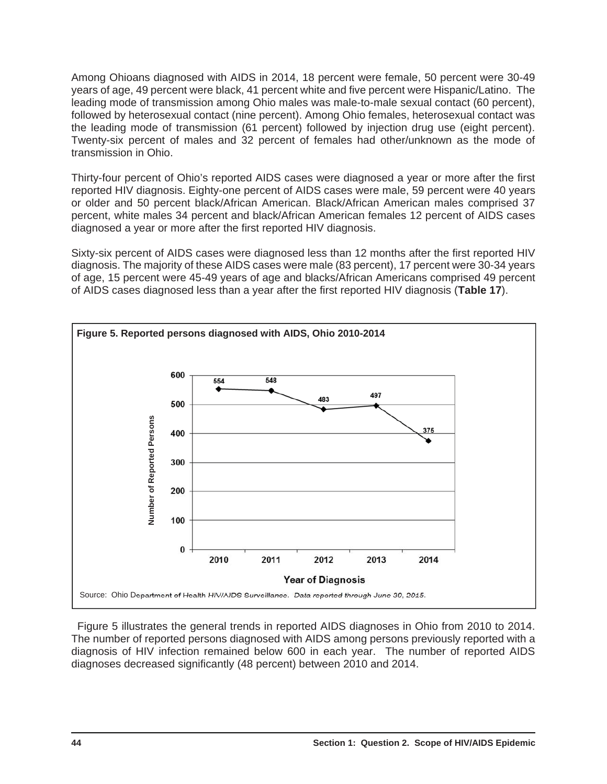Among Ohioans diagnosed with AIDS in 2014, 18 percent were female, 50 percent were 30-49 years of age, 49 percent were black, 41 percent white and five percent were Hispanic/Latino. The leading mode of transmission among Ohio males was male-to-male sexual contact (60 percent), followed by heterosexual contact (nine percent). Among Ohio females, heterosexual contact was the leading mode of transmission (61 percent) followed by injection drug use (eight percent). Twenty-six percent of males and 32 percent of females had other/unknown as the mode of transmission in Ohio.

Thirty-four percent of Ohio's reported AIDS cases were diagnosed a year or more after the first reported HIV diagnosis. Eighty-one percent of AIDS cases were male, 59 percent were 40 years or older and 50 percent black/African American. Black/African American males comprised 37 percent, white males 34 percent and black/African American females 12 percent of AIDS cases diagnosed a year or more after the first reported HIV diagnosis.

Sixty-six percent of AIDS cases were diagnosed less than 12 months after the first reported HIV diagnosis. The majority of these AIDS cases were male (83 percent), 17 percent were 30-34 years of age, 15 percent were 45-49 years of age and blacks/African Americans comprised 49 percent of AIDS cases diagnosed less than a year after the first reported HIV diagnosis (**Table 17**).



 Figure 5 illustrates the general trends in reported AIDS diagnoses in Ohio from 2010 to 2014. The number of reported persons diagnosed with AIDS among persons previously reported with a diagnosis of HIV infection remained below 600 in each year. The number of reported AIDS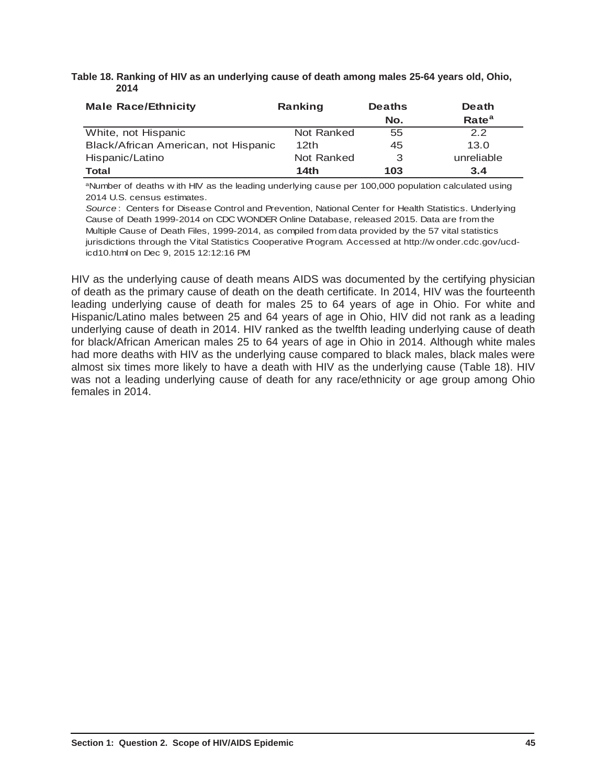#### **Table 18. Ranking of HIV as an underlying cause of death among males 25-64 years old, Ohio, 2014**

| <b>Male Race/Ethnicity</b>           | Ranking    | <b>Deaths</b> | <b>Death</b>      |
|--------------------------------------|------------|---------------|-------------------|
|                                      |            | No.           | Rate <sup>a</sup> |
| White, not Hispanic                  | Not Ranked | 55            | 2.2               |
| Black/African American, not Hispanic | 12th       | 45            | 13.0              |
| Hispanic/Latino                      | Not Ranked | 3             | unreliable        |
| <b>Total</b>                         | 14th       | 103           | 3.4               |

aNumber of deaths w ith HIV as the leading underlying cause per 100,000 population calculated using 2014 U.S. census estimates.

*Source* : Centers for Disease Control and Prevention, National Center for Health Statistics. Underlying Cause of Death 1999-2014 on CDC WONDER Online Database, released 2015. Data are from the Multiple Cause of Death Files, 1999-2014, as compiled from data provided by the 57 vital statistics jurisdictions through the Vital Statistics Cooperative Program. Accessed at http://w onder.cdc.gov/ucdicd10.html on Dec 9, 2015 12:12:16 PM

HIV as the underlying cause of death means AIDS was documented by the certifying physician of death as the primary cause of death on the death certificate. In 2014, HIV was the fourteenth leading underlying cause of death for males 25 to 64 years of age in Ohio. For white and Hispanic/Latino males between 25 and 64 years of age in Ohio, HIV did not rank as a leading underlying cause of death in 2014. HIV ranked as the twelfth leading underlying cause of death for black/African American males 25 to 64 years of age in Ohio in 2014. Although white males had more deaths with HIV as the underlying cause compared to black males, black males were almost six times more likely to have a death with HIV as the underlying cause (Table 18). HIV was not a leading underlying cause of death for any race/ethnicity or age group among Ohio females in 2014.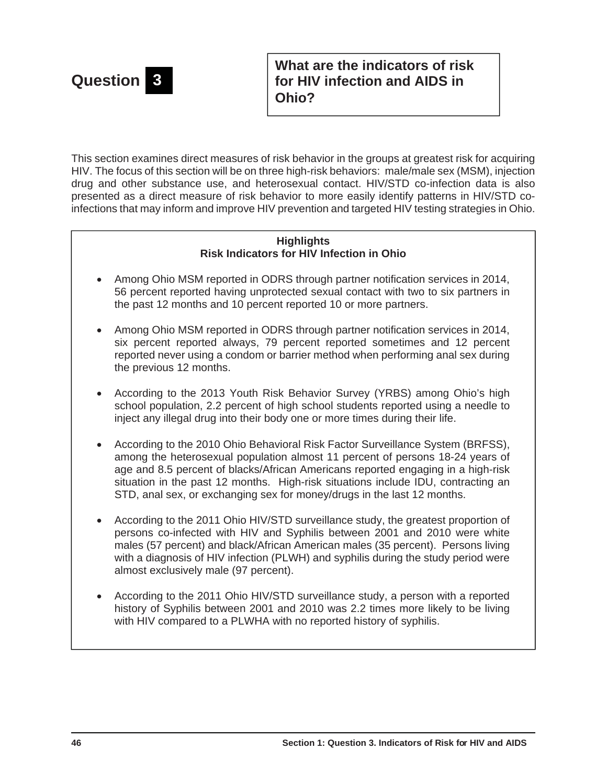

**What are the indicators of risk for HIV infection and AIDS in Ohio?**

This section examines direct measures of risk behavior in the groups at greatest risk for acquiring HIV. The focus of this section will be on three high-risk behaviors: male/male sex (MSM), injection drug and other substance use, and heterosexual contact. HIV/STD co-infection data is also presented as a direct measure of risk behavior to more easily identify patterns in HIV/STD coinfections that may inform and improve HIV prevention and targeted HIV testing strategies in Ohio.

Question 3: What are the indicators of risk for HIV infection and AIDS in Ohio?

#### **Highlights Risk Indicators for HIV Infection in Ohio**

- Among Ohio MSM reported in ODRS through partner notification services in 2014, 56 percent reported having unprotected sexual contact with two to six partners in the past 12 months and 10 percent reported 10 or more partners.
- Among Ohio MSM reported in ODRS through partner notification services in 2014, six percent reported always, 79 percent reported sometimes and 12 percent reported never using a condom or barrier method when performing anal sex during the previous 12 months.
- x According to the 2013 Youth Risk Behavior Survey (YRBS) among Ohio's high school population, 2.2 percent of high school students reported using a needle to inject any illegal drug into their body one or more times during their life.
- According to the 2010 Ohio Behavioral Risk Factor Surveillance System (BRFSS), among the heterosexual population almost 11 percent of persons 18-24 years of age and 8.5 percent of blacks/African Americans reported engaging in a high-risk situation in the past 12 months. High-risk situations include IDU, contracting an STD, anal sex, or exchanging sex for money/drugs in the last 12 months.
- x According to the 2011 Ohio HIV/STD surveillance study, the greatest proportion of persons co-infected with HIV and Syphilis between 2001 and 2010 were white males (57 percent) and black/African American males (35 percent). Persons living with a diagnosis of HIV infection (PLWH) and syphilis during the study period were almost exclusively male (97 percent).
- x According to the 2011 Ohio HIV/STD surveillance study, a person with a reported history of Syphilis between 2001 and 2010 was 2.2 times more likely to be living with HIV compared to a PLWHA with no reported history of syphilis.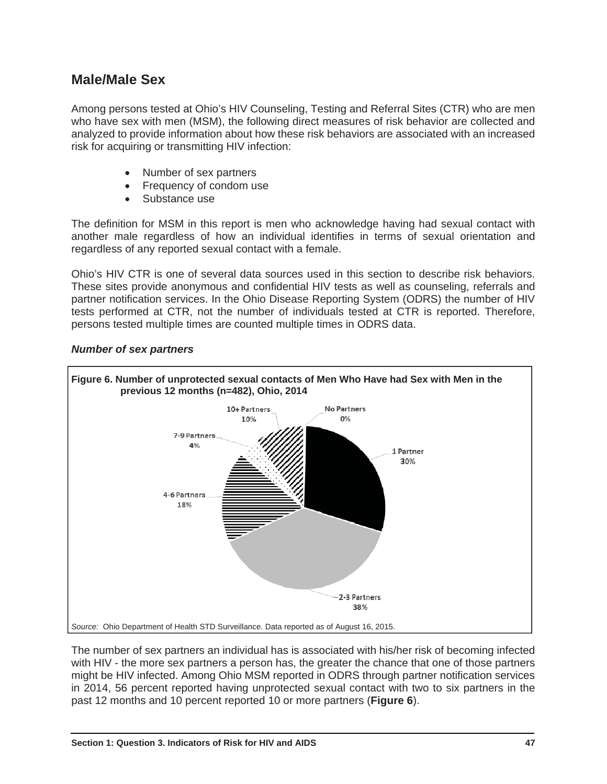## **Male/Male Sex**

Among persons tested at Ohio's HIV Counseling, Testing and Referral Sites (CTR) who are men who have sex with men (MSM), the following direct measures of risk behavior are collected and analyzed to provide information about how these risk behaviors are associated with an increased risk for acquiring or transmitting HIV infection:

- Number of sex partners
- Frequency of condom use
- $\bullet$  Substance use

The definition for MSM in this report is men who acknowledge having had sexual contact with another male regardless of how an individual identifies in terms of sexual orientation and regardless of any reported sexual contact with a female.

Ohio's HIV CTR is one of several data sources used in this section to describe risk behaviors. These sites provide anonymous and confidential HIV tests as well as counseling, referrals and partner notification services. In the Ohio Disease Reporting System (ODRS) the number of HIV tests performed at CTR, not the number of individuals tested at CTR is reported. Therefore, persons tested multiple times are counted multiple times in ODRS data.



### *Number of sex partners*

The number of sex partners an individual has is associated with his/her risk of becoming infected with HIV - the more sex partners a person has, the greater the chance that one of those partners might be HIV infected. Among Ohio MSM reported in ODRS through partner notification services in 2014, 56 percent reported having unprotected sexual contact with two to six partners in the past 12 months and 10 percent reported 10 or more partners (**Figure 6**).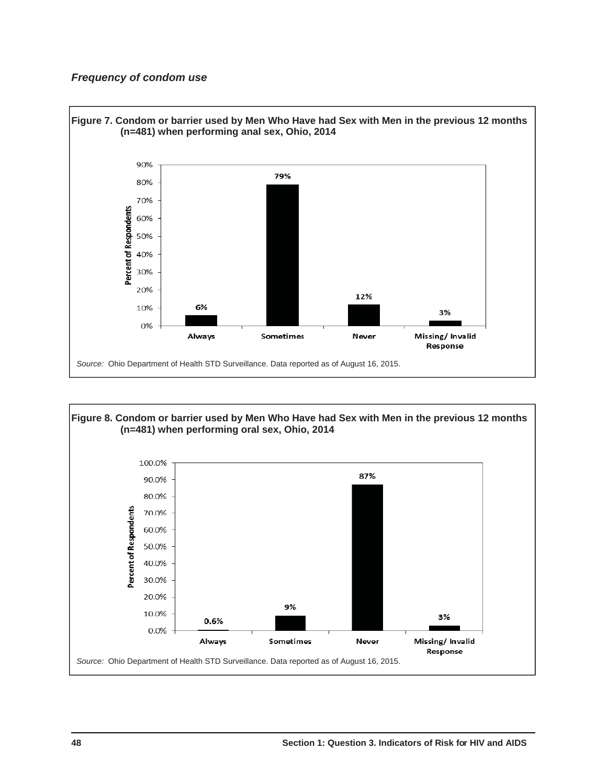#### *Frequency of condom use*



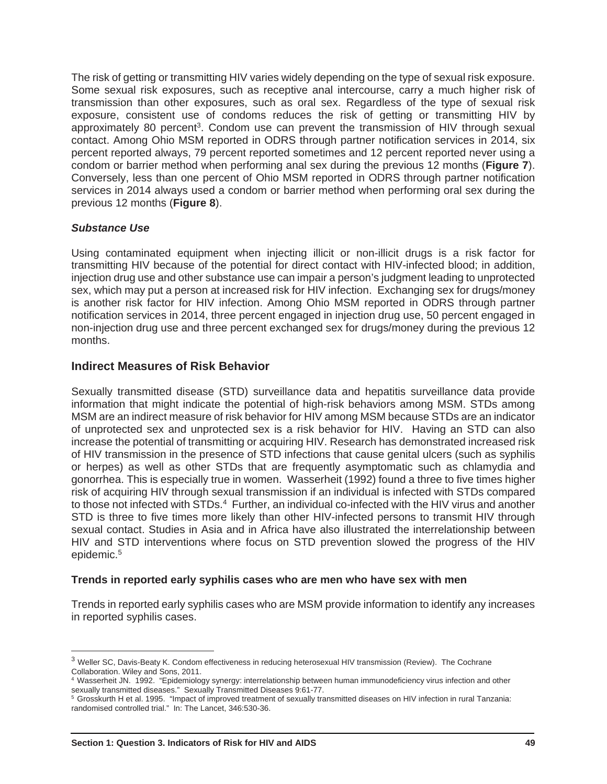The risk of getting or transmitting HIV varies widely depending on the type of sexual risk exposure. Some sexual risk exposures, such as receptive anal intercourse, carry a much higher risk of transmission than other exposures, such as oral sex. Regardless of the type of sexual risk exposure, consistent use of condoms reduces the risk of getting or transmitting HIV by approximately 80 percent<sup>3</sup>. Condom use can prevent the transmission of HIV through sexual contact. Among Ohio MSM reported in ODRS through partner notification services in 2014, six percent reported always, 79 percent reported sometimes and 12 percent reported never using a condom or barrier method when performing anal sex during the previous 12 months (**Figure 7**). Conversely, less than one percent of Ohio MSM reported in ODRS through partner notification services in 2014 always used a condom or barrier method when performing oral sex during the previous 12 months (**Figure 8**).

## *Substance Use*

l

Using contaminated equipment when injecting illicit or non-illicit drugs is a risk factor for transmitting HIV because of the potential for direct contact with HIV-infected blood; in addition, injection drug use and other substance use can impair a person's judgment leading to unprotected sex, which may put a person at increased risk for HIV infection. Exchanging sex for drugs/money is another risk factor for HIV infection. Among Ohio MSM reported in ODRS through partner notification services in 2014, three percent engaged in injection drug use, 50 percent engaged in non-injection drug use and three percent exchanged sex for drugs/money during the previous 12 months.

## **Indirect Measures of Risk Behavior**

Sexually transmitted disease (STD) surveillance data and hepatitis surveillance data provide information that might indicate the potential of high-risk behaviors among MSM. STDs among MSM are an indirect measure of risk behavior for HIV among MSM because STDs are an indicator of unprotected sex and unprotected sex is a risk behavior for HIV. Having an STD can also increase the potential of transmitting or acquiring HIV. Research has demonstrated increased risk of HIV transmission in the presence of STD infections that cause genital ulcers (such as syphilis or herpes) as well as other STDs that are frequently asymptomatic such as chlamydia and gonorrhea. This is especially true in women. Wasserheit (1992) found a three to five times higher risk of acquiring HIV through sexual transmission if an individual is infected with STDs compared to those not infected with STDs.<sup>4</sup> Further, an individual co-infected with the HIV virus and another STD is three to five times more likely than other HIV-infected persons to transmit HIV through sexual contact. Studies in Asia and in Africa have also illustrated the interrelationship between HIV and STD interventions where focus on STD prevention slowed the progress of the HIV epidemic.5

### **Trends in reported early syphilis cases who are men who have sex with men**

Trends in reported early syphilis cases who are MSM provide information to identify any increases in reported syphilis cases.

<sup>&</sup>lt;sup>3</sup> Weller SC, Davis-Beaty K. Condom effectiveness in reducing heterosexual HIV transmission (Review). The Cochrane Collaboration. Wiley and Sons, 2011.

<sup>4</sup> Wasserheit JN. 1992. "Epidemiology synergy: interrelationship between human immunodeficiency virus infection and other sexually transmitted diseases." Sexually Transmitted Diseases 9:61-77.

<sup>5</sup> Grosskurth H et al. 1995. "Impact of improved treatment of sexually transmitted diseases on HIV infection in rural Tanzania: randomised controlled trial." In: The Lancet, 346:530-36.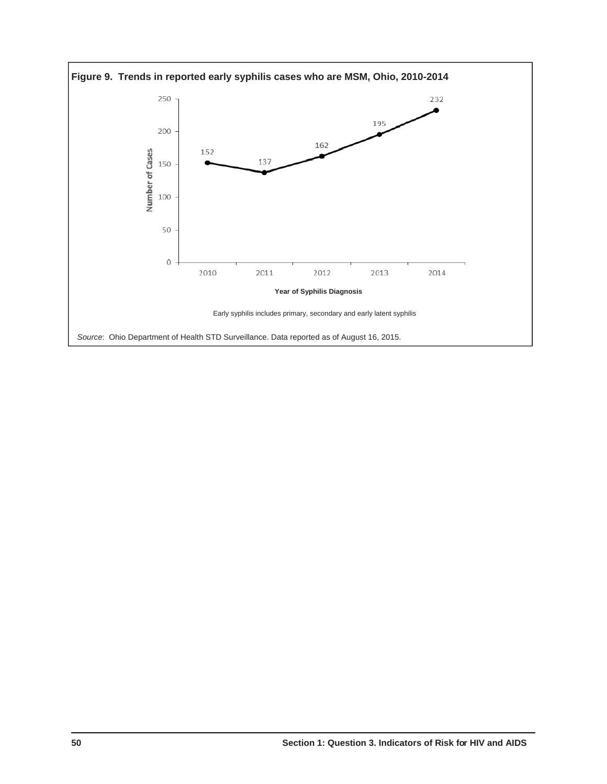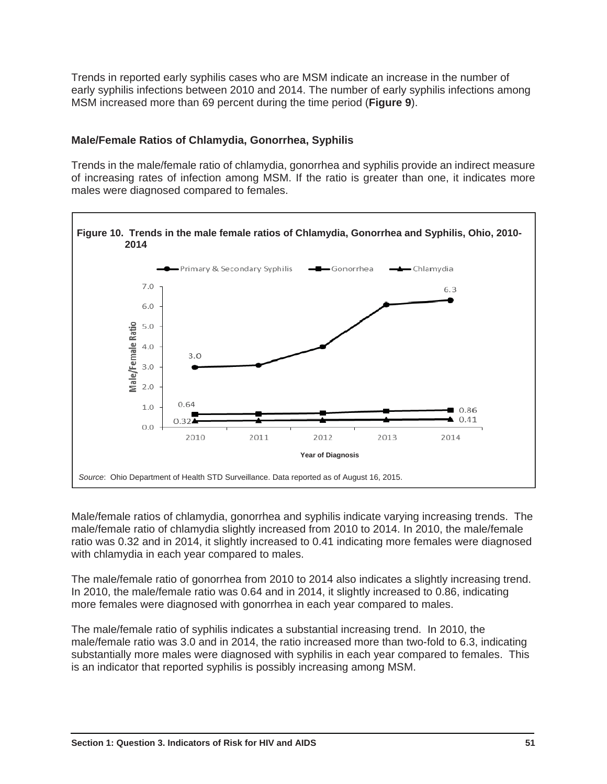Trends in reported early syphilis cases who are MSM indicate an increase in the number of early syphilis infections between 2010 and 2014. The number of early syphilis infections among MSM increased more than 69 percent during the time period (**Figure 9**).

#### **Male/Female Ratios of Chlamydia, Gonorrhea, Syphilis**

Trends in the male/female ratio of chlamydia, gonorrhea and syphilis provide an indirect measure of increasing rates of infection among MSM. If the ratio is greater than one, it indicates more males were diagnosed compared to females.



Male/female ratios of chlamydia, gonorrhea and syphilis indicate varying increasing trends. The male/female ratio of chlamydia slightly increased from 2010 to 2014. In 2010, the male/female ratio was 0.32 and in 2014, it slightly increased to 0.41 indicating more females were diagnosed with chlamydia in each year compared to males.

The male/female ratio of gonorrhea from 2010 to 2014 also indicates a slightly increasing trend. In 2010, the male/female ratio was 0.64 and in 2014, it slightly increased to 0.86, indicating more females were diagnosed with gonorrhea in each year compared to males.

The male/female ratio of syphilis indicates a substantial increasing trend. In 2010, the male/female ratio was 3.0 and in 2014, the ratio increased more than two-fold to 6.3, indicating substantially more males were diagnosed with syphilis in each year compared to females. This is an indicator that reported syphilis is possibly increasing among MSM.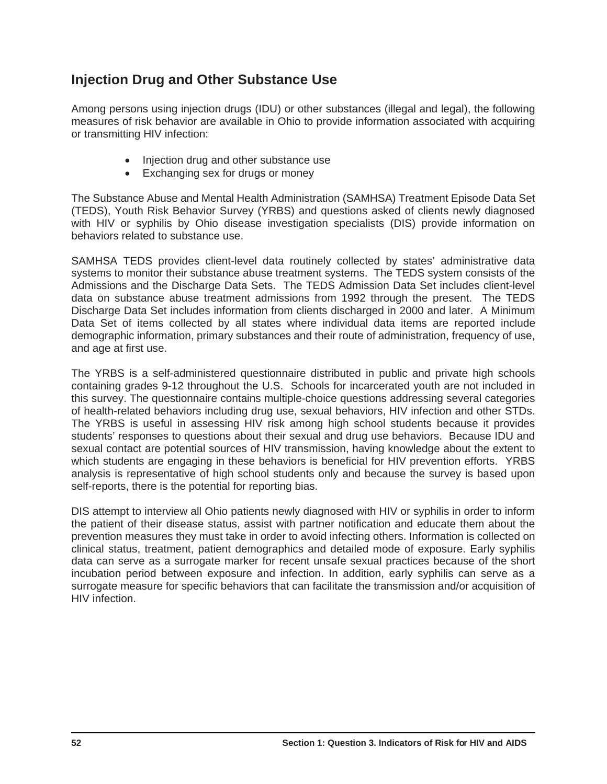# **Injection Drug and Other Substance Use**

Among persons using injection drugs (IDU) or other substances (illegal and legal), the following measures of risk behavior are available in Ohio to provide information associated with acquiring or transmitting HIV infection:

- Injection drug and other substance use
- Exchanging sex for drugs or money

The Substance Abuse and Mental Health Administration (SAMHSA) Treatment Episode Data Set (TEDS), Youth Risk Behavior Survey (YRBS) and questions asked of clients newly diagnosed with HIV or syphilis by Ohio disease investigation specialists (DIS) provide information on behaviors related to substance use.

SAMHSA TEDS provides client-level data routinely collected by states' administrative data systems to monitor their substance abuse treatment systems. The TEDS system consists of the Admissions and the Discharge Data Sets. The TEDS Admission Data Set includes client-level data on substance abuse treatment admissions from 1992 through the present. The TEDS Discharge Data Set includes information from clients discharged in 2000 and later. A Minimum Data Set of items collected by all states where individual data items are reported include demographic information, primary substances and their route of administration, frequency of use, and age at first use.

The YRBS is a self-administered questionnaire distributed in public and private high schools containing grades 9-12 throughout the U.S. Schools for incarcerated youth are not included in this survey. The questionnaire contains multiple-choice questions addressing several categories of health-related behaviors including drug use, sexual behaviors, HIV infection and other STDs. The YRBS is useful in assessing HIV risk among high school students because it provides students' responses to questions about their sexual and drug use behaviors. Because IDU and sexual contact are potential sources of HIV transmission, having knowledge about the extent to which students are engaging in these behaviors is beneficial for HIV prevention efforts. YRBS analysis is representative of high school students only and because the survey is based upon self-reports, there is the potential for reporting bias.

DIS attempt to interview all Ohio patients newly diagnosed with HIV or syphilis in order to inform the patient of their disease status, assist with partner notification and educate them about the prevention measures they must take in order to avoid infecting others. Information is collected on clinical status, treatment, patient demographics and detailed mode of exposure. Early syphilis data can serve as a surrogate marker for recent unsafe sexual practices because of the short incubation period between exposure and infection. In addition, early syphilis can serve as a surrogate measure for specific behaviors that can facilitate the transmission and/or acquisition of HIV infection.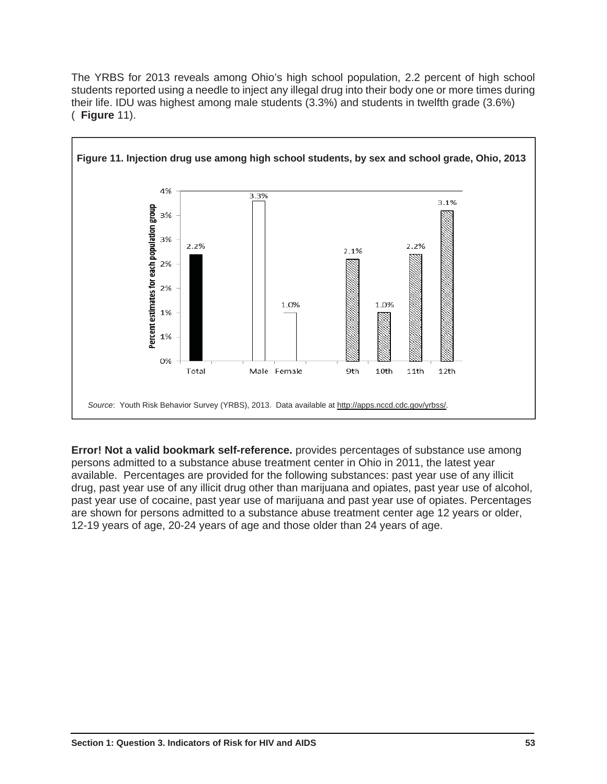The YRBS for 2013 reveals among Ohio's high school population, 2.2 percent of high school students reported using a needle to inject any illegal drug into their body one or more times during their life. IDU was highest among male students (3.3%) and students in twelfth grade (3.6%) ( **Figure** 11).



**Error! Not a valid bookmark self-reference.** provides percentages of substance use among persons admitted to a substance abuse treatment center in Ohio in 2011, the latest year available. Percentages are provided for the following substances: past year use of any illicit drug, past year use of any illicit drug other than marijuana and opiates, past year use of alcohol, past year use of cocaine, past year use of marijuana and past year use of opiates. Percentages are shown for persons admitted to a substance abuse treatment center age 12 years or older, 12-19 years of age, 20-24 years of age and those older than 24 years of age.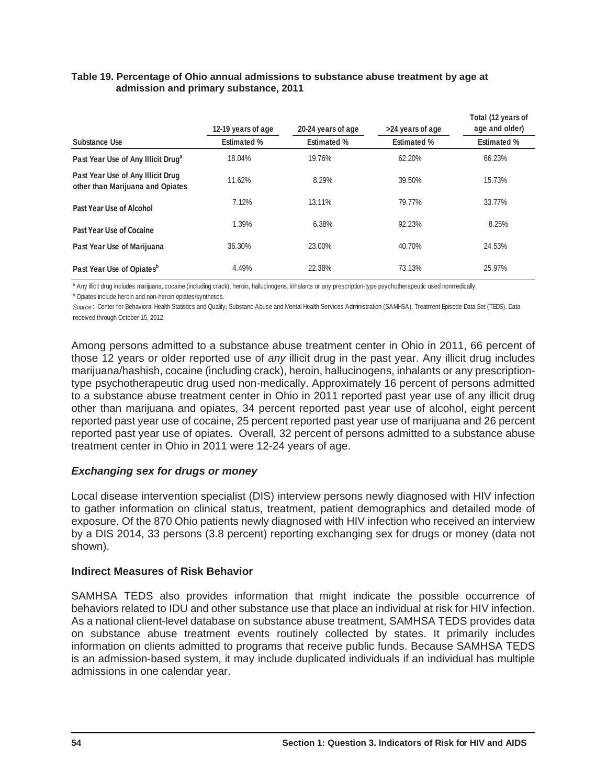#### **Table 19. Percentage of Ohio annual admissions to substance abuse treatment by age at admission and primary substance, 2011**

|                                                                       | 12-19 years of age | 20-24 years of age | >24 years of age   | Total (12 years of<br>age and older) |
|-----------------------------------------------------------------------|--------------------|--------------------|--------------------|--------------------------------------|
| <b>Substance Use</b>                                                  | <b>Estimated %</b> | <b>Estimated %</b> | <b>Estimated %</b> | <b>Estimated %</b>                   |
| Past Year Use of Any Illicit Drug <sup>a</sup>                        | 18.04%             | 19.76%             | 62.20%             | 66.23%                               |
| Past Year Use of Any Illicit Drug<br>other than Marijuana and Opiates | 11.62%             | 8.29%              | 39.50%             | 15.73%                               |
| Past Year Use of Alcohol                                              | 7.12%              | 13.11%             | 79.77%             | 33.77%                               |
| Past Year Use of Cocaine                                              | 1.39%              | 6.38%              | 92.23%             | 8.25%                                |
| Past Year Use of Marijuana                                            | 36.30%             | 23.00%             | 40.70%             | 24.53%                               |
| Past Year Use of Opiates <sup>b</sup>                                 | 4.49%              | 22.38%             | 73.13%             | 25.97%                               |

a Any illicit drug includes marijuana, cocaine (including crack), heroin, hallucinogens, inhalants or any prescription-type psychotherapeutic used nonmedically. **b** Opiates include heroin and non-heroin opiates/synthetics.

*Source* : Center for Behavioral Health Statistics and Quality, Substanc Abuse and Mental Health Services Administration (SAMHSA), Treatment Episode Data Set (TEDS). Data received through October 15, 2012.

Among persons admitted to a substance abuse treatment center in Ohio in 2011, 66 percent of those 12 years or older reported use of *any* illicit drug in the past year. Any illicit drug includes marijuana/hashish, cocaine (including crack), heroin, hallucinogens, inhalants or any prescriptiontype psychotherapeutic drug used non-medically. Approximately 16 percent of persons admitted to a substance abuse treatment center in Ohio in 2011 reported past year use of any illicit drug other than marijuana and opiates, 34 percent reported past year use of alcohol, eight percent reported past year use of cocaine, 25 percent reported past year use of marijuana and 26 percent reported past year use of opiates. Overall, 32 percent of persons admitted to a substance abuse treatment center in Ohio in 2011 were 12-24 years of age.

### *Exchanging sex for drugs or money*

Local disease intervention specialist (DIS) interview persons newly diagnosed with HIV infection to gather information on clinical status, treatment, patient demographics and detailed mode of exposure. Of the 870 Ohio patients newly diagnosed with HIV infection who received an interview by a DIS 2014, 33 persons (3.8 percent) reporting exchanging sex for drugs or money (data not shown).

### **Indirect Measures of Risk Behavior**

SAMHSA TEDS also provides information that might indicate the possible occurrence of behaviors related to IDU and other substance use that place an individual at risk for HIV infection. As a national client-level database on substance abuse treatment, SAMHSA TEDS provides data on substance abuse treatment events routinely collected by states. It primarily includes information on clients admitted to programs that receive public funds. Because SAMHSA TEDS is an admission-based system, it may include duplicated individuals if an individual has multiple admissions in one calendar year.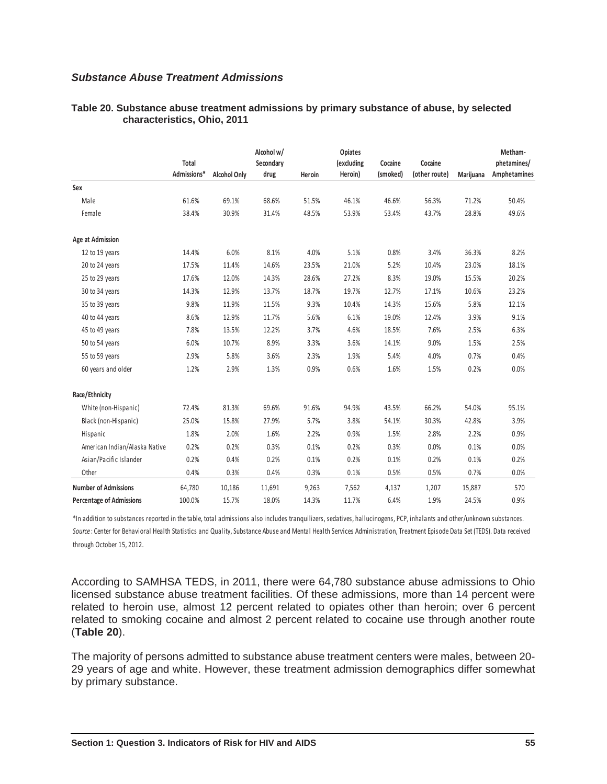### *Substance Abuse Treatment Admissions*

|                                 | Total<br>Admissions* | <b>Alcohol Only</b> | Alcohol w/<br>Secondary<br>drug | Heroin | Opiates<br>(excluding<br>Heroin) | Cocaine<br>(smoked) | Cocaine<br>(other route) | Marijuana | Metham-<br>phetamines/<br>Amphetamines |
|---------------------------------|----------------------|---------------------|---------------------------------|--------|----------------------------------|---------------------|--------------------------|-----------|----------------------------------------|
| Sex                             |                      |                     |                                 |        |                                  |                     |                          |           |                                        |
| Male                            | 61.6%                | 69.1%               | 68.6%                           | 51.5%  | 46.1%                            | 46.6%               | 56.3%                    | 71.2%     | 50.4%                                  |
| Female                          | 38.4%                | 30.9%               | 31.4%                           | 48.5%  | 53.9%                            | 53.4%               | 43.7%                    | 28.8%     | 49.6%                                  |
| Age at Admission                |                      |                     |                                 |        |                                  |                     |                          |           |                                        |
| 12 to 19 years                  | 14.4%                | 6.0%                | 8.1%                            | 4.0%   | 5.1%                             | 0.8%                | 3.4%                     | 36.3%     | 8.2%                                   |
| 20 to 24 years                  | 17.5%                | 11.4%               | 14.6%                           | 23.5%  | 21.0%                            | 5.2%                | 10.4%                    | 23.0%     | 18.1%                                  |
| 25 to 29 years                  | 17.6%                | 12.0%               | 14.3%                           | 28.6%  | 27.2%                            | 8.3%                | 19.0%                    | 15.5%     | 20.2%                                  |
| 30 to 34 years                  | 14.3%                | 12.9%               | 13.7%                           | 18.7%  | 19.7%                            | 12.7%               | 17.1%                    | 10.6%     | 23.2%                                  |
| 35 to 39 years                  | 9.8%                 | 11.9%               | 11.5%                           | 9.3%   | 10.4%                            | 14.3%               | 15.6%                    | 5.8%      | 12.1%                                  |
| 40 to 44 years                  | 8.6%                 | 12.9%               | 11.7%                           | 5.6%   | 6.1%                             | 19.0%               | 12.4%                    | 3.9%      | 9.1%                                   |
| 45 to 49 years                  | 7.8%                 | 13.5%               | 12.2%                           | 3.7%   | 4.6%                             | 18.5%               | 7.6%                     | 2.5%      | 6.3%                                   |
| 50 to 54 years                  | 6.0%                 | 10.7%               | 8.9%                            | 3.3%   | 3.6%                             | 14.1%               | 9.0%                     | 1.5%      | 2.5%                                   |
| 55 to 59 years                  | 2.9%                 | 5.8%                | 3.6%                            | 2.3%   | 1.9%                             | 5.4%                | 4.0%                     | 0.7%      | 0.4%                                   |
| 60 years and older              | 1.2%                 | 2.9%                | 1.3%                            | 0.9%   | 0.6%                             | 1.6%                | 1.5%                     | 0.2%      | 0.0%                                   |
| Race/Ethnicity                  |                      |                     |                                 |        |                                  |                     |                          |           |                                        |
| White (non-Hispanic)            | 72.4%                | 81.3%               | 69.6%                           | 91.6%  | 94.9%                            | 43.5%               | 66.2%                    | 54.0%     | 95.1%                                  |
| Black (non-Hispanic)            | 25.0%                | 15.8%               | 27.9%                           | 5.7%   | 3.8%                             | 54.1%               | 30.3%                    | 42.8%     | 3.9%                                   |
| Hispanic                        | 1.8%                 | 2.0%                | 1.6%                            | 2.2%   | 0.9%                             | 1.5%                | 2.8%                     | 2.2%      | 0.9%                                   |
| American Indian/Alaska Native   | 0.2%                 | 0.2%                | 0.3%                            | 0.1%   | 0.2%                             | 0.3%                | 0.0%                     | 0.1%      | 0.0%                                   |
| Asian/Pacific Islander          | 0.2%                 | 0.4%                | 0.2%                            | 0.1%   | 0.2%                             | 0.1%                | 0.2%                     | 0.1%      | 0.2%                                   |
| Other                           | 0.4%                 | 0.3%                | 0.4%                            | 0.3%   | 0.1%                             | 0.5%                | 0.5%                     | 0.7%      | 0.0%                                   |
| <b>Number of Admissions</b>     | 64,780               | 10,186              | 11,691                          | 9,263  | 7,562                            | 4,137               | 1,207                    | 15,887    | 570                                    |
| <b>Percentage of Admissions</b> | 100.0%               | 15.7%               | 18.0%                           | 14.3%  | 11.7%                            | 6.4%                | 1.9%                     | 24.5%     | 0.9%                                   |

#### **Table 20. Substance abuse treatment admissions by primary substance of abuse, by selected characteristics, Ohio, 2011**

\*In addition to substances reported in the table, total admissions also includes tranquilizers, sedatives, hallucinogens, PCP, inhalants and other/unknown substances. Source: Center for Behavioral Health Statistics and Quality, Substance Abuse and Mental Health Services Administration, Treatment Episode Data Set (TEDS). Data received through October 15, 2012.

According to SAMHSA TEDS, in 2011, there were 64,780 substance abuse admissions to Ohio licensed substance abuse treatment facilities. Of these admissions, more than 14 percent were related to heroin use, almost 12 percent related to opiates other than heroin; over 6 percent related to smoking cocaine and almost 2 percent related to cocaine use through another route (**Table 20**).

The majority of persons admitted to substance abuse treatment centers were males, between 20- 29 years of age and white. However, these treatment admission demographics differ somewhat by primary substance.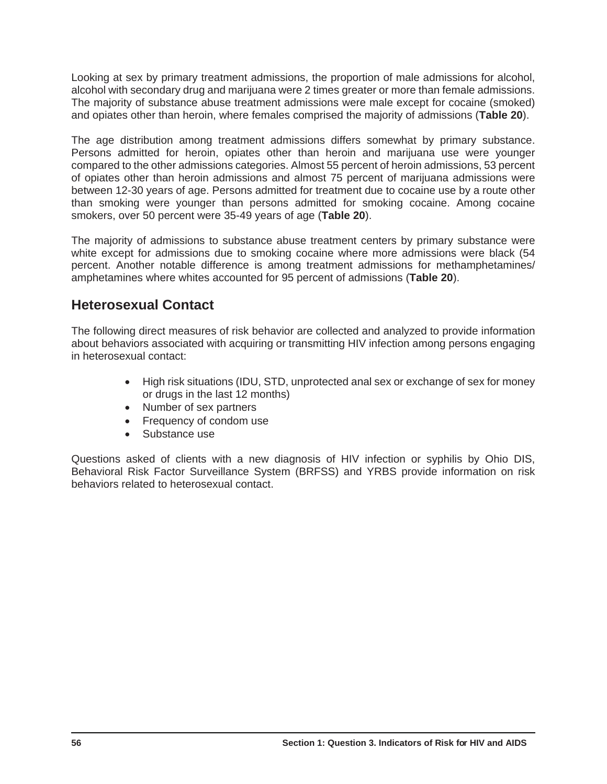Looking at sex by primary treatment admissions, the proportion of male admissions for alcohol, alcohol with secondary drug and marijuana were 2 times greater or more than female admissions. The majority of substance abuse treatment admissions were male except for cocaine (smoked) and opiates other than heroin, where females comprised the majority of admissions (**Table 20**).

The age distribution among treatment admissions differs somewhat by primary substance. Persons admitted for heroin, opiates other than heroin and marijuana use were younger compared to the other admissions categories. Almost 55 percent of heroin admissions, 53 percent of opiates other than heroin admissions and almost 75 percent of marijuana admissions were between 12-30 years of age. Persons admitted for treatment due to cocaine use by a route other than smoking were younger than persons admitted for smoking cocaine. Among cocaine smokers, over 50 percent were 35-49 years of age (**Table 20**).

The majority of admissions to substance abuse treatment centers by primary substance were white except for admissions due to smoking cocaine where more admissions were black (54 percent. Another notable difference is among treatment admissions for methamphetamines/ amphetamines where whites accounted for 95 percent of admissions (**Table 20**).

# **Heterosexual Contact**

The following direct measures of risk behavior are collected and analyzed to provide information about behaviors associated with acquiring or transmitting HIV infection among persons engaging in heterosexual contact:

- High risk situations (IDU, STD, unprotected anal sex or exchange of sex for money or drugs in the last 12 months)
- Number of sex partners
- Frequency of condom use
- Substance use

Questions asked of clients with a new diagnosis of HIV infection or syphilis by Ohio DIS, Behavioral Risk Factor Surveillance System (BRFSS) and YRBS provide information on risk behaviors related to heterosexual contact.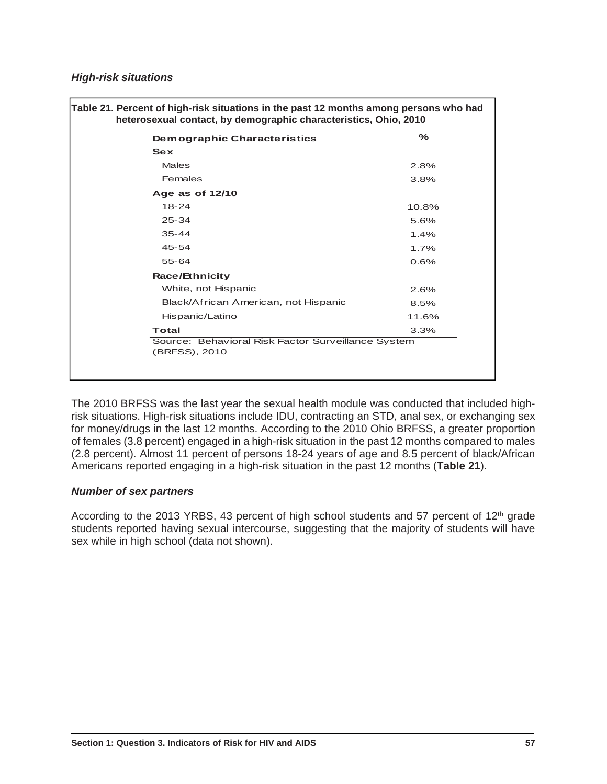#### *High-risk situations*

| Demographic Characteristics          | $\%$  |
|--------------------------------------|-------|
| <b>Sex</b>                           |       |
| <b>Males</b>                         | 2.8%  |
| Females                              | 3.8%  |
| Age as of 12/10                      |       |
| $18 - 24$                            | 10.8% |
| $25 - 34$                            | 5.6%  |
| $35 - 44$                            | 1.4%  |
| $45 - 54$                            | 1.7%  |
| 55-64                                | 0.6%  |
| <b>Race/Ethnicity</b>                |       |
| White, not Hispanic                  | 2.6%  |
| Black/African American, not Hispanic | 8.5%  |
| Hispanic/Latino                      | 11.6% |
| <b>Total</b>                         | 3.3%  |

The 2010 BRFSS was the last year the sexual health module was conducted that included highrisk situations. High-risk situations include IDU, contracting an STD, anal sex, or exchanging sex for money/drugs in the last 12 months. According to the 2010 Ohio BRFSS, a greater proportion of females (3.8 percent) engaged in a high-risk situation in the past 12 months compared to males (2.8 percent). Almost 11 percent of persons 18-24 years of age and 8.5 percent of black/African Americans reported engaging in a high-risk situation in the past 12 months (**Table 21**).

### *Number of sex partners*

According to the 2013 YRBS, 43 percent of high school students and 57 percent of 12<sup>th</sup> grade students reported having sexual intercourse, suggesting that the majority of students will have sex while in high school (data not shown).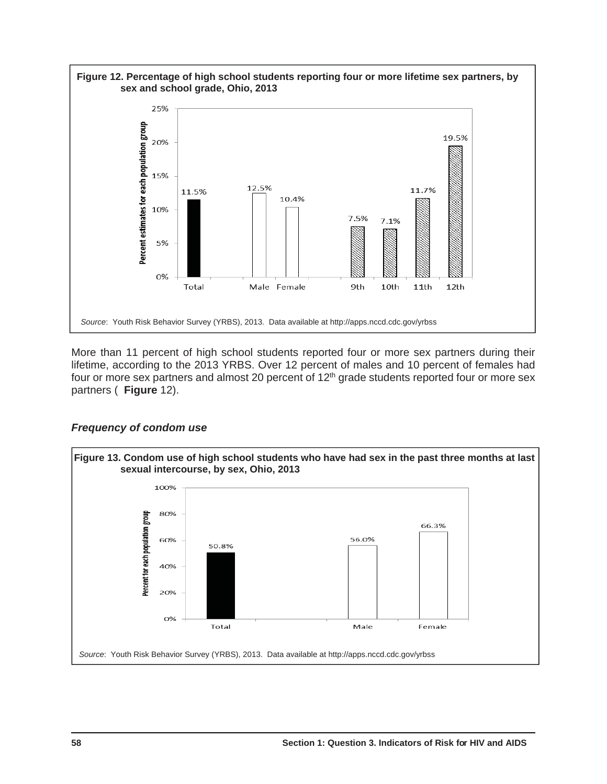

More than 11 percent of high school students reported four or more sex partners during their lifetime, according to the 2013 YRBS. Over 12 percent of males and 10 percent of females had four or more sex partners and almost 20 percent of 12<sup>th</sup> grade students reported four or more sex partners ( **Figure** 12).

### *Frequency of condom use*

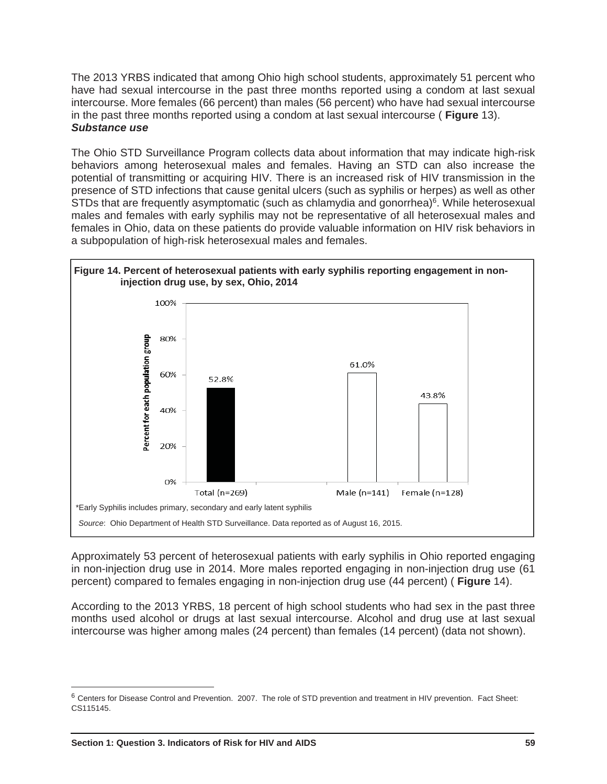The 2013 YRBS indicated that among Ohio high school students, approximately 51 percent who have had sexual intercourse in the past three months reported using a condom at last sexual intercourse. More females (66 percent) than males (56 percent) who have had sexual intercourse in the past three months reported using a condom at last sexual intercourse ( **Figure** 13). *Substance use* 

The Ohio STD Surveillance Program collects data about information that may indicate high-risk behaviors among heterosexual males and females. Having an STD can also increase the potential of transmitting or acquiring HIV. There is an increased risk of HIV transmission in the presence of STD infections that cause genital ulcers (such as syphilis or herpes) as well as other STDs that are frequently asymptomatic (such as chlamydia and gonorrhea) $6$ . While heterosexual males and females with early syphilis may not be representative of all heterosexual males and females in Ohio, data on these patients do provide valuable information on HIV risk behaviors in a subpopulation of high-risk heterosexual males and females.



Approximately 53 percent of heterosexual patients with early syphilis in Ohio reported engaging in non-injection drug use in 2014. More males reported engaging in non-injection drug use (61 percent) compared to females engaging in non-injection drug use (44 percent) ( **Figure** 14).

According to the 2013 YRBS, 18 percent of high school students who had sex in the past three months used alcohol or drugs at last sexual intercourse. Alcohol and drug use at last sexual intercourse was higher among males (24 percent) than females (14 percent) (data not shown).

l

<sup>6</sup> Centers for Disease Control and Prevention. 2007. The role of STD prevention and treatment in HIV prevention. Fact Sheet: CS115145.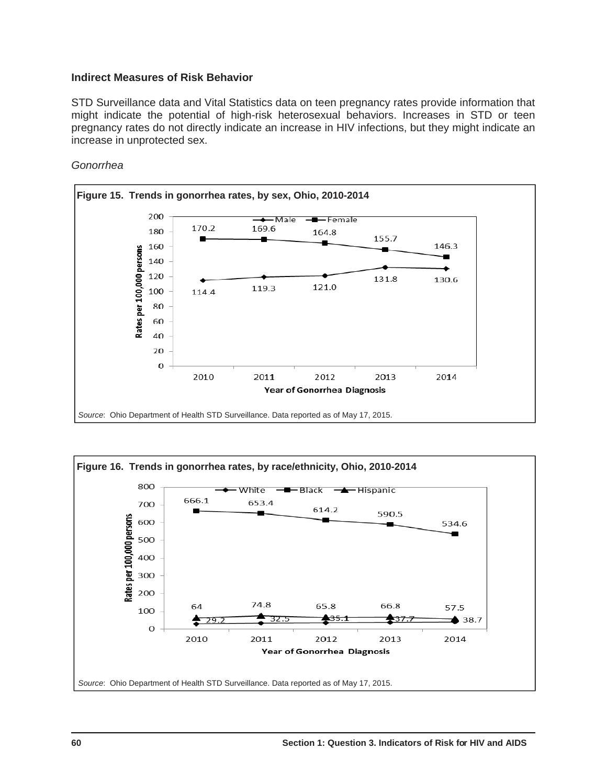### **Indirect Measures of Risk Behavior**

STD Surveillance data and Vital Statistics data on teen pregnancy rates provide information that might indicate the potential of high-risk heterosexual behaviors. Increases in STD or teen pregnancy rates do not directly indicate an increase in HIV infections, but they might indicate an increase in unprotected sex.



#### *Gonorrhea*

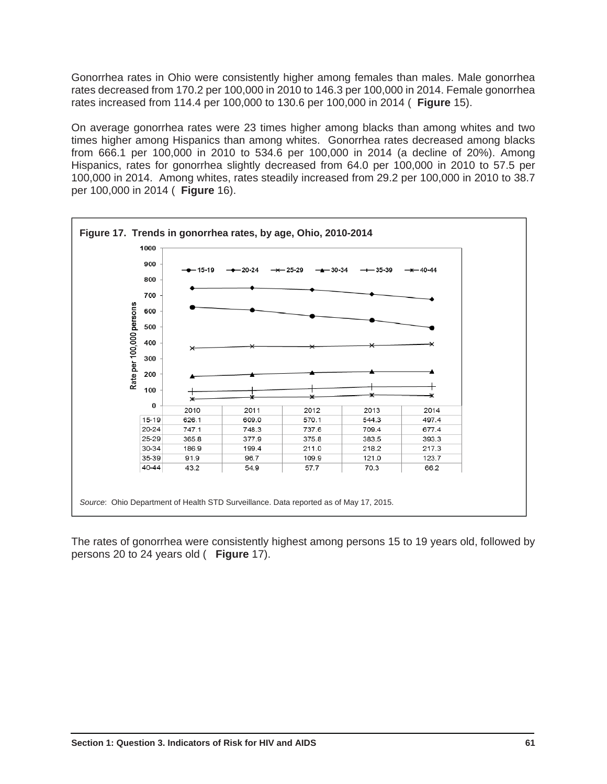Gonorrhea rates in Ohio were consistently higher among females than males. Male gonorrhea rates decreased from 170.2 per 100,000 in 2010 to 146.3 per 100,000 in 2014. Female gonorrhea rates increased from 114.4 per 100,000 to 130.6 per 100,000 in 2014 ( **Figure** 15).

On average gonorrhea rates were 23 times higher among blacks than among whites and two times higher among Hispanics than among whites. Gonorrhea rates decreased among blacks from 666.1 per 100,000 in 2010 to 534.6 per 100,000 in 2014 (a decline of 20%). Among Hispanics, rates for gonorrhea slightly decreased from 64.0 per 100,000 in 2010 to 57.5 per 100,000 in 2014. Among whites, rates steadily increased from 29.2 per 100,000 in 2010 to 38.7 per 100,000 in 2014 ( **Figure** 16).



The rates of gonorrhea were consistently highest among persons 15 to 19 years old, followed by persons 20 to 24 years old ( **Figure** 17).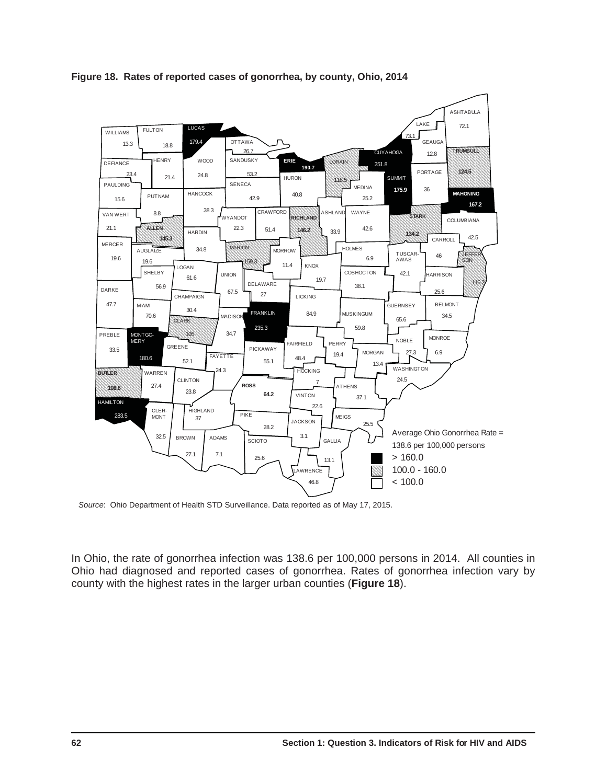

**Figure 18. Rates of reported cases of gonorrhea, by county, Ohio, 2014** 

*Source*: Ohio Department of Health STD Surveillance. Data reported as of May 17, 2015.

In Ohio, the rate of gonorrhea infection was 138.6 per 100,000 persons in 2014. All counties in Ohio had diagnosed and reported cases of gonorrhea. Rates of gonorrhea infection vary by county with the highest rates in the larger urban counties (**Figure 18**).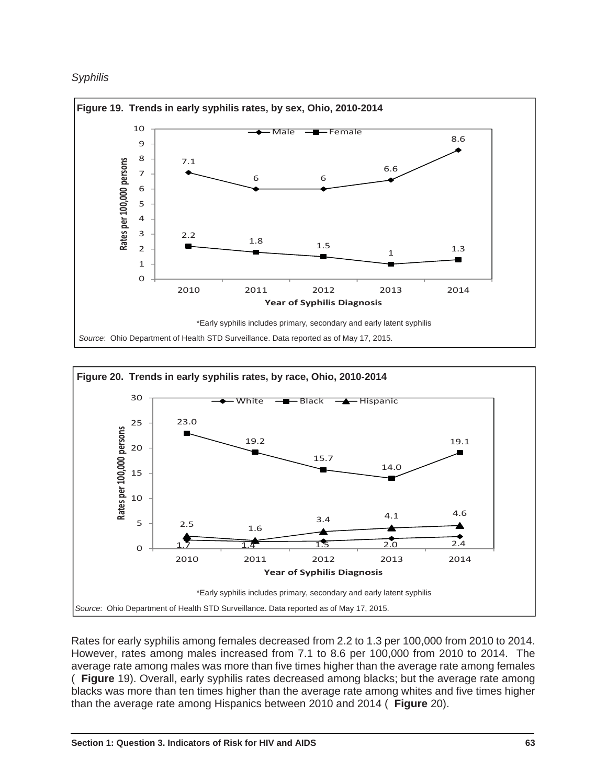





Rates for early syphilis among females decreased from 2.2 to 1.3 per 100,000 from 2010 to 2014. However, rates among males increased from 7.1 to 8.6 per 100,000 from 2010 to 2014. The average rate among males was more than five times higher than the average rate among females ( **Figure** 19). Overall, early syphilis rates decreased among blacks; but the average rate among blacks was more than ten times higher than the average rate among whites and five times higher than the average rate among Hispanics between 2010 and 2014 ( **Figure** 20).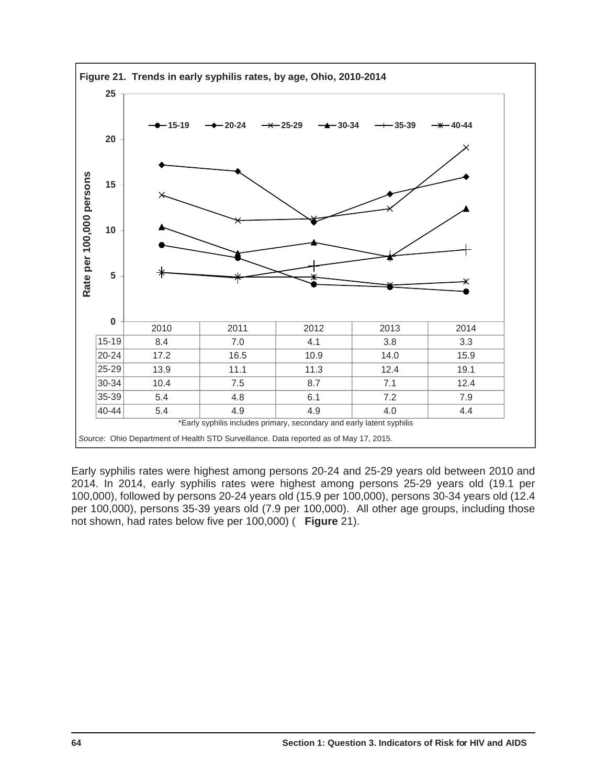

Early syphilis rates were highest among persons 20-24 and 25-29 years old between 2010 and 2014. In 2014, early syphilis rates were highest among persons 25-29 years old (19.1 per 100,000), followed by persons 20-24 years old (15.9 per 100,000), persons 30-34 years old (12.4 per 100,000), persons 35-39 years old (7.9 per 100,000). All other age groups, including those not shown, had rates below five per 100,000) ( **Figure** 21).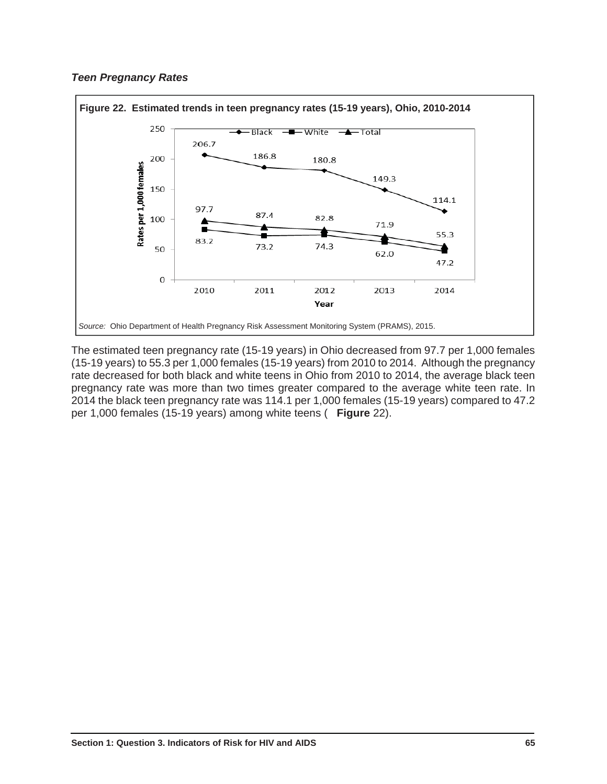### *Teen Pregnancy Rates*



The estimated teen pregnancy rate (15-19 years) in Ohio decreased from 97.7 per 1,000 females (15-19 years) to 55.3 per 1,000 females (15-19 years) from 2010 to 2014. Although the pregnancy rate decreased for both black and white teens in Ohio from 2010 to 2014, the average black teen pregnancy rate was more than two times greater compared to the average white teen rate. In 2014 the black teen pregnancy rate was 114.1 per 1,000 females (15-19 years) compared to 47.2 per 1,000 females (15-19 years) among white teens ( **Figure** 22).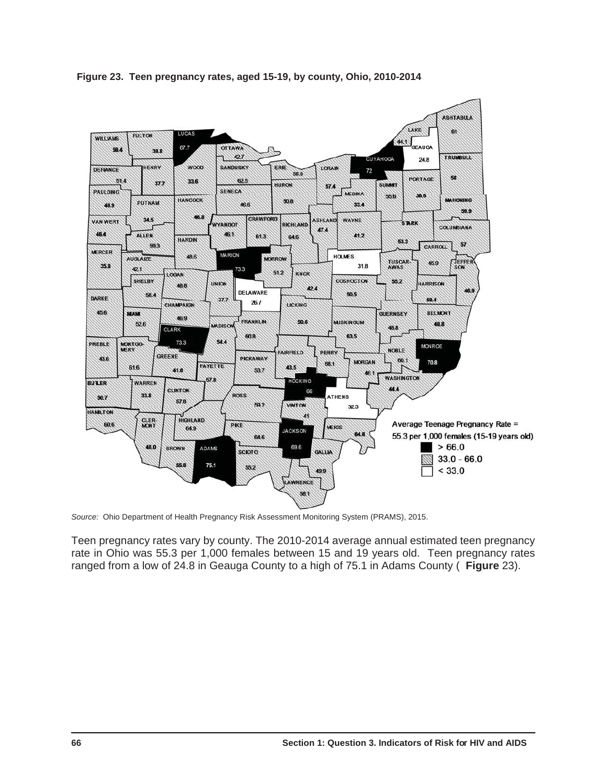

 **Figure 23. Teen pregnancy rates, aged 15-19, by county, Ohio, 2010-2014** 

*Source:* Ohio Department of Health Pregnancy Risk Assessment Monitoring System (PRAMS), 2015.

Teen pregnancy rates vary by county. The 2010-2014 average annual estimated teen pregnancy rate in Ohio was 55.3 per 1,000 females between 15 and 19 years old. Teen pregnancy rates ranged from a low of 24.8 in Geauga County to a high of 75.1 in Adams County ( **Figure** 23).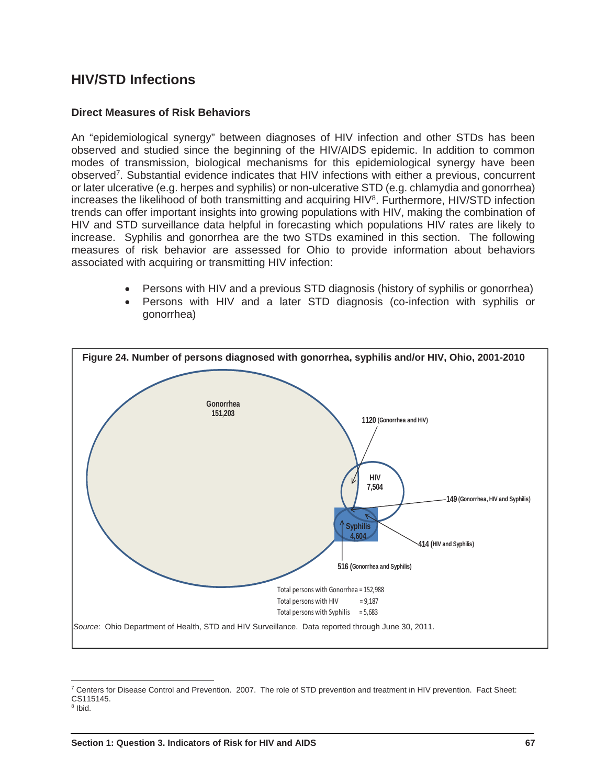## **HIV/STD Infections**

### **Direct Measures of Risk Behaviors**

An "epidemiological synergy" between diagnoses of HIV infection and other STDs has been observed and studied since the beginning of the HIV/AIDS epidemic. In addition to common modes of transmission, biological mechanisms for this epidemiological synergy have been observed7. Substantial evidence indicates that HIV infections with either a previous, concurrent or later ulcerative (e.g. herpes and syphilis) or non-ulcerative STD (e.g. chlamydia and gonorrhea) increases the likelihood of both transmitting and acquiring HIV<sup>8</sup>. Furthermore, HIV/STD infection trends can offer important insights into growing populations with HIV, making the combination of HIV and STD surveillance data helpful in forecasting which populations HIV rates are likely to increase. Syphilis and gonorrhea are the two STDs examined in this section. The following measures of risk behavior are assessed for Ohio to provide information about behaviors associated with acquiring or transmitting HIV infection:

- Persons with HIV and a previous STD diagnosis (history of syphilis or gonorrhea)
- Persons with HIV and a later STD diagnosis (co-infection with syphilis or gonorrhea)



<sup>&</sup>lt;sup>7</sup> Centers for Disease Control and Prevention. 2007. The role of STD prevention and treatment in HIV prevention. Fact Sheet: CS115145.

-

<sup>&</sup>lt;sup>8</sup> Ibid.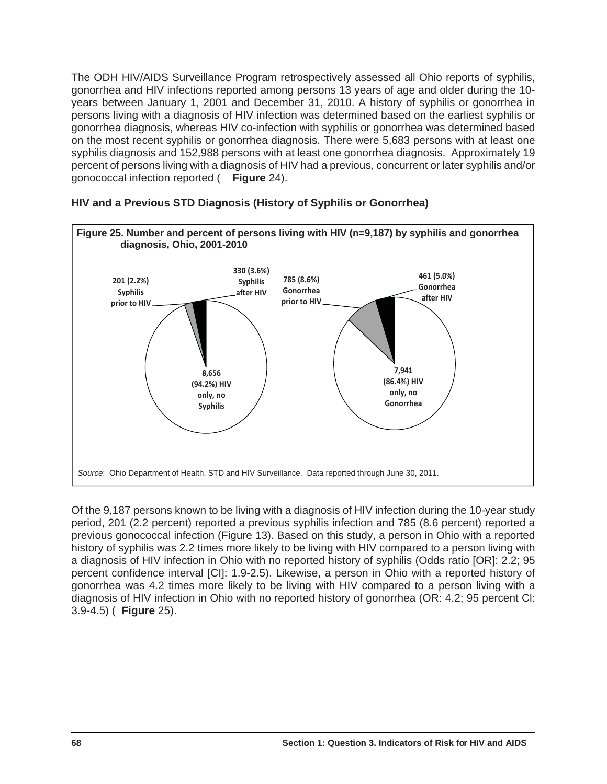The ODH HIV/AIDS Surveillance Program retrospectively assessed all Ohio reports of syphilis, gonorrhea and HIV infections reported among persons 13 years of age and older during the 10 years between January 1, 2001 and December 31, 2010. A history of syphilis or gonorrhea in persons living with a diagnosis of HIV infection was determined based on the earliest syphilis or gonorrhea diagnosis, whereas HIV co-infection with syphilis or gonorrhea was determined based on the most recent syphilis or gonorrhea diagnosis. There were 5,683 persons with at least one syphilis diagnosis and 152,988 persons with at least one gonorrhea diagnosis. Approximately 19 percent of persons living with a diagnosis of HIV had a previous, concurrent or later syphilis and/or gonococcal infection reported ( **Figure** 24).



## **HIV and a Previous STD Diagnosis (History of Syphilis or Gonorrhea)**

Of the 9,187 persons known to be living with a diagnosis of HIV infection during the 10-year study period, 201 (2.2 percent) reported a previous syphilis infection and 785 (8.6 percent) reported a previous gonococcal infection (Figure 13). Based on this study, a person in Ohio with a reported history of syphilis was 2.2 times more likely to be living with HIV compared to a person living with a diagnosis of HIV infection in Ohio with no reported history of syphilis (Odds ratio [OR]: 2.2; 95 percent confidence interval [CI]: 1.9-2.5). Likewise, a person in Ohio with a reported history of gonorrhea was 4.2 times more likely to be living with HIV compared to a person living with a diagnosis of HIV infection in Ohio with no reported history of gonorrhea (OR: 4.2; 95 percent Cl: 3.9-4.5) ( **Figure** 25).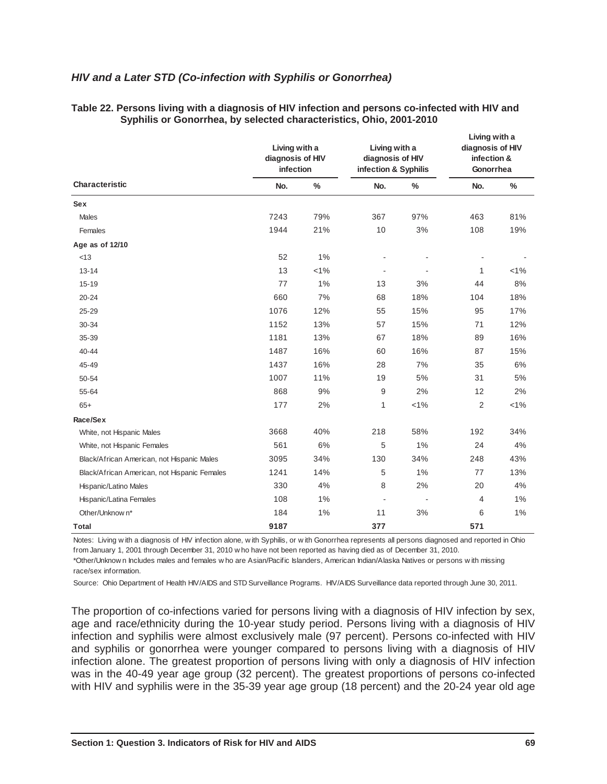#### *HIV and a Later STD (Co-infection with Syphilis or Gonorrhea)*

|                                              | Living with a<br>diagnosis of HIV<br>infection |         | Living with a<br>diagnosis of HIV<br>infection & Syphilis |         | Living with a<br>diagnosis of HIV<br>infection &<br>Gonorrhea |         |  |
|----------------------------------------------|------------------------------------------------|---------|-----------------------------------------------------------|---------|---------------------------------------------------------------|---------|--|
| Characteristic                               | No.                                            | $\%$    | No.                                                       | $\%$    | No.                                                           | $\%$    |  |
| <b>Sex</b>                                   |                                                |         |                                                           |         |                                                               |         |  |
| Males                                        | 7243                                           | 79%     | 367                                                       | 97%     | 463                                                           | 81%     |  |
| Females                                      | 1944                                           | 21%     | 10                                                        | 3%      | 108                                                           | 19%     |  |
| Age as of 12/10                              |                                                |         |                                                           |         |                                                               |         |  |
| < 13                                         | 52                                             | 1%      | ä,                                                        |         | ٠                                                             |         |  |
| $13 - 14$                                    | 13                                             | $< 1\%$ |                                                           |         | 1                                                             | $< 1\%$ |  |
| $15 - 19$                                    | 77                                             | 1%      | 13                                                        | 3%      | 44                                                            | 8%      |  |
| $20 - 24$                                    | 660                                            | 7%      | 68                                                        | 18%     | 104                                                           | 18%     |  |
| $25 - 29$                                    | 1076                                           | 12%     | 55                                                        | 15%     | 95                                                            | 17%     |  |
| 30-34                                        | 1152                                           | 13%     | 57                                                        | 15%     | 71                                                            | 12%     |  |
| 35-39                                        | 1181                                           | 13%     | 67                                                        | 18%     | 89                                                            | 16%     |  |
| $40 - 44$                                    | 1487                                           | 16%     | 60                                                        | 16%     | 87                                                            | 15%     |  |
| 45-49                                        | 1437                                           | 16%     | 28                                                        | 7%      | 35                                                            | 6%      |  |
| $50 - 54$                                    | 1007                                           | 11%     | 19                                                        | 5%      | 31                                                            | 5%      |  |
| 55-64                                        | 868                                            | 9%      | $\boldsymbol{9}$                                          | 2%      | 12                                                            | 2%      |  |
| $65+$                                        | 177                                            | 2%      | 1                                                         | $< 1\%$ | $\overline{2}$                                                | $< 1\%$ |  |
| Race/Sex                                     |                                                |         |                                                           |         |                                                               |         |  |
| White, not Hispanic Males                    | 3668                                           | 40%     | 218                                                       | 58%     | 192                                                           | 34%     |  |
| White, not Hispanic Females                  | 561                                            | $6\%$   | 5                                                         | $1\%$   | 24                                                            | 4%      |  |
| Black/African American, not Hispanic Males   | 3095                                           | 34%     | 130                                                       | 34%     | 248                                                           | 43%     |  |
| Black/African American, not Hispanic Females | 1241                                           | 14%     | 5                                                         | 1%      | 77                                                            | 13%     |  |
| Hispanic/Latino Males                        | 330                                            | 4%      | 8                                                         | 2%      | 20                                                            | 4%      |  |
| Hispanic/Latina Females                      | 108                                            | 1%      | $\overline{a}$                                            |         | $\overline{4}$                                                | $1\%$   |  |
| Other/Unknow n*                              | 184                                            | $1\%$   | 11                                                        | 3%      | 6                                                             | $1\%$   |  |
| <b>Total</b>                                 | 9187                                           |         | 377                                                       |         | 571                                                           |         |  |

#### **Table 22. Persons living with a diagnosis of HIV infection and persons co-infected with HIV and Syphilis or Gonorrhea, by selected characteristics, Ohio, 2001-2010**

Notes: Living w ith a diagnosis of HIV infection alone, w ith Syphilis, or w ith Gonorrhea represents all persons diagnosed and reported in Ohio from January 1, 2001 through December 31, 2010 w ho have not been reported as having died as of December 31, 2010.

\*Other/Unknow n Includes males and females w ho are Asian/Pacific Islanders, American Indian/Alaska Natives or persons w ith missing race/sex information.

Source: Ohio Department of Health HIV/AIDS and STD Surveillance Programs. HIV/AIDS Surveillance data reported through June 30, 2011.

The proportion of co-infections varied for persons living with a diagnosis of HIV infection by sex, age and race/ethnicity during the 10-year study period. Persons living with a diagnosis of HIV infection and syphilis were almost exclusively male (97 percent). Persons co-infected with HIV and syphilis or gonorrhea were younger compared to persons living with a diagnosis of HIV infection alone. The greatest proportion of persons living with only a diagnosis of HIV infection was in the 40-49 year age group (32 percent). The greatest proportions of persons co-infected with HIV and syphilis were in the 35-39 year age group (18 percent) and the 20-24 year old age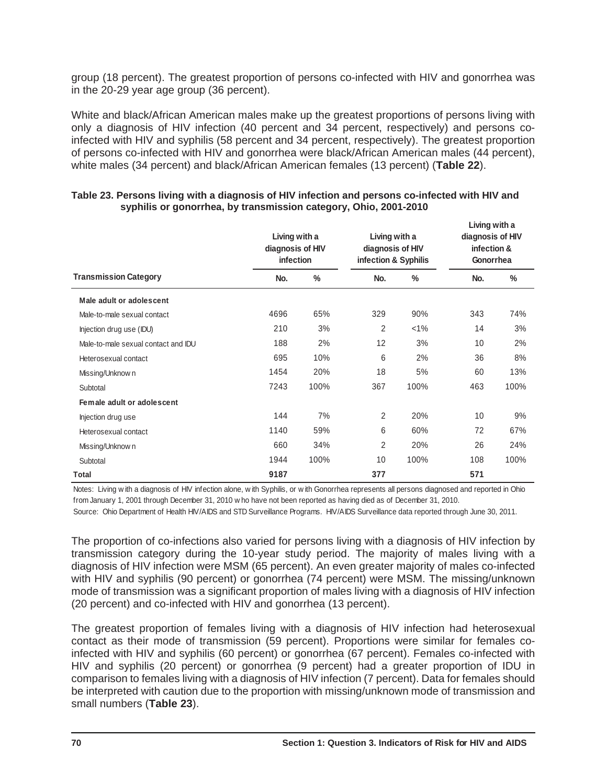group (18 percent). The greatest proportion of persons co-infected with HIV and gonorrhea was in the 20-29 year age group (36 percent).

White and black/African American males make up the greatest proportions of persons living with only a diagnosis of HIV infection (40 percent and 34 percent, respectively) and persons coinfected with HIV and syphilis (58 percent and 34 percent, respectively). The greatest proportion of persons co-infected with HIV and gonorrhea were black/African American males (44 percent), white males (34 percent) and black/African American females (13 percent) (**Table 22**).

|                                     | Living with a<br>diagnosis of HIV<br><i>infection</i> |               | Living with a<br>diagnosis of HIV<br>infection & Syphilis |               | Living with a<br>diagnosis of HIV<br>infection &<br>Gonorrhea |      |
|-------------------------------------|-------------------------------------------------------|---------------|-----------------------------------------------------------|---------------|---------------------------------------------------------------|------|
| <b>Transmission Category</b>        | No.                                                   | $\frac{0}{0}$ | No.                                                       | $\frac{0}{0}$ | No.                                                           | $\%$ |
| Male adult or adolescent            |                                                       |               |                                                           |               |                                                               |      |
| Male-to-male sexual contact         | 4696                                                  | 65%           | 329                                                       | 90%           | 343                                                           | 74%  |
| Injection drug use (IDU)            | 210                                                   | 3%            | 2                                                         | $< 1\%$       | 14                                                            | 3%   |
| Male-to-male sexual contact and IDU | 188                                                   | 2%            | 12                                                        | 3%            | 10                                                            | 2%   |
| Heterosexual contact                | 695                                                   | 10%           | 6                                                         | 2%            | 36                                                            | 8%   |
| Missing/Unknown                     | 1454                                                  | 20%           | 18                                                        | 5%            | 60                                                            | 13%  |
| Subtotal                            | 7243                                                  | 100%          | 367                                                       | 100%          | 463                                                           | 100% |
| Female adult or adolescent          |                                                       |               |                                                           |               |                                                               |      |
| Injection drug use                  | 144                                                   | 7%            | 2                                                         | 20%           | 10                                                            | 9%   |
| Heterosexual contact                | 1140                                                  | 59%           | 6                                                         | 60%           | 72                                                            | 67%  |
| Missing/Unknown                     | 660                                                   | 34%           | 2                                                         | 20%           | 26                                                            | 24%  |
| Subtotal                            | 1944                                                  | 100%          | 10                                                        | 100%          | 108                                                           | 100% |
| Total                               | 9187                                                  |               | 377                                                       |               | 571                                                           |      |

#### **Table 23. Persons living with a diagnosis of HIV infection and persons co-infected with HIV and syphilis or gonorrhea, by transmission category, Ohio, 2001-2010**

Notes: Living w ith a diagnosis of HIV infection alone, w ith Syphilis, or w ith Gonorrhea represents all persons diagnosed and reported in Ohio from January 1, 2001 through December 31, 2010 w ho have not been reported as having died as of December 31, 2010.

Source: Ohio Department of Health HIV/AIDS and STD Surveillance Programs. HIV/AIDS Surveillance data reported through June 30, 2011.

The proportion of co-infections also varied for persons living with a diagnosis of HIV infection by transmission category during the 10-year study period. The majority of males living with a diagnosis of HIV infection were MSM (65 percent). An even greater majority of males co-infected with HIV and syphilis (90 percent) or gonorrhea (74 percent) were MSM. The missing/unknown mode of transmission was a significant proportion of males living with a diagnosis of HIV infection (20 percent) and co-infected with HIV and gonorrhea (13 percent).

The greatest proportion of females living with a diagnosis of HIV infection had heterosexual contact as their mode of transmission (59 percent). Proportions were similar for females coinfected with HIV and syphilis (60 percent) or gonorrhea (67 percent). Females co-infected with HIV and syphilis (20 percent) or gonorrhea (9 percent) had a greater proportion of IDU in comparison to females living with a diagnosis of HIV infection (7 percent). Data for females should be interpreted with caution due to the proportion with missing/unknown mode of transmission and small numbers (**Table 23**).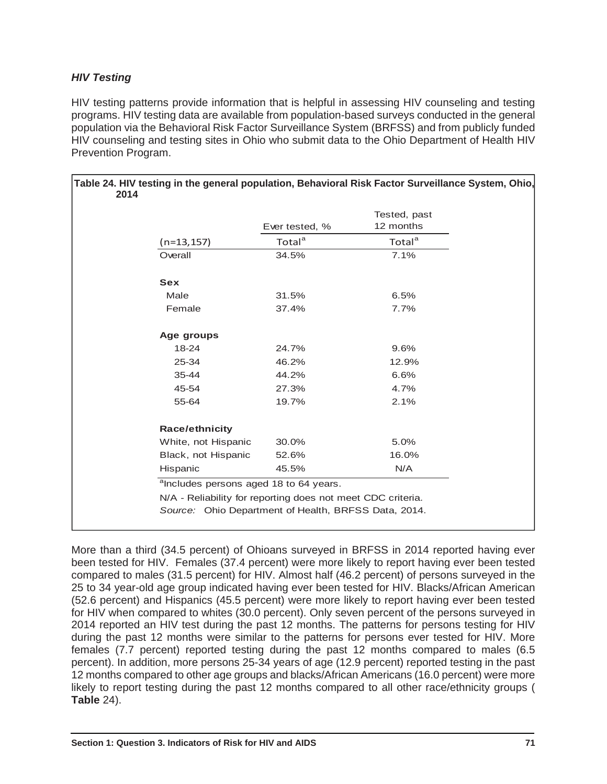## *HIV Testing*

HIV testing patterns provide information that is helpful in assessing HIV counseling and testing programs. HIV testing data are available from population-based surveys conducted in the general population via the Behavioral Risk Factor Surveillance System (BRFSS) and from publicly funded HIV counseling and testing sites in Ohio who submit data to the Ohio Department of Health HIV Prevention Program.

|                                                    | Ever tested, %     | Tested, past<br>12 months |
|----------------------------------------------------|--------------------|---------------------------|
| $(n=13, 157)$                                      | Total <sup>a</sup> | Total <sup>a</sup>        |
| Overall                                            | 34.5%              | 7.1%                      |
| <b>Sex</b>                                         |                    |                           |
| Male                                               | 31.5%              | 6.5%                      |
| Female                                             | 37.4%              | 7.7%                      |
| Age groups                                         |                    |                           |
| 18-24                                              | 24.7%              | 9.6%                      |
| 25-34                                              | 46.2%              | 12.9%                     |
| $35 - 44$                                          | 44.2%              | 6.6%                      |
| 45-54                                              | 27.3%              | 4.7%                      |
| 55-64                                              | 19.7%              | 2.1%                      |
| <b>Race/ethnicity</b>                              |                    |                           |
| White, not Hispanic                                | 30.0%              | 5.0%                      |
| Black, not Hispanic                                | 52.6%              | 16.0%                     |
| Hispanic                                           | 45.5%              | N/A                       |
| <sup>a</sup> lncludes persons aged 18 to 64 years. |                    |                           |

More than a third (34.5 percent) of Ohioans surveyed in BRFSS in 2014 reported having ever been tested for HIV. Females (37.4 percent) were more likely to report having ever been tested compared to males (31.5 percent) for HIV. Almost half (46.2 percent) of persons surveyed in the 25 to 34 year-old age group indicated having ever been tested for HIV. Blacks/African American (52.6 percent) and Hispanics (45.5 percent) were more likely to report having ever been tested for HIV when compared to whites (30.0 percent). Only seven percent of the persons surveyed in 2014 reported an HIV test during the past 12 months. The patterns for persons testing for HIV during the past 12 months were similar to the patterns for persons ever tested for HIV. More females (7.7 percent) reported testing during the past 12 months compared to males (6.5 percent). In addition, more persons 25-34 years of age (12.9 percent) reported testing in the past 12 months compared to other age groups and blacks/African Americans (16.0 percent) were more likely to report testing during the past 12 months compared to all other race/ethnicity groups ( **Table** 24).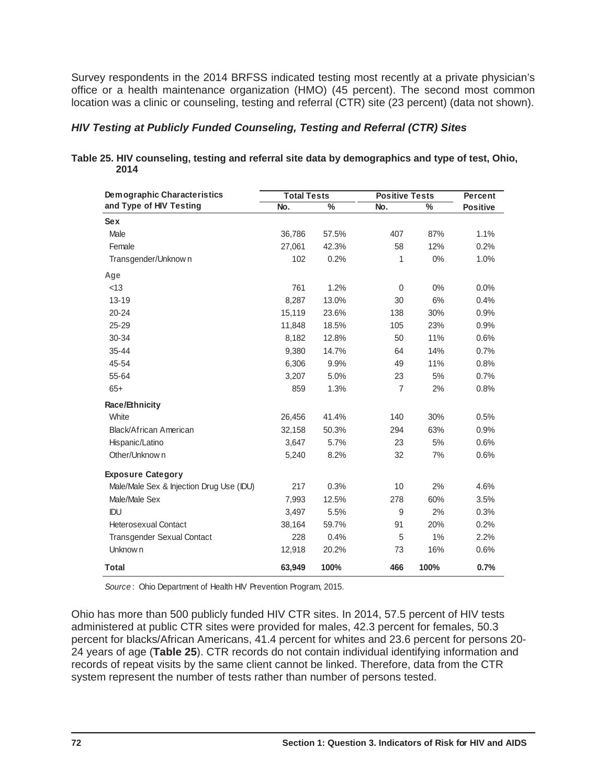Survey respondents in the 2014 BRFSS indicated testing most recently at a private physician's office or a health maintenance organization (HMO) (45 percent). The second most common location was a clinic or counseling, testing and referral (CTR) site (23 percent) (data not shown).

### *HIV Testing at Publicly Funded Counseling, Testing and Referral (CTR) Sites*

| Demographic Characteristics<br>and Type of HIV Testing | <b>Total Tests</b> |               | <b>Positive Tests</b> |       | <b>Percent</b>  |
|--------------------------------------------------------|--------------------|---------------|-----------------------|-------|-----------------|
|                                                        | No.                | $\frac{0}{2}$ | No.                   | %     | <b>Positive</b> |
| <b>Sex</b>                                             |                    |               |                       |       |                 |
| Male                                                   | 36,786             | 57.5%         | 407                   | 87%   | 1.1%            |
| Female                                                 | 27,061             | 42.3%         | 58                    | 12%   | 0.2%            |
| Transgender/Unknown                                    | 102                | 0.2%          | 1                     | $0\%$ | 1.0%            |
| Age                                                    |                    |               |                       |       |                 |
| <13                                                    | 761                | 1.2%          | $\Omega$              | $0\%$ | 0.0%            |
| $13 - 19$                                              | 8,287              | 13.0%         | 30                    | 6%    | 0.4%            |
| $20 - 24$                                              | 15,119             | 23.6%         | 138                   | 30%   | 0.9%            |
| $25 - 29$                                              | 11,848             | 18.5%         | 105                   | 23%   | 0.9%            |
| $30 - 34$                                              | 8,182              | 12.8%         | 50                    | 11%   | 0.6%            |
| $35 - 44$                                              | 9,380              | 14.7%         | 64                    | 14%   | 0.7%            |
| 45-54                                                  | 6,306              | 9.9%          | 49                    | 11%   | 0.8%            |
| 55-64                                                  | 3,207              | 5.0%          | 23                    | 5%    | 0.7%            |
| $65+$                                                  | 859                | 1.3%          | $\overline{7}$        | 2%    | 0.8%            |
| Race/Ethnicity                                         |                    |               |                       |       |                 |
| White                                                  | 26,456             | 41.4%         | 140                   | 30%   | 0.5%            |
| Black/African American                                 | 32,158             | 50.3%         | 294                   | 63%   | 0.9%            |
| Hispanic/Latino                                        | 3.647              | 5.7%          | 23                    | 5%    | 0.6%            |
| Other/Unknow n                                         | 5,240              | 8.2%          | 32                    | 7%    | 0.6%            |
| <b>Exposure Category</b>                               |                    |               |                       |       |                 |
| Male/Male Sex & Injection Drug Use (IDU)               | 217                | 0.3%          | 10                    | 2%    | 4.6%            |
| Male/Male Sex                                          | 7,993              | 12.5%         | 278                   | 60%   | 3.5%            |
| IDU                                                    | 3,497              | 5.5%          | 9                     | 2%    | 0.3%            |
| Heterosexual Contact                                   | 38,164             | 59.7%         | 91                    | 20%   | 0.2%            |
| <b>Transgender Sexual Contact</b>                      | 228                | 0.4%          | 5                     | 1%    | 2.2%            |
| Unknow n                                               | 12,918             | 20.2%         | 73                    | 16%   | 0.6%            |
| <b>Total</b>                                           | 63,949             | 100%          | 466                   | 100%  | 0.7%            |

#### **Table 25. HIV counseling, testing and referral site data by demographics and type of test, Ohio, 2014**

*Source* : Ohio Department of Health HIV Prevention Program, 2015.

Ohio has more than 500 publicly funded HIV CTR sites. In 2014, 57.5 percent of HIV tests administered at public CTR sites were provided for males, 42.3 percent for females, 50.3 percent for blacks/African Americans, 41.4 percent for whites and 23.6 percent for persons 20- 24 years of age (**Table 25**). CTR records do not contain individual identifying information and records of repeat visits by the same client cannot be linked. Therefore, data from the CTR system represent the number of tests rather than number of persons tested.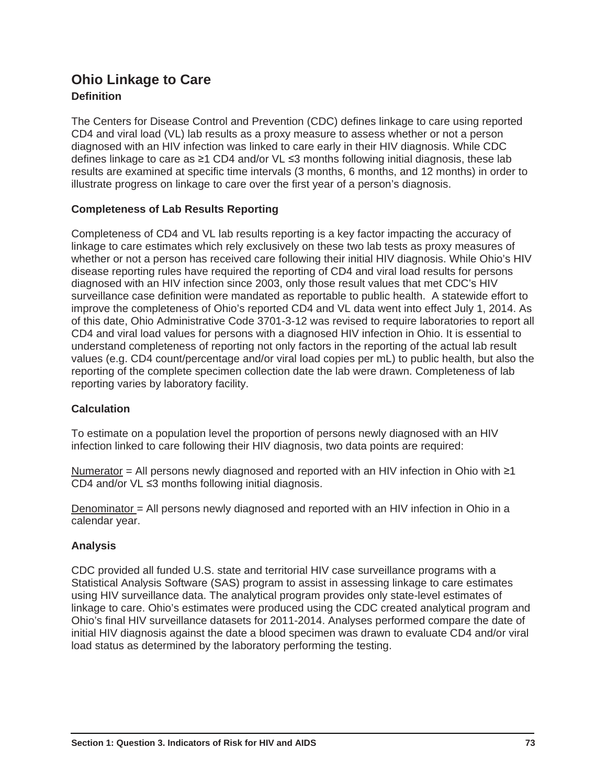# **Ohio Linkage to Care Definition**

The Centers for Disease Control and Prevention (CDC) defines linkage to care using reported CD4 and viral load (VL) lab results as a proxy measure to assess whether or not a person diagnosed with an HIV infection was linked to care early in their HIV diagnosis. While CDC defines linkage to care as  $\geq 1$  CD4 and/or VL  $\leq 3$  months following initial diagnosis, these lab results are examined at specific time intervals (3 months, 6 months, and 12 months) in order to illustrate progress on linkage to care over the first year of a person's diagnosis.

## **Completeness of Lab Results Reporting**

Completeness of CD4 and VL lab results reporting is a key factor impacting the accuracy of linkage to care estimates which rely exclusively on these two lab tests as proxy measures of whether or not a person has received care following their initial HIV diagnosis. While Ohio's HIV disease reporting rules have required the reporting of CD4 and viral load results for persons diagnosed with an HIV infection since 2003, only those result values that met CDC's HIV surveillance case definition were mandated as reportable to public health. A statewide effort to improve the completeness of Ohio's reported CD4 and VL data went into effect July 1, 2014. As of this date, Ohio Administrative Code 3701-3-12 was revised to require laboratories to report all CD4 and viral load values for persons with a diagnosed HIV infection in Ohio. It is essential to understand completeness of reporting not only factors in the reporting of the actual lab result values (e.g. CD4 count/percentage and/or viral load copies per mL) to public health, but also the reporting of the complete specimen collection date the lab were drawn. Completeness of lab reporting varies by laboratory facility.

## **Calculation**

To estimate on a population level the proportion of persons newly diagnosed with an HIV infection linked to care following their HIV diagnosis, two data points are required:

Numerator = All persons newly diagnosed and reported with an HIV infection in Ohio with  $\geq 1$ CD4 and/or  $VL \leq 3$  months following initial diagnosis.

Denominator = All persons newly diagnosed and reported with an HIV infection in Ohio in a calendar year.

## **Analysis**

CDC provided all funded U.S. state and territorial HIV case surveillance programs with a Statistical Analysis Software (SAS) program to assist in assessing linkage to care estimates using HIV surveillance data. The analytical program provides only state-level estimates of linkage to care. Ohio's estimates were produced using the CDC created analytical program and Ohio's final HIV surveillance datasets for 2011-2014. Analyses performed compare the date of initial HIV diagnosis against the date a blood specimen was drawn to evaluate CD4 and/or viral load status as determined by the laboratory performing the testing.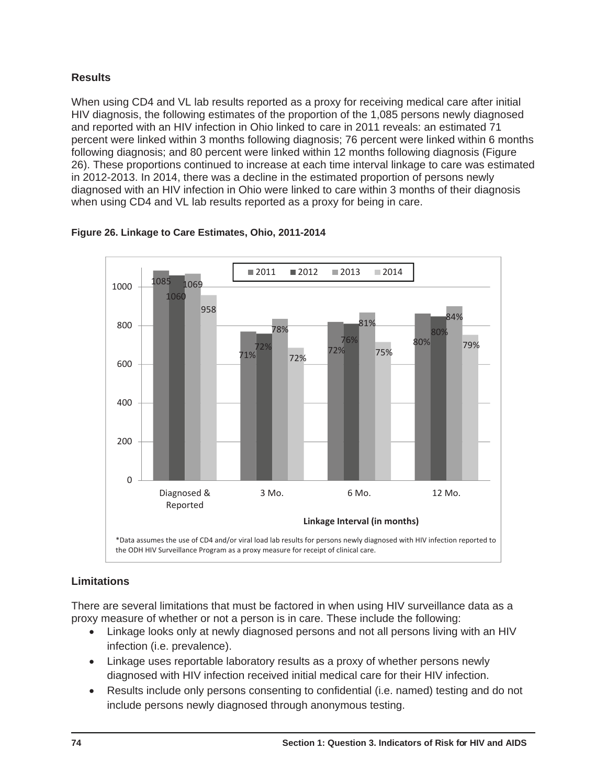## **Results**

When using CD4 and VL lab results reported as a proxy for receiving medical care after initial HIV diagnosis, the following estimates of the proportion of the 1,085 persons newly diagnosed and reported with an HIV infection in Ohio linked to care in 2011 reveals: an estimated 71 percent were linked within 3 months following diagnosis; 76 percent were linked within 6 months following diagnosis; and 80 percent were linked within 12 months following diagnosis (Figure 26). These proportions continued to increase at each time interval linkage to care was estimated in 2012-2013. In 2014, there was a decline in the estimated proportion of persons newly diagnosed with an HIV infection in Ohio were linked to care within 3 months of their diagnosis when using CD4 and VL lab results reported as a proxy for being in care.





## **Limitations**

There are several limitations that must be factored in when using HIV surveillance data as a proxy measure of whether or not a person is in care. These include the following:

- Linkage looks only at newly diagnosed persons and not all persons living with an HIV infection (i.e. prevalence).
- Linkage uses reportable laboratory results as a proxy of whether persons newly diagnosed with HIV infection received initial medical care for their HIV infection.
- Results include only persons consenting to confidential (i.e. named) testing and do not include persons newly diagnosed through anonymous testing.